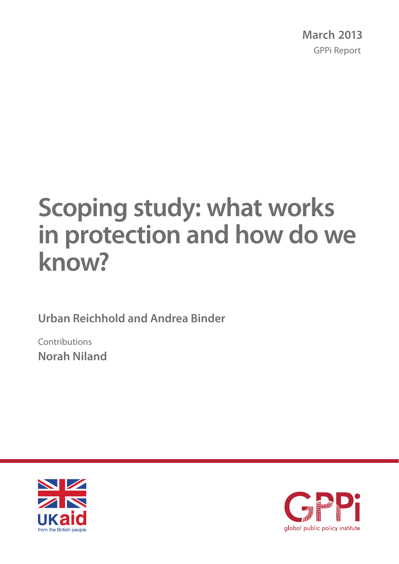# **Scoping study: what works in protection and how do we know?**

**Urban Reichhold and Andrea Binder**

Contributions **Norah Niland**



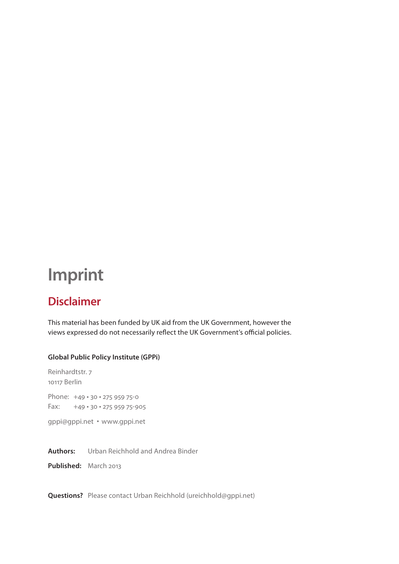## **Imprint**

### **Disclaimer**

This material has been funded by UK aid from the UK Government, however the views expressed do not necessarily reflect the UK Government's official policies.

#### **Global Public Policy Institute (GPPi)**

Reinhardtstr. 7 10117 Berlin Phone: +49 · 30 · 275 959 75-0  $Fax:$  +49 · 30 · 275 959 75-905

gppi@gppi.net **t** www.gppi.net

**Authors:** Urban Reichhold and Andrea Binder

**Published:** March 2013

**Questions?** Please contact Urban Reichhold (ureichhold@gppi.net)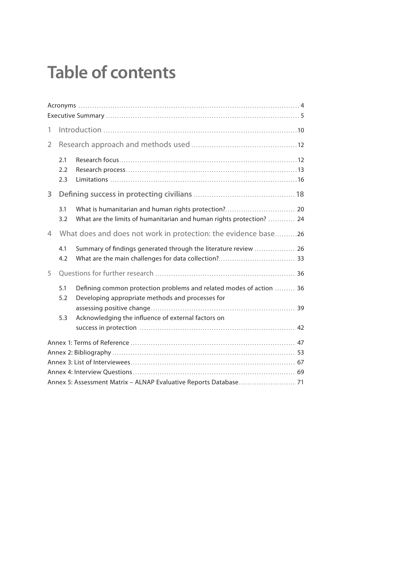## **Table of contents**

| 1                                                                 |                   |                                                                                                                         |  |  |  |
|-------------------------------------------------------------------|-------------------|-------------------------------------------------------------------------------------------------------------------------|--|--|--|
| $\overline{2}$                                                    |                   |                                                                                                                         |  |  |  |
|                                                                   | 2.1<br>2.2<br>2.3 |                                                                                                                         |  |  |  |
| 3                                                                 |                   |                                                                                                                         |  |  |  |
|                                                                   | 3.1<br>3.2        | What are the limits of humanitarian and human rights protection?  24                                                    |  |  |  |
| 4                                                                 |                   | What does and does not work in protection: the evidence base26                                                          |  |  |  |
|                                                                   | 4.1<br>4.2        | Summary of findings generated through the literature review  26                                                         |  |  |  |
| 5                                                                 |                   |                                                                                                                         |  |  |  |
|                                                                   | 5.1<br>5.2        | Defining common protection problems and related modes of action  36<br>Developing appropriate methods and processes for |  |  |  |
|                                                                   | 5.3               | Acknowledging the influence of external factors on                                                                      |  |  |  |
|                                                                   |                   |                                                                                                                         |  |  |  |
|                                                                   |                   |                                                                                                                         |  |  |  |
|                                                                   |                   |                                                                                                                         |  |  |  |
|                                                                   |                   |                                                                                                                         |  |  |  |
| Annex 5: Assessment Matrix - ALNAP Evaluative Reports Database 71 |                   |                                                                                                                         |  |  |  |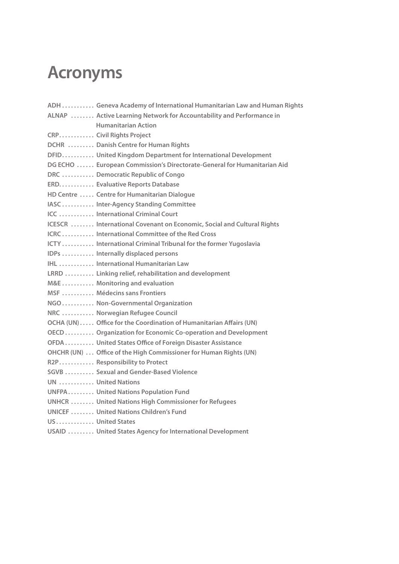## **Acronyms**

|                    | ADH  Geneva Academy of International Humanitarian Law and Human Rights  |
|--------------------|-------------------------------------------------------------------------|
|                    | ALNAP  Active Learning Network for Accountability and Performance in    |
|                    | <b>Humanitarian Action</b>                                              |
|                    | CRP Civil Rights Project                                                |
|                    | DCHR  Danish Centre for Human Rights                                    |
|                    | DFID United Kingdom Department for International Development            |
|                    | DG ECHO  European Commission's Directorate-General for Humanitarian Aid |
|                    | DRC  Democratic Republic of Congo                                       |
|                    | ERD Evaluative Reports Database                                         |
|                    | HD Centre  Centre for Humanitarian Dialogue                             |
|                    | IASC Inter-Agency Standing Committee                                    |
|                    | ICC  International Criminal Court                                       |
|                    | ICESCR  International Covenant on Economic, Social and Cultural Rights  |
|                    | ICRC  International Committee of the Red Cross                          |
|                    | ICTY  International Criminal Tribunal for the former Yugoslavia         |
|                    | IDPs  Internally displaced persons                                      |
|                    | IHL  International Humanitarian Law                                     |
|                    | LRRD  Linking relief, rehabilitation and development                    |
|                    | M&E  Monitoring and evaluation                                          |
|                    | MSF  Médecins sans Frontiers                                            |
|                    | NGO Non-Governmental Organization                                       |
|                    | NRC  Norwegian Refugee Council                                          |
|                    | OCHA (UN)  Office for the Coordination of Humanitarian Affairs (UN)     |
|                    | OECD Organization for Economic Co-operation and Development             |
|                    | OFDA United States Office of Foreign Disaster Assistance                |
|                    | OHCHR (UN)  Office of the High Commissioner for Human Rights (UN)       |
|                    | R2P Responsibility to Protect                                           |
|                    | SGVB Sexual and Gender-Based Violence                                   |
| UN  United Nations |                                                                         |
|                    | UNFPA United Nations Population Fund                                    |
|                    | <b>UNHCR  United Nations High Commissioner for Refugees</b>             |
|                    | <b>UNICEF  United Nations Children's Fund</b>                           |
| US United States   |                                                                         |
|                    | USAID  United States Agency for International Development               |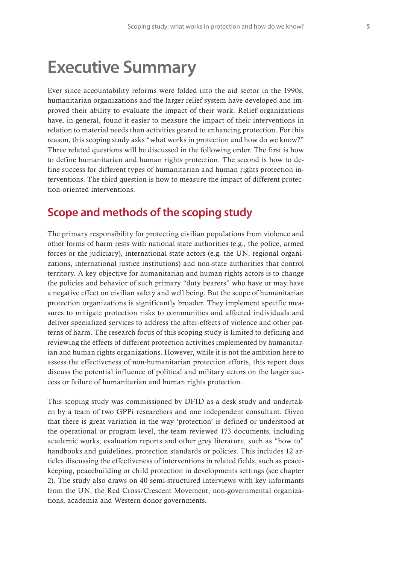## **Executive Summary**

Ever since accountability reforms were folded into the aid sector in the 1990s, humanitarian organizations and the larger relief system have developed and improved their ability to evaluate the impact of their work. Relief organizations have, in general, found it easier to measure the impact of their interventions in relation to material needs than activities geared to enhancing protection. For this reason, this scoping study asks "what works in protection and how do we know?" Three related questions will be discussed in the following order. The first is how to define humanitarian and human rights protection. The second is how to define success for different types of humanitarian and human rights protection interventions. The third question is how to measure the impact of different protection-oriented interventions.

#### **Scope and methods of the scoping study**

The primary responsibility for protecting civilian populations from violence and other forms of harm rests with national state authorities (e.g., the police, armed forces or the judiciary), international state actors (e.g. the UN, regional organizations, international justice institutions) and non-state authorities that control territory. A key objective for humanitarian and human rights actors is to change the policies and behavior of such primary "duty bearers" who have or may have a negative effect on civilian safety and well being. But the scope of humanitarian protection organizations is significantly broader. They implement specific measures to mitigate protection risks to communities and affected individuals and deliver specialized services to address the after-effects of violence and other patterns of harm. The research focus of this scoping study is limited to defining and reviewing the effects of different protection activities implemented by humanitarian and human rights organizations. However, while it is not the ambition here to assess the effectiveness of non-humanitarian protection efforts, this report does discuss the potential influence of political and military actors on the larger success or failure of humanitarian and human rights protection.

This scoping study was commissioned by DFID as a desk study and undertaken by a team of two GPPi researchers and one independent consultant. Given that there is great variation in the way 'protection' is defined or understood at the operational or program level, the team reviewed 173 documents, including academic works, evaluation reports and other grey literature, such as "how to" handbooks and guidelines, protection standards or policies. This includes 12 articles discussing the effectiveness of interventions in related fields, such as peacekeeping, peacebuilding or child protection in developments settings (see chapter 2). The study also draws on 40 semi-structured interviews with key informants from the UN, the Red Cross/Crescent Movement, non-governmental organizations, academia and Western donor governments.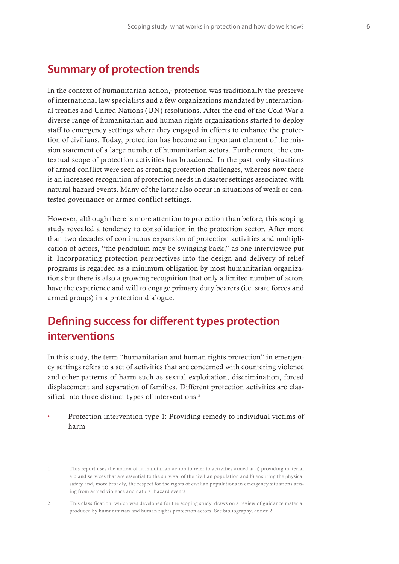### **Summary of protection trends**

In the context of humanitarian action, $1$  protection was traditionally the preserve of international law specialists and a few organizations mandated by international treaties and United Nations (UN) resolutions. After the end of the Cold War a diverse range of humanitarian and human rights organizations started to deploy staff to emergency settings where they engaged in efforts to enhance the protection of civilians. Today, protection has become an important element of the mission statement of a large number of humanitarian actors. Furthermore, the contextual scope of protection activities has broadened: In the past, only situations of armed conflict were seen as creating protection challenges, whereas now there is an increased recognition of protection needs in disaster settings associated with natural hazard events. Many of the latter also occur in situations of weak or contested governance or armed conflict settings.

However, although there is more attention to protection than before, this scoping study revealed a tendency to consolidation in the protection sector. After more than two decades of continuous expansion of protection activities and multiplication of actors, "the pendulum may be swinging back," as one interviewee put it. Incorporating protection perspectives into the design and delivery of relief programs is regarded as a minimum obligation by most humanitarian organizations but there is also a growing recognition that only a limited number of actors have the experience and will to engage primary duty bearers (i.e. state forces and armed groups) in a protection dialogue.

### **Defining success for different types protection interventions**

In this study, the term "humanitarian and human rights protection" in emergency settings refers to a set of activities that are concerned with countering violence and other patterns of harm such as sexual exploitation, discrimination, forced displacement and separation of families. Different protection activities are classified into three distinct types of interventions:<sup>2</sup>

**t** Protection intervention type 1: Providing remedy to individual victims of harm

<sup>1</sup> This report uses the notion of humanitarian action to refer to activities aimed at a) providing material aid and services that are essential to the survival of the civilian population and b) ensuring the physical safety and, more broadly, the respect for the rights of civilian populations in emergency situations arising from armed violence and natural hazard events.

<sup>2</sup> This classification, which was developed for the scoping study, draws on a review of guidance material produced by humanitarian and human rights protection actors. See bibliography, annex 2.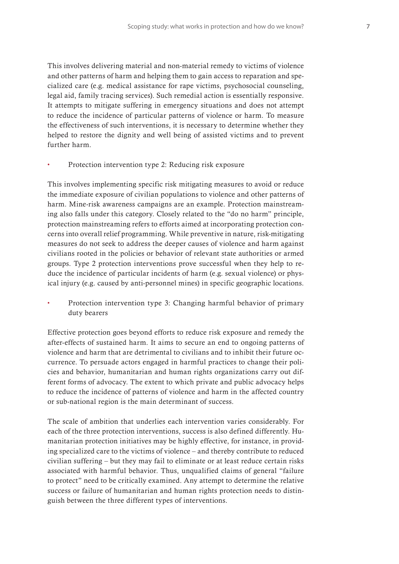This involves delivering material and non-material remedy to victims of violence and other patterns of harm and helping them to gain access to reparation and specialized care (e.g. medical assistance for rape victims, psychosocial counseling, legal aid, family tracing services). Such remedial action is essentially responsive. It attempts to mitigate suffering in emergency situations and does not attempt to reduce the incidence of particular patterns of violence or harm. To measure the effectiveness of such interventions, it is necessary to determine whether they helped to restore the dignity and well being of assisted victims and to prevent further harm.

Protection intervention type 2: Reducing risk exposure

This involves implementing specific risk mitigating measures to avoid or reduce the immediate exposure of civilian populations to violence and other patterns of harm. Mine-risk awareness campaigns are an example. Protection mainstreaming also falls under this category. Closely related to the "do no harm" principle, protection mainstreaming refers to efforts aimed at incorporating protection concerns into overall relief programming. While preventive in nature, risk-mitigating measures do not seek to address the deeper causes of violence and harm against civilians rooted in the policies or behavior of relevant state authorities or armed groups. Type 2 protection interventions prove successful when they help to reduce the incidence of particular incidents of harm (e.g. sexual violence) or physical injury (e.g. caused by anti-personnel mines) in specific geographic locations.

**t** Protection intervention type 3: Changing harmful behavior of primary duty bearers

Effective protection goes beyond efforts to reduce risk exposure and remedy the after-effects of sustained harm. It aims to secure an end to ongoing patterns of violence and harm that are detrimental to civilians and to inhibit their future occurrence. To persuade actors engaged in harmful practices to change their policies and behavior, humanitarian and human rights organizations carry out different forms of advocacy. The extent to which private and public advocacy helps to reduce the incidence of patterns of violence and harm in the affected country or sub-national region is the main determinant of success.

The scale of ambition that underlies each intervention varies considerably. For each of the three protection interventions, success is also defined differently. Humanitarian protection initiatives may be highly effective, for instance, in providing specialized care to the victims of violence – and thereby contribute to reduced civilian suffering – but they may fail to eliminate or at least reduce certain risks associated with harmful behavior. Thus, unqualified claims of general "failure to protect" need to be critically examined. Any attempt to determine the relative success or failure of humanitarian and human rights protection needs to distinguish between the three different types of interventions.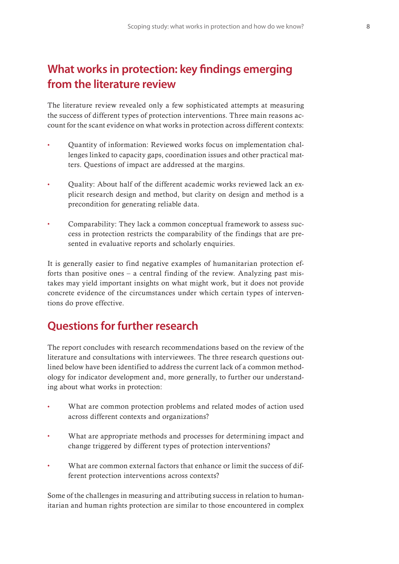## **What works in protection: key !ndings emerging from the literature review**

The literature review revealed only a few sophisticated attempts at measuring the success of different types of protection interventions. Three main reasons account for the scant evidence on what works in protection across different contexts:

- **t** Quantity of information: Reviewed works focus on implementation challenges linked to capacity gaps, coordination issues and other practical matters. Questions of impact are addressed at the margins.
- **t** Quality: About half of the different academic works reviewed lack an explicit research design and method, but clarity on design and method is a precondition for generating reliable data.
- **t** Comparability: They lack a common conceptual framework to assess success in protection restricts the comparability of the findings that are presented in evaluative reports and scholarly enquiries.

It is generally easier to find negative examples of humanitarian protection efforts than positive ones – a central finding of the review. Analyzing past mistakes may yield important insights on what might work, but it does not provide concrete evidence of the circumstances under which certain types of interventions do prove effective.

## **Questions for further research**

The report concludes with research recommendations based on the review of the literature and consultations with interviewees. The three research questions outlined below have been identified to address the current lack of a common methodology for indicator development and, more generally, to further our understanding about what works in protection:

- What are common protection problems and related modes of action used across different contexts and organizations?
- What are appropriate methods and processes for determining impact and change triggered by different types of protection interventions?
- What are common external factors that enhance or limit the success of different protection interventions across contexts?

Some of the challenges in measuring and attributing success in relation to humanitarian and human rights protection are similar to those encountered in complex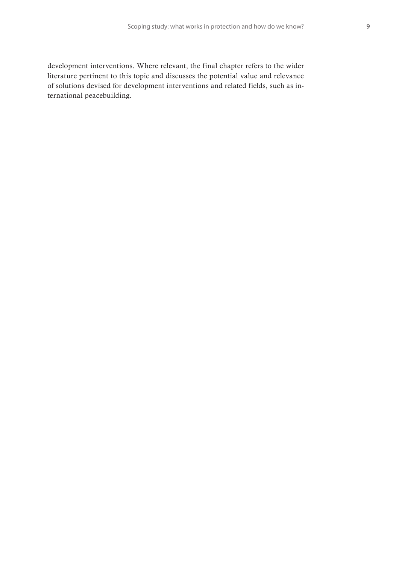development interventions. Where relevant, the final chapter refers to the wider literature pertinent to this topic and discusses the potential value and relevance of solutions devised for development interventions and related fields, such as international peacebuilding.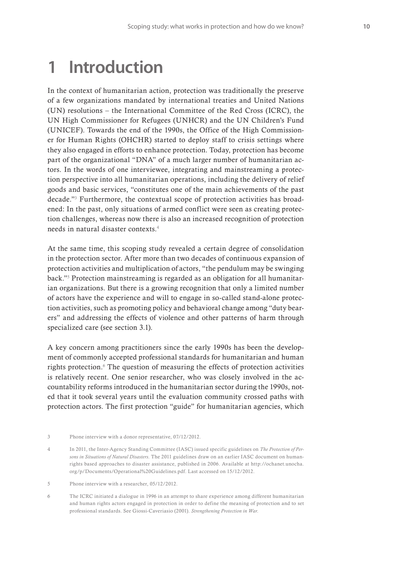## **1 Introduction**

In the context of humanitarian action, protection was traditionally the preserve of a few organizations mandated by international treaties and United Nations (UN) resolutions – the International Committee of the Red Cross (ICRC), the UN High Commissioner for Refugees (UNHCR) and the UN Children's Fund (UNICEF). Towards the end of the 1990s, the Office of the High Commissioner for Human Rights (OHCHR) started to deploy staff to crisis settings where they also engaged in efforts to enhance protection. Today, protection has become part of the organizational "DNA" of a much larger number of humanitarian actors. In the words of one interviewee, integrating and mainstreaming a protection perspective into all humanitarian operations, including the delivery of relief goods and basic services, "constitutes one of the main achievements of the past decade."3 Furthermore, the contextual scope of protection activities has broadened: In the past, only situations of armed conflict were seen as creating protection challenges, whereas now there is also an increased recognition of protection needs in natural disaster contexts.4

At the same time, this scoping study revealed a certain degree of consolidation in the protection sector. After more than two decades of continuous expansion of protection activities and multiplication of actors, "the pendulum may be swinging back."5 Protection mainstreaming is regarded as an obligation for all humanitarian organizations. But there is a growing recognition that only a limited number of actors have the experience and will to engage in so-called stand-alone protection activities, such as promoting policy and behavioral change among "duty bearers" and addressing the effects of violence and other patterns of harm through specialized care (see section 3.1).

A key concern among practitioners since the early 1990s has been the development of commonly accepted professional standards for humanitarian and human rights protection.<sup>6</sup> The question of measuring the effects of protection activities is relatively recent. One senior researcher, who was closely involved in the accountability reforms introduced in the humanitarian sector during the 1990s, noted that it took several years until the evaluation community crossed paths with protection actors. The first protection "guide" for humanitarian agencies, which

<sup>3</sup> Phone interview with a donor representative, 07/12/2012.

<sup>4</sup> In 2011, the Inter-Agency Standing Committee (IASC) issued specific guidelines on *The Protection of Persons in Situations of Natural Disasters*. The 2011 guidelines draw on an earlier IASC document on humanrights based approaches to disaster assistance, published in 2006. Available at http://ochanet.unocha. org/p/Documents/Operational%20Guidelines.pdf. Last accessed on 15/12/2012.

<sup>5</sup> Phone interview with a researcher, 05/12/2012.

<sup>6</sup> The ICRC initiated a dialogue in 1996 in an attempt to share experience among different humanitarian and human rights actors engaged in protection in order to define the meaning of protection and to set professional standards. See Giossi-Caveriasio (2001). *Strengthening Protection in War*.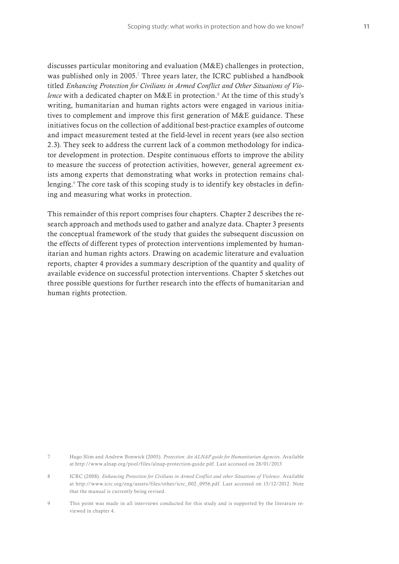discusses particular monitoring and evaluation (M&E) challenges in protection, was published only in 2005.<sup>7</sup> Three years later, the ICRC published a handbook titled *Enhancing Protection for Civilians in Armed Conflict and Other Situations of Vio*lence with a dedicated chapter on M&E in protection.<sup>8</sup> At the time of this study's writing, humanitarian and human rights actors were engaged in various initiatives to complement and improve this first generation of M&E guidance. These initiatives focus on the collection of additional best-practice examples of outcome and impact measurement tested at the field-level in recent years (see also section 2.3). They seek to address the current lack of a common methodology for indicator development in protection. Despite continuous efforts to improve the ability to measure the success of protection activities, however, general agreement exists among experts that demonstrating what works in protection remains challenging.9 The core task of this scoping study is to identify key obstacles in defining and measuring what works in protection.

This remainder of this report comprises four chapters. Chapter 2 describes the research approach and methods used to gather and analyze data. Chapter 3 presents the conceptual framework of the study that guides the subsequent discussion on the effects of different types of protection interventions implemented by humanitarian and human rights actors. Drawing on academic literature and evaluation reports, chapter 4 provides a summary description of the quantity and quality of available evidence on successful protection interventions. Chapter 5 sketches out three possible questions for further research into the effects of humanitarian and human rights protection.

- 8 ICRC (2008). *Enhancing Protection for Civilians in Armed Conflict and other Situations of Violence*. Available at http://www.icrc.org/eng/assets/files/other/icrc\_002\_0956.pdf. Last accessed on 15/12/2012. Note that the manual is currently being revised.
- 9 This point was made in all interviews conducted for this study and is supported by the literature reviewed in chapter 4.

<sup>7</sup> Hugo Slim and Andrew Bonwick (2005). *Protection: An ALNAP guide for Humanitarian Agencies*. Available at http://www.alnap.org/pool/files/alnap-protection-guide.pdf. Last accessed on 28/01/2013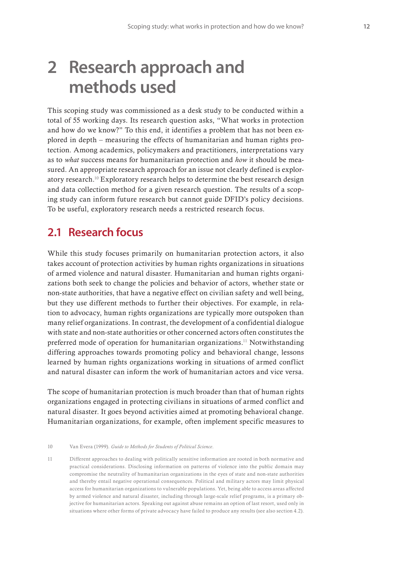## **2 Research approach and methods used**

This scoping study was commissioned as a desk study to be conducted within a total of 55 working days. Its research question asks, "What works in protection and how do we know?" To this end, it identifies a problem that has not been explored in depth – measuring the effects of humanitarian and human rights protection. Among academics, policymakers and practitioners, interpretations vary as to *what* success means for humanitarian protection and *how* it should be measured. An appropriate research approach for an issue not clearly defined is exploratory research.10 Exploratory research helps to determine the best research design and data collection method for a given research question. The results of a scoping study can inform future research but cannot guide DFID's policy decisions. To be useful, exploratory research needs a restricted research focus.

### **2.1 Research focus**

While this study focuses primarily on humanitarian protection actors, it also takes account of protection activities by human rights organizations in situations of armed violence and natural disaster. Humanitarian and human rights organizations both seek to change the policies and behavior of actors, whether state or non-state authorities, that have a negative effect on civilian safety and well being, but they use different methods to further their objectives. For example, in relation to advocacy, human rights organizations are typically more outspoken than many relief organizations. In contrast, the development of a confidential dialogue with state and non-state authorities or other concerned actors often constitutes the preferred mode of operation for humanitarian organizations.11 Notwithstanding differing approaches towards promoting policy and behavioral change, lessons learned by human rights organizations working in situations of armed conflict and natural disaster can inform the work of humanitarian actors and vice versa.

The scope of humanitarian protection is much broader than that of human rights organizations engaged in protecting civilians in situations of armed conflict and natural disaster. It goes beyond activities aimed at promoting behavioral change. Humanitarian organizations, for example, often implement specific measures to

11 Different approaches to dealing with politically sensitive information are rooted in both normative and practical considerations. Disclosing information on patterns of violence into the public domain may compromise the neutrality of humanitarian organizations in the eyes of state and non-state authorities and thereby entail negative operational consequences. Political and military actors may limit physical access for humanitarian organizations to vulnerable populations. Yet, being able to access areas affected by armed violence and natural disaster, including through large-scale relief programs, is a primary objective for humanitarian actors. Speaking out against abuse remains an option of last resort, used only in situations where other forms of private advocacy have failed to produce any results (see also section 4.2).

<sup>10</sup> Van Evera (1999). *Guide to Methods for Students of Political Science*.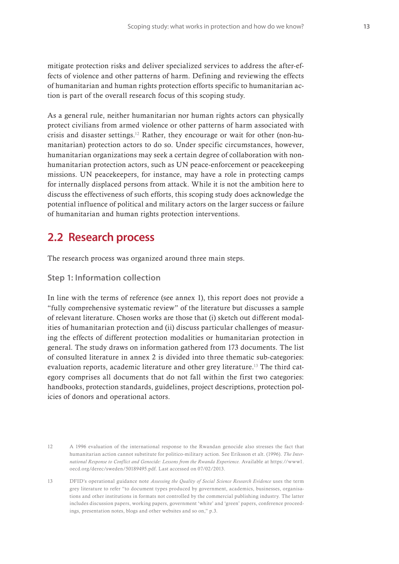mitigate protection risks and deliver specialized services to address the after-effects of violence and other patterns of harm. Defining and reviewing the effects of humanitarian and human rights protection efforts specific to humanitarian action is part of the overall research focus of this scoping study.

As a general rule, neither humanitarian nor human rights actors can physically protect civilians from armed violence or other patterns of harm associated with crisis and disaster settings.12 Rather, they encourage or wait for other (non-humanitarian) protection actors to do so. Under specific circumstances, however, humanitarian organizations may seek a certain degree of collaboration with nonhumanitarian protection actors, such as UN peace-enforcement or peacekeeping missions. UN peacekeepers, for instance, may have a role in protecting camps for internally displaced persons from attack. While it is not the ambition here to discuss the effectiveness of such efforts, this scoping study does acknowledge the potential influence of political and military actors on the larger success or failure of humanitarian and human rights protection interventions.

### **2.2 Research process**

The research process was organized around three main steps.

#### **Step 1: Information collection**

In line with the terms of reference (see annex 1), this report does not provide a "fully comprehensive systematic review" of the literature but discusses a sample of relevant literature. Chosen works are those that (i) sketch out different modalities of humanitarian protection and (ii) discuss particular challenges of measuring the effects of different protection modalities or humanitarian protection in general. The study draws on information gathered from 173 documents. The list of consulted literature in annex 2 is divided into three thematic sub-categories: evaluation reports, academic literature and other grey literature.13 The third category comprises all documents that do not fall within the first two categories: handbooks, protection standards, guidelines, project descriptions, protection policies of donors and operational actors.

<sup>12</sup> A 1996 evaluation of the international response to the Rwandan genocide also stresses the fact that humanitarian action cannot substitute for politico-military action. See Eriksson et alt. (1996). *The International Response to Conflict and Genocide: Lessons from the Rwanda Experience.* Available at https://www1. oecd.org/derec/sweden/50189495.pdf. Last accessed on 07/02/2013.

<sup>13</sup> DFID's operational guidance note *Assessing the Quality of Social Science Research Evidence* uses the term grey literature to refer "to document types produced by government, academics, businesses, organisations and other institutions in formats not controlled by the commercial publishing industry. The latter includes discussion papers, working papers, government 'white' and 'green' papers, conference proceedings, presentation notes, blogs and other websites and so on," p.3.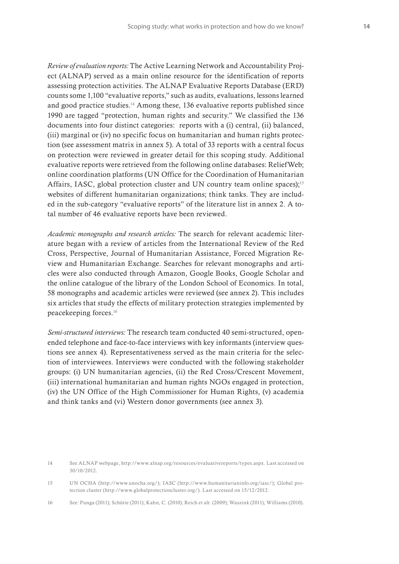*Review of evaluation reports:* The Active Learning Network and Accountability Project (ALNAP) served as a main online resource for the identification of reports assessing protection activities. The ALNAP Evaluative Reports Database (ERD) counts some 1,100 "evaluative reports," such as audits, evaluations, lessons learned and good practice studies.<sup>14</sup> Among these, 136 evaluative reports published since 1990 are tagged "protection, human rights and security." We classified the 136 documents into four distinct categories: reports with a (i) central, (ii) balanced, (iii) marginal or (iv) no specific focus on humanitarian and human rights protection (see assessment matrix in annex 5). A total of 33 reports with a central focus on protection were reviewed in greater detail for this scoping study. Additional evaluative reports were retrieved from the following online databases: ReliefWeb; online coordination platforms (UN Office for the Coordination of Humanitarian Affairs, IASC, global protection cluster and UN country team online spaces);<sup>15</sup> websites of different humanitarian organizations; think tanks. They are included in the sub-category "evaluative reports" of the literature list in annex 2. A total number of 46 evaluative reports have been reviewed.

*Academic monographs and research articles:* The search for relevant academic literature began with a review of articles from the International Review of the Red Cross, Perspective, Journal of Humanitarian Assistance, Forced Migration Review and Humanitarian Exchange. Searches for relevant monographs and articles were also conducted through Amazon, Google Books, Google Scholar and the online catalogue of the library of the London School of Economics. In total, 58 monographs and academic articles were reviewed (see annex 2). This includes six articles that study the effects of military protection strategies implemented by peacekeeping forces.16

*Semi-structured interviews:* The research team conducted 40 semi-structured, openended telephone and face-to-face interviews with key informants (interview questions see annex 4). Representativeness served as the main criteria for the selection of interviewees. Interviews were conducted with the following stakeholder groups: (i) UN humanitarian agencies, (ii) the Red Cross/Crescent Movement, (iii) international humanitarian and human rights NGOs engaged in protection, (iv) the UN Office of the High Commissioner for Human Rights, (v) academia and think tanks and (vi) Western donor governments (see annex 3).

<sup>14</sup> See ALNAP webpage, http://www.alnap.org/resources/evaluativereports/types.aspx. Last accessed on 30/10/2012.

<sup>15</sup> UN OCHA (http://www.unocha.org/); IASC (http://www.humanitarianinfo.org/iasc/); Global protection cluster (http://www.globalprotectioncluster.org/). Last accessed on 15/12/2012.

<sup>16</sup> See: Punga (2011); Schütte (2011); Kahn, C. (2010); Reich et alt. (2009); Waszink (2011); Williams (2010).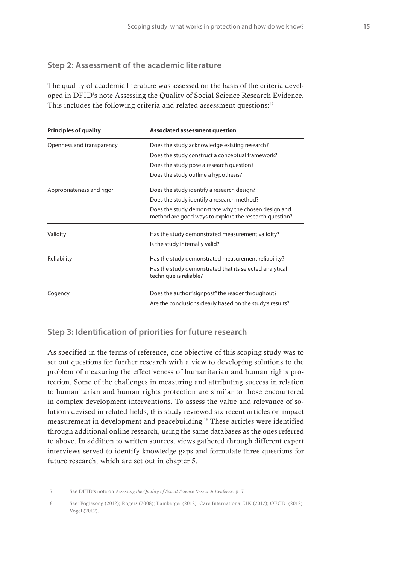#### **Step 2: Assessment of the academic literature**

The quality of academic literature was assessed on the basis of the criteria developed in DFID's note Assessing the Quality of Social Science Research Evidence. This includes the following criteria and related assessment questions:<sup>17</sup>

| <b>Principles of quality</b> | <b>Associated assessment question</b>                                                                          |  |  |
|------------------------------|----------------------------------------------------------------------------------------------------------------|--|--|
| Openness and transparency    | Does the study acknowledge existing research?                                                                  |  |  |
|                              | Does the study construct a conceptual framework?                                                               |  |  |
|                              | Does the study pose a research question?                                                                       |  |  |
|                              | Does the study outline a hypothesis?                                                                           |  |  |
| Appropriateness and rigor    | Does the study identify a research design?                                                                     |  |  |
|                              | Does the study identify a research method?                                                                     |  |  |
|                              | Does the study demonstrate why the chosen design and<br>method are good ways to explore the research question? |  |  |
| Validity                     | Has the study demonstrated measurement validity?                                                               |  |  |
|                              | Is the study internally valid?                                                                                 |  |  |
| Reliability                  | Has the study demonstrated measurement reliability?                                                            |  |  |
|                              | Has the study demonstrated that its selected analytical<br>technique is reliable?                              |  |  |
| Cogency                      | Does the author "signpost" the reader throughout?                                                              |  |  |
|                              | Are the conclusions clearly based on the study's results?                                                      |  |  |

#### **Step 3: Identi!cation of priorities for future research**

As specified in the terms of reference, one objective of this scoping study was to set out questions for further research with a view to developing solutions to the problem of measuring the effectiveness of humanitarian and human rights protection. Some of the challenges in measuring and attributing success in relation to humanitarian and human rights protection are similar to those encountered in complex development interventions. To assess the value and relevance of solutions devised in related fields, this study reviewed six recent articles on impact measurement in development and peacebuilding.18 These articles were identified through additional online research, using the same databases as the ones referred to above. In addition to written sources, views gathered through different expert interviews served to identify knowledge gaps and formulate three questions for future research, which are set out in chapter 5.

17 See DFID's note on *Assessing the Quality of Social Science Research Evidence*. p. 7.

18 See: Foglesong (2012); Rogers (2008); Bamberger (2012); Care International UK (2012); OECD (2012); Vogel (2012).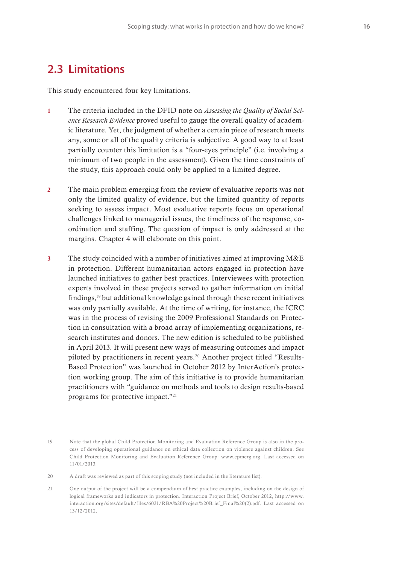### **2.3 Limitations**

This study encountered four key limitations.

- 1 The criteria included in the DFID note on *Assessing the Quality of Social Science Research Evidence* proved useful to gauge the overall quality of academic literature. Yet, the judgment of whether a certain piece of research meets any, some or all of the quality criteria is subjective. A good way to at least partially counter this limitation is a "four-eyes principle" (i.e. involving a minimum of two people in the assessment). Given the time constraints of the study, this approach could only be applied to a limited degree.
- 2 The main problem emerging from the review of evaluative reports was not only the limited quality of evidence, but the limited quantity of reports seeking to assess impact. Most evaluative reports focus on operational challenges linked to managerial issues, the timeliness of the response, coordination and staffing. The question of impact is only addressed at the margins. Chapter 4 will elaborate on this point.
- 3 The study coincided with a number of initiatives aimed at improving M&E in protection. Different humanitarian actors engaged in protection have launched initiatives to gather best practices. Interviewees with protection experts involved in these projects served to gather information on initial findings,19 but additional knowledge gained through these recent initiatives was only partially available. At the time of writing, for instance, the ICRC was in the process of revising the 2009 Professional Standards on Protection in consultation with a broad array of implementing organizations, research institutes and donors. The new edition is scheduled to be published in April 2013. It will present new ways of measuring outcomes and impact piloted by practitioners in recent years.20 Another project titled "Results-Based Protection" was launched in October 2012 by InterAction's protection working group. The aim of this initiative is to provide humanitarian practitioners with "guidance on methods and tools to design results-based programs for protective impact."21

20 A draft was reviewed as part of this scoping study (not included in the literature list).

21 One output of the project will be a compendium of best practice examples, including on the design of logical frameworks and indicators in protection. Interaction Project Brief, October 2012, http://www. interaction.org/sites/default/files/6031/RBA%20Project%20Brief\_Final%20(2).pdf. Last accessed on 13/12/2012.

<sup>19</sup> Note that the global Child Protection Monitoring and Evaluation Reference Group is also in the process of developing operational guidance on ethical data collection on violence against children. See Child Protection Monitoring and Evaluation Reference Group: www.cpmerg.org. Last accessed on 11/01/2013.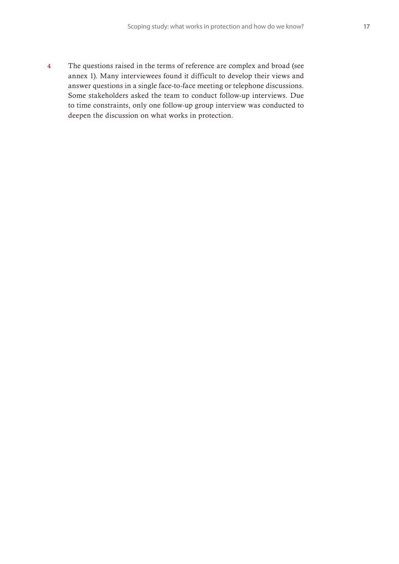4 The questions raised in the terms of reference are complex and broad (see annex 1). Many interviewees found it difficult to develop their views and answer questions in a single face-to-face meeting or telephone discussions. Some stakeholders asked the team to conduct follow-up interviews. Due to time constraints, only one follow-up group interview was conducted to deepen the discussion on what works in protection.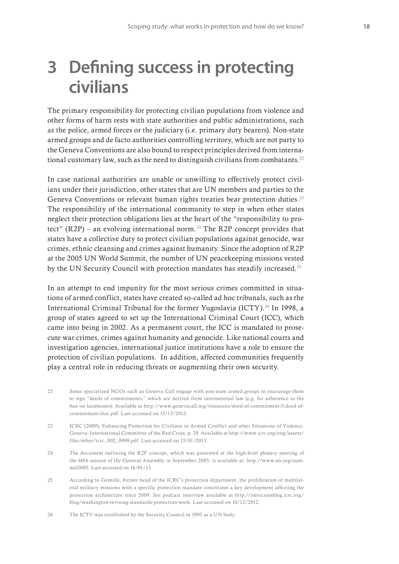## **3 De!ning success in protecting civilians**

The primary responsibility for protecting civilian populations from violence and other forms of harm rests with state authorities and public administrations, such as the police, armed forces or the judiciary (i.e. primary duty bearers). Non-state armed groups and de facto authorities controlling territory, which are not party to the Geneva Conventions are also bound to respect principles derived from international customary law, such as the need to distinguish civilians from combatants.22

In case national authorities are unable or unwilling to effectively protect civilians under their jurisdiction, other states that are UN members and parties to the Geneva Conventions or relevant human rights treaties bear protection duties.<sup>23</sup> The responsibility of the international community to step in when other states neglect their protection obligations lies at the heart of the "responsibility to protect" (R2P) – an evolving international norm.<sup>24</sup> The R2P concept provides that states have a collective duty to protect civilian populations against genocide, war crimes, ethnic cleansing and crimes against humanity. Since the adoption of R2P at the 2005 UN World Summit, the number of UN peacekeeping missions vested by the UN Security Council with protection mandates has steadily increased.<sup>25</sup>

In an attempt to end impunity for the most serious crimes committed in situations of armed conflict, states have created so-called ad hoc tribunals, such as the International Criminal Tribunal for the former Yugoslavia (ICTY).<sup>26</sup> In 1998, a group of states agreed to set up the International Criminal Court (ICC), which came into being in 2002. As a permanent court, the ICC is mandated to prosecute war crimes, crimes against humanity and genocide. Like national courts and investigation agencies, international justice institutions have a role to ensure the protection of civilian populations. In addition, affected communities frequently play a central role in reducing threats or augmenting their own security.

- 22 Some specialized NGOs such as Geneva Call engage with non-state armed groups to encourage them to sign "deeds of commitments," which are derived from international law (e.g. for adherence to the ban on landmines). Available at http://www.genevacall.org/resources/deed-of-commitment/f-deed-ofcommitment/doc.pdf. Last accessed on 15/12/2012.
- 23 ICRC (2009), Enhancing Protection for Civilians in Armed Conflict and other Situations of Violence. Geneva: International Committee of the Red Cross, p. 29. Available at http://www.icrc.org/eng/assets/ files/other/icrc\_002\_0999.pdf. Last accessed on 15/01/2013.
- 24 The document outlining the R2P concept, which was presented at the high-level plenary meeting of the 60th session of the General Assembly in September 2005, is available at: http://www.un.org/summit2005. Last accessed on 16/01/13.
- 25 According to Gentille, former head of the ICRC's protection department, the proliferation of multilateral military missions with a specific protection mandate constitutes a key development affecting the protection architecture since 2009. See podcast interview available at http://intercrossblog.icrc.org/ blog/washington-revising-standards-protection-work. Last accessed on 10/12/2012.
- 26 The ICTY was established by the Security Council in 1993 as a UN body.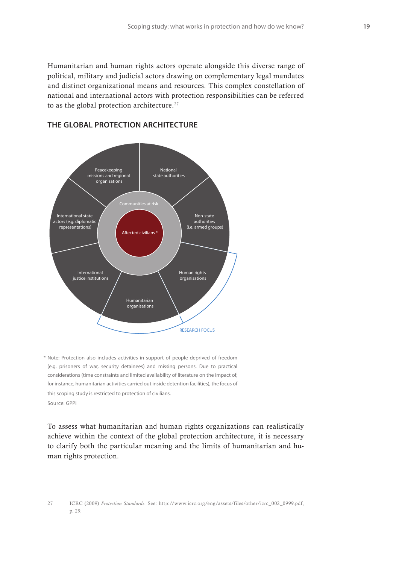Humanitarian and human rights actors operate alongside this diverse range of political, military and judicial actors drawing on complementary legal mandates and distinct organizational means and resources. This complex constellation of national and international actors with protection responsibilities can be referred to as the global protection architecture.<sup>27</sup>



#### **THE GLOBAL PROTECTION ARCHITECTURE**

Note: Protection also includes activities in support of people deprived of freedom \* (e.g. prisoners of war, security detainees) and missing persons. Due to practical considerations (time constraints and limited availability of literature on the impact of, for instance, humanitarian activities carried out inside detention facilities), the focus of this scoping study is restricted to protection of civilians. Source: GPPi

To assess what humanitarian and human rights organizations can realistically achieve within the context of the global protection architecture, it is necessary to clarify both the particular meaning and the limits of humanitarian and human rights protection.

<sup>27</sup> ICRC (2009) *Protection Standards*. See: http://www.icrc.org/eng/assets/files/other/icrc\_002\_0999.pdf, p. 29.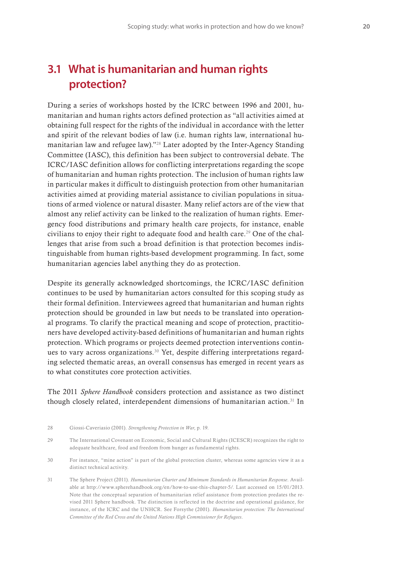### **3.1 What is humanitarian and human rights protection?**

During a series of workshops hosted by the ICRC between 1996 and 2001, humanitarian and human rights actors defined protection as "all activities aimed at obtaining full respect for the rights of the individual in accordance with the letter and spirit of the relevant bodies of law (i.e. human rights law, international humanitarian law and refugee law)."28 Later adopted by the Inter-Agency Standing Committee (IASC), this definition has been subject to controversial debate. The ICRC/IASC definition allows for conflicting interpretations regarding the scope of humanitarian and human rights protection. The inclusion of human rights law in particular makes it difficult to distinguish protection from other humanitarian activities aimed at providing material assistance to civilian populations in situations of armed violence or natural disaster. Many relief actors are of the view that almost any relief activity can be linked to the realization of human rights. Emergency food distributions and primary health care projects, for instance, enable civilians to enjoy their right to adequate food and health care.<sup>29</sup> One of the challenges that arise from such a broad definition is that protection becomes indistinguishable from human rights-based development programming. In fact, some humanitarian agencies label anything they do as protection.

Despite its generally acknowledged shortcomings, the ICRC/IASC definition continues to be used by humanitarian actors consulted for this scoping study as their formal definition. Interviewees agreed that humanitarian and human rights protection should be grounded in law but needs to be translated into operational programs. To clarify the practical meaning and scope of protection, practitioners have developed activity-based definitions of humanitarian and human rights protection. Which programs or projects deemed protection interventions continues to vary across organizations.<sup>30</sup> Yet, despite differing interpretations regarding selected thematic areas, an overall consensus has emerged in recent years as to what constitutes core protection activities.

The 2011 *Sphere Handbook* considers protection and assistance as two distinct though closely related, interdependent dimensions of humanitarian action.31 In

31 The Sphere Project (2011). *Humanitarian Charter and Minimum Standards in Humanitarian Response*. Available at http://www.spherehandbook.org/en/how-to-use-this-chapter-5/. Last accessed on 15/01/2013. Note that the conceptual separation of humanitarian relief assistance from protection predates the revised 2011 Sphere handbook. The distinction is reflected in the doctrine and operational guidance, for instance, of the ICRC and the UNHCR. See Forsythe (2001). *Humanitarian protection: The International Committee of the Red Cross and the United Nations High Commissioner for Refugees*.

<sup>28</sup> Giossi-Caveriasio (2001). *Strengthening Protection in War*, p. 19.

<sup>29</sup> The International Covenant on Economic, Social and Cultural Rights (ICESCR) recognizes the right to adequate healthcare, food and freedom from hunger as fundamental rights.

<sup>30</sup> For instance, "mine action" is part of the global protection cluster, whereas some agencies view it as a distinct technical activity.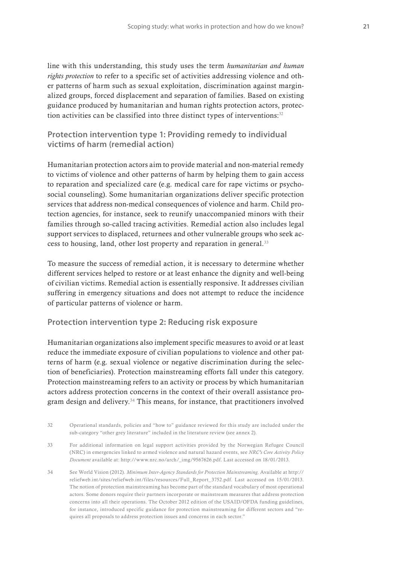line with this understanding, this study uses the term *humanitarian and human rights protection* to refer to a specific set of activities addressing violence and other patterns of harm such as sexual exploitation, discrimination against marginalized groups, forced displacement and separation of families. Based on existing guidance produced by humanitarian and human rights protection actors, protection activities can be classified into three distinct types of interventions:<sup>32</sup>

**Protection intervention type 1: Providing remedy to individual victims of harm (remedial action)**

Humanitarian protection actors aim to provide material and non-material remedy to victims of violence and other patterns of harm by helping them to gain access to reparation and specialized care (e.g. medical care for rape victims or psychosocial counseling). Some humanitarian organizations deliver specific protection services that address non-medical consequences of violence and harm. Child protection agencies, for instance, seek to reunify unaccompanied minors with their families through so-called tracing activities. Remedial action also includes legal support services to displaced, returnees and other vulnerable groups who seek access to housing, land, other lost property and reparation in general.<sup>33</sup>

To measure the success of remedial action, it is necessary to determine whether different services helped to restore or at least enhance the dignity and well-being of civilian victims. Remedial action is essentially responsive. It addresses civilian suffering in emergency situations and does not attempt to reduce the incidence of particular patterns of violence or harm.

#### **Protection intervention type 2: Reducing risk exposure**

Humanitarian organizations also implement specific measures to avoid or at least reduce the immediate exposure of civilian populations to violence and other patterns of harm (e.g. sexual violence or negative discrimination during the selection of beneficiaries). Protection mainstreaming efforts fall under this category. Protection mainstreaming refers to an activity or process by which humanitarian actors address protection concerns in the context of their overall assistance program design and delivery.<sup>34</sup> This means, for instance, that practitioners involved

<sup>32</sup> Operational standards, policies and "how to" guidance reviewed for this study are included under the sub-category "other grey literature" included in the literature review (see annex 2).

<sup>33</sup> For additional information on legal support activities provided by the Norwegian Refugee Council (NRC) in emergencies linked to armed violence and natural hazard events, see *NRC's Core Activity Policy Document* available at: http://www.nrc.no/arch/\_img/9567626.pdf. Last accessed on 18/01/2013.

<sup>34</sup> See World Vision (2012). *Minimum Inter-Agency Standards for Protection Mainstreaming*. Available at http:// reliefweb.int/sites/reliefweb.int/files/resources/Full\_Report\_3752.pdf. Last accessed on 15/01/2013. The notion of protection mainstreaming has become part of the standard vocabulary of most operational actors. Some donors require their partners incorporate or mainstream measures that address protection concerns into all their operations. The October 2012 edition of the USAID/OFDA funding guidelines, for instance, introduced specific guidance for protection mainstreaming for different sectors and "requires all proposals to address protection issues and concerns in each sector."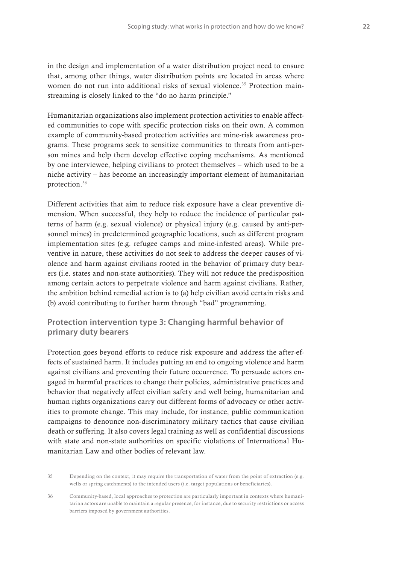in the design and implementation of a water distribution project need to ensure that, among other things, water distribution points are located in areas where women do not run into additional risks of sexual violence.<sup>35</sup> Protection mainstreaming is closely linked to the "do no harm principle."

Humanitarian organizations also implement protection activities to enable affected communities to cope with specific protection risks on their own. A common example of community-based protection activities are mine-risk awareness programs. These programs seek to sensitize communities to threats from anti-person mines and help them develop effective coping mechanisms. As mentioned by one interviewee, helping civilians to protect themselves – which used to be a niche activity – has become an increasingly important element of humanitarian protection.36

Different activities that aim to reduce risk exposure have a clear preventive dimension. When successful, they help to reduce the incidence of particular patterns of harm (e.g. sexual violence) or physical injury (e.g. caused by anti-personnel mines) in predetermined geographic locations, such as different program implementation sites (e.g. refugee camps and mine-infested areas). While preventive in nature, these activities do not seek to address the deeper causes of violence and harm against civilians rooted in the behavior of primary duty bearers (i.e. states and non-state authorities). They will not reduce the predisposition among certain actors to perpetrate violence and harm against civilians. Rather, the ambition behind remedial action is to (a) help civilian avoid certain risks and (b) avoid contributing to further harm through "bad" programming.

#### **Protection intervention type 3: Changing harmful behavior of primary duty bearers**

Protection goes beyond efforts to reduce risk exposure and address the after-effects of sustained harm. It includes putting an end to ongoing violence and harm against civilians and preventing their future occurrence. To persuade actors engaged in harmful practices to change their policies, administrative practices and behavior that negatively affect civilian safety and well being, humanitarian and human rights organizations carry out different forms of advocacy or other activities to promote change. This may include, for instance, public communication campaigns to denounce non-discriminatory military tactics that cause civilian death or suffering. It also covers legal training as well as confidential discussions with state and non-state authorities on specific violations of International Humanitarian Law and other bodies of relevant law.

35 Depending on the context, it may require the transportation of water from the point of extraction (e.g. wells or spring catchments) to the intended users (i.e. target populations or beneficiaries).

36 Community-based, local approaches to protection are particularly important in contexts where humanitarian actors are unable to maintain a regular presence, for instance, due to security restrictions or access barriers imposed by government authorities.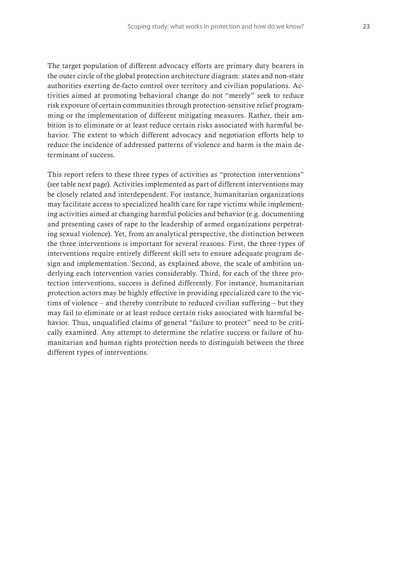The target population of different advocacy efforts are primary duty bearers in the outer circle of the global protection architecture diagram: states and non-state authorities exerting de-facto control over territory and civilian populations. Activities aimed at promoting behavioral change do not "merely" seek to reduce risk exposure of certain communities through protection-sensitive relief programming or the implementation of different mitigating measures. Rather, their ambition is to eliminate or at least reduce certain risks associated with harmful behavior. The extent to which different advocacy and negotiation efforts help to reduce the incidence of addressed patterns of violence and harm is the main determinant of success.

This report refers to these three types of activities as "protection interventions" (see table next page). Activities implemented as part of different interventions may be closely related and interdependent. For instance, humanitarian organizations may facilitate access to specialized health care for rape victims while implementing activities aimed at changing harmful policies and behavior (e.g. documenting and presenting cases of rape to the leadership of armed organizations perpetrating sexual violence). Yet, from an analytical perspective, the distinction between the three interventions is important for several reasons. First, the three types of interventions require entirely different skill sets to ensure adequate program design and implementation. Second, as explained above, the scale of ambition underlying each intervention varies considerably. Third, for each of the three protection interventions, success is defined differently. For instance, humanitarian protection actors may be highly effective in providing specialized care to the victims of violence – and thereby contribute to reduced civilian suffering – but they may fail to eliminate or at least reduce certain risks associated with harmful behavior. Thus, unqualified claims of general "failure to protect" need to be critically examined. Any attempt to determine the relative success or failure of humanitarian and human rights protection needs to distinguish between the three different types of interventions.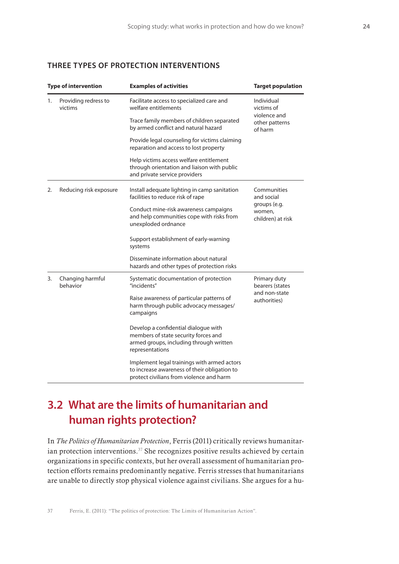#### **THREE TYPES OF PROTECTION INTERVENTIONS**

|    | <b>Type of intervention</b>     | <b>Examples of activities</b>                                                                                                              | <b>Target population</b>                                                 |  |
|----|---------------------------------|--------------------------------------------------------------------------------------------------------------------------------------------|--------------------------------------------------------------------------|--|
| 1. | Providing redress to<br>victims | Facilitate access to specialized care and<br>welfare entitlements                                                                          | Individual<br>victims of<br>violence and<br>other patterns<br>of harm    |  |
|    |                                 | Trace family members of children separated<br>by armed conflict and natural hazard                                                         |                                                                          |  |
|    |                                 | Provide legal counseling for victims claiming<br>reparation and access to lost property                                                    |                                                                          |  |
|    |                                 | Help victims access welfare entitlement<br>through orientation and liaison with public<br>and private service providers                    |                                                                          |  |
| 2. | Reducing risk exposure          | Install adequate lighting in camp sanitation<br>facilities to reduce risk of rape                                                          | Communities<br>and social<br>groups (e.g.<br>women,<br>children) at risk |  |
|    |                                 | Conduct mine-risk awareness campaigns<br>and help communities cope with risks from<br>unexploded ordnance                                  |                                                                          |  |
|    |                                 | Support establishment of early-warning<br>systems                                                                                          |                                                                          |  |
|    |                                 | Disseminate information about natural<br>hazards and other types of protection risks                                                       |                                                                          |  |
| 3. | Changing harmful<br>behavior    | Systematic documentation of protection<br>"incidents"                                                                                      | Primary duty<br>bearers (states<br>and non-state<br>authorities)         |  |
|    |                                 | Raise awareness of particular patterns of<br>harm through public advocacy messages/<br>campaigns                                           |                                                                          |  |
|    |                                 | Develop a confidential dialogue with<br>members of state security forces and<br>armed groups, including through written<br>representations |                                                                          |  |
|    |                                 | Implement legal trainings with armed actors<br>to increase awareness of their obligation to<br>protect civilians from violence and harm    |                                                                          |  |

## **3.2 What are the limits of humanitarian and human rights protection?**

In *The Politics of Humanitarian Protection*, Ferris (2011) critically reviews humanitarian protection interventions.<sup>37</sup> She recognizes positive results achieved by certain organizations in specific contexts, but her overall assessment of humanitarian protection efforts remains predominantly negative. Ferris stresses that humanitarians are unable to directly stop physical violence against civilians. She argues for a hu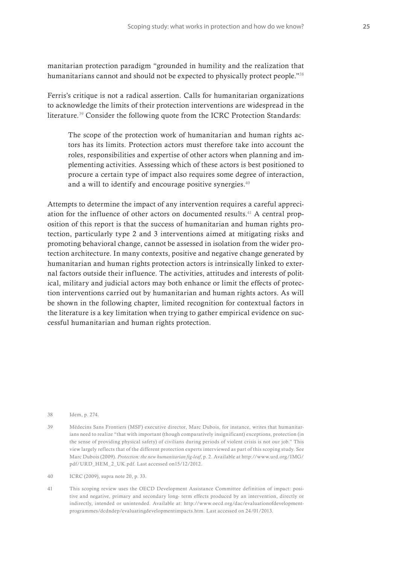manitarian protection paradigm "grounded in humility and the realization that humanitarians cannot and should not be expected to physically protect people."38

Ferris's critique is not a radical assertion. Calls for humanitarian organizations to acknowledge the limits of their protection interventions are widespread in the literature.39 Consider the following quote from the ICRC Protection Standards:

The scope of the protection work of humanitarian and human rights actors has its limits. Protection actors must therefore take into account the roles, responsibilities and expertise of other actors when planning and implementing activities. Assessing which of these actors is best positioned to procure a certain type of impact also requires some degree of interaction, and a will to identify and encourage positive synergies. $40$ 

Attempts to determine the impact of any intervention requires a careful appreciation for the influence of other actors on documented results.<sup>41</sup> A central proposition of this report is that the success of humanitarian and human rights protection, particularly type 2 and 3 interventions aimed at mitigating risks and promoting behavioral change, cannot be assessed in isolation from the wider protection architecture. In many contexts, positive and negative change generated by humanitarian and human rights protection actors is intrinsically linked to external factors outside their influence. The activities, attitudes and interests of political, military and judicial actors may both enhance or limit the effects of protection interventions carried out by humanitarian and human rights actors. As will be shown in the following chapter, limited recognition for contextual factors in the literature is a key limitation when trying to gather empirical evidence on successful humanitarian and human rights protection.

38 Idem, p. 274.

39 Médecins Sans Frontiers (MSF) executive director, Marc Dubois, for instance, writes that humanitarians need to realize "that with important (though comparatively insignificant) exceptions, protection (in the sense of providing physical safety) of civilians during periods of violent crisis is not our job." This view largely reflects that of the different protection experts interviewed as part of this scoping study. See Marc Dubois (2009). *Protection: the new humanitarian fig-leaf*, p. 2. Available at http://www.urd.org/IMG/ pdf/URD\_HEM\_2\_UK.pdf. Last accessed on15/12/2012.

40 ICRC (2009), supra note 20, p. 33.

41 This scoping review uses the OECD Development Assistance Committee definition of impact: positive and negative, primary and secondary long- term effects produced by an intervention, directly or indirectly, intended or unintended. Available at: http://www.oecd.org/dac/evaluationofdevelopmentprogrammes/dcdndep/evaluatingdevelopmentimpacts.htm. Last accessed on 24/01/2013.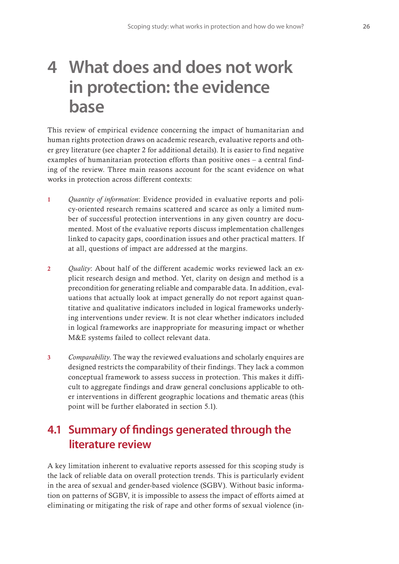## **4 What does and does not work in protection: the evidence base**

This review of empirical evidence concerning the impact of humanitarian and human rights protection draws on academic research, evaluative reports and other grey literature (see chapter 2 for additional details). It is easier to find negative examples of humanitarian protection efforts than positive ones – a central finding of the review. Three main reasons account for the scant evidence on what works in protection across different contexts:

- 1 *Quantity of information*: Evidence provided in evaluative reports and policy-oriented research remains scattered and scarce as only a limited number of successful protection interventions in any given country are documented. Most of the evaluative reports discuss implementation challenges linked to capacity gaps, coordination issues and other practical matters. If at all, questions of impact are addressed at the margins.
- 2 *Quality*: About half of the different academic works reviewed lack an explicit research design and method. Yet, clarity on design and method is a precondition for generating reliable and comparable data. In addition, evaluations that actually look at impact generally do not report against quantitative and qualitative indicators included in logical frameworks underlying interventions under review. It is not clear whether indicators included in logical frameworks are inappropriate for measuring impact or whether M&E systems failed to collect relevant data.
- 3 *Comparability*. The way the reviewed evaluations and scholarly enquires are designed restricts the comparability of their findings. They lack a common conceptual framework to assess success in protection. This makes it difficult to aggregate findings and draw general conclusions applicable to other interventions in different geographic locations and thematic areas (this point will be further elaborated in section 5.1).

### **4.1 Summary of findings generated through the literature review**

A key limitation inherent to evaluative reports assessed for this scoping study is the lack of reliable data on overall protection trends. This is particularly evident in the area of sexual and gender-based violence (SGBV). Without basic information on patterns of SGBV, it is impossible to assess the impact of efforts aimed at eliminating or mitigating the risk of rape and other forms of sexual violence (in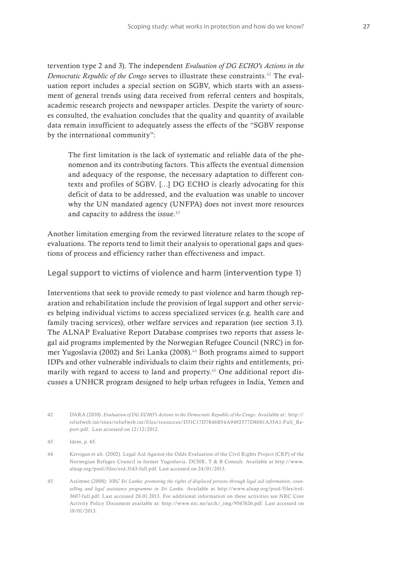tervention type 2 and 3). The independent *Evaluation of DG ECHO's Actions in the Democratic Republic of the Congo* serves to illustrate these constraints.<sup>42</sup> The evaluation report includes a special section on SGBV, which starts with an assessment of general trends using data received from referral centers and hospitals, academic research projects and newspaper articles. Despite the variety of sources consulted, the evaluation concludes that the quality and quantity of available data remain insufficient to adequately assess the effects of the "SGBV response by the international community":

The first limitation is the lack of systematic and reliable data of the phenomenon and its contributing factors. This affects the eventual dimension and adequacy of the response, the necessary adaptation to different contexts and profiles of SGBV. […] DG ECHO is clearly advocating for this deficit of data to be addressed, and the evaluation was unable to uncover why the UN mandated agency (UNFPA) does not invest more resources and capacity to address the issue.<sup>43</sup>

Another limitation emerging from the reviewed literature relates to the scope of evaluations. The reports tend to limit their analysis to operational gaps and questions of process and efficiency rather than effectiveness and impact.

**Legal support to victims of violence and harm (intervention type 1)**

Interventions that seek to provide remedy to past violence and harm though reparation and rehabilitation include the provision of legal support and other services helping individual victims to access specialized services (e.g. health care and family tracing services), other welfare services and reparation (see section 3.1). The ALNAP Evaluative Report Database comprises two reports that assess legal aid programs implemented by the Norwegian Refugee Council (NRC) in former Yugoslavia (2002) and Sri Lanka (2008).44 Both programs aimed to support IDPs and other vulnerable individuals to claim their rights and entitlements, primarily with regard to access to land and property.<sup>45</sup> One additional report discusses a UNHCR program designed to help urban refugees in India, Yemen and

45 Asiimwe (2008): *NRC Sri Lanka: promoting the rights of displaced persons through legal aid information, counselling and legal assistance programme in Sri Lanka*. Available at http://www.alnap.org/pool/files/erd-3607-full.pdf. Last accessed 28.01.2013. For additional information on these activities see NRC Core Activity Policy Document available at: http://www.nrc.no/arch/\_img/9567626.pdf. Last accessed on 18/01/2013.

<sup>42</sup> DARA (2010). *Evaluation of DG ECHO's Actions in the Democratic Republic of the Congo*. Available at: http:// reliefweb.int/sites/reliefweb.int/files/resources/D31C17D7846B54A9492577D8001A35A1-Full\_Report.pdf. Last accessed on 12/12/2012.

<sup>43</sup> Idem, p. 65.

<sup>44</sup> Kerrigan et alt. (2002). Legal Aid Against the Odds Evaluation of the Civil Rights Project (CRP) of the Norwegian Refugee Council in former Yugoslavia. DCHR, T & B Consult. Available at http://www. alnap.org/pool/files/erd-3143-full.pdf. Last accessed on 24/01/2013.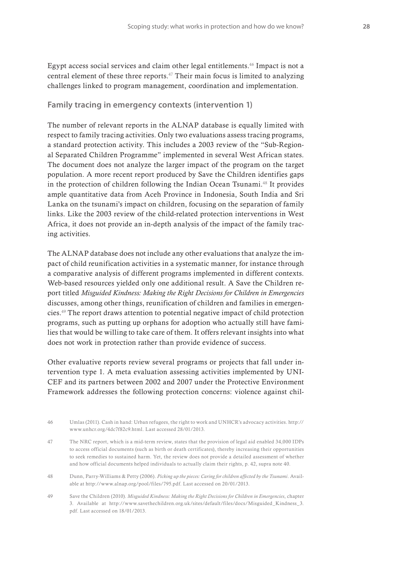Egypt access social services and claim other legal entitlements.46 Impact is not a central element of these three reports. $47$  Their main focus is limited to analyzing challenges linked to program management, coordination and implementation.

#### **Family tracing in emergency contexts (intervention 1)**

The number of relevant reports in the ALNAP database is equally limited with respect to family tracing activities. Only two evaluations assess tracing programs, a standard protection activity. This includes a 2003 review of the "Sub-Regional Separated Children Programme" implemented in several West African states. The document does not analyze the larger impact of the program on the target population. A more recent report produced by Save the Children identifies gaps in the protection of children following the Indian Ocean Tsunami.48 It provides ample quantitative data from Aceh Province in Indonesia, South India and Sri Lanka on the tsunami's impact on children, focusing on the separation of family links. Like the 2003 review of the child-related protection interventions in West Africa, it does not provide an in-depth analysis of the impact of the family tracing activities.

The ALNAP database does not include any other evaluations that analyze the impact of child reunification activities in a systematic manner, for instance through a comparative analysis of different programs implemented in different contexts. Web-based resources yielded only one additional result. A Save the Children report titled *Misguided Kindness: Making the Right Decisions for Children in Emergencies* discusses, among other things, reunification of children and families in emergencies.49 The report draws attention to potential negative impact of child protection programs, such as putting up orphans for adoption who actually still have families that would be willing to take care of them. It offers relevant insights into what does not work in protection rather than provide evidence of success.

Other evaluative reports review several programs or projects that fall under intervention type 1. A meta evaluation assessing activities implemented by UNI-CEF and its partners between 2002 and 2007 under the Protective Environment Framework addresses the following protection concerns: violence against chil-

- 47 The NRC report, which is a mid-term review, states that the provision of legal aid enabled 34,000 IDPs to access official documents (such as birth or death certificates), thereby increasing their opportunities to seek remedies to sustained harm. Yet, the review does not provide a detailed assessment of whether and how official documents helped individuals to actually claim their rights, p. 42, supra note 40.
- 48 Dunn, Parry-Williams & Petty (2006). *Picking up the pieces: Caring for children affected by the Tsunami*. Available at http://www.alnap.org/pool/files/795.pdf. Last accessed on 20/01/2013.
- 49 Save the Children (2010). *Misguided Kindness: Making the Right Decisions for Children in Emergencies*, chapter 3. Available at http://www.savethechildren.org.uk/sites/default/files/docs/Misguided\_Kindness\_3. pdf. Last accessed on 18/01/2013.

<sup>46</sup> Umlas (2011). Cash in hand: Urban refugees, the right to work and UNHCR's advocacy activities. http:// www.unhcr.org/4dc7f82c9.html. Last accessed 28/01/2013.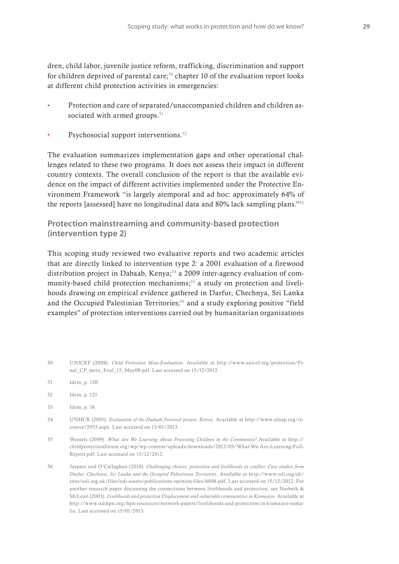dren, child labor, juvenile justice reform, trafficking, discrimination and support for children deprived of parental care;<sup>50</sup> chapter 10 of the evaluation report looks at different child protection activities in emergencies:

- **t** Protection and care of separated/unaccompanied children and children associated with armed groups. $51$
- Psychosocial support interventions.<sup>52</sup>

The evaluation summarizes implementation gaps and other operational challenges related to these two programs. It does not assess their impact in different country contexts. The overall conclusion of the report is that the available evidence on the impact of different activities implemented under the Protective Environment Framework "is largely atemporal and ad hoc: approximately 64% of the reports [assessed] have no longitudinal data and 80% lack sampling plans."53

#### **Protection mainstreaming and community-based protection (intervention type 2)**

This scoping study reviewed two evaluative reports and two academic articles that are directly linked to intervention type 2: a 2001 evaluation of a firewood distribution project in Dabaab, Kenya;<sup>54</sup> a 2009 inter-agency evaluation of community-based child protection mechanisms;<sup>55</sup> a study on protection and livelihoods drawing on empirical evidence gathered in Darfur, Chechnya, Sri Lanka and the Occupied Palestinian Territories; $56$  and a study exploring positive "field examples" of protection interventions carried out by humanitarian organizations

- 50 UNICEF (2008). *Child Protection Meta-Evaluation*. Available at http://www.unicef.org/protection/Final\_CP\_meta\_Eval\_15\_May08.pdf. Last accessed on 15/12/2012.
- 51 Idem, p. 120.
- 52 Idem, p. 121.
- 53 Idem, p. 16.
- 54 UNHCR (2001). *Evaluation of the Dadaab firewood project, Kenya*. Available at http://www.alnap.org/resource/2953.aspx. Last accessed on 15/01/2013.
- 55 Wessels (2009). *What Are We Learning About Protecting Children in the Community?* Available at http:// childprotectionforum.org/wp/wp-content/uploads/downloads/2012/05/What-We-Are-Learning-Full-Report.pdf. Last accessed on 15/12/2012.
- 56 Jaspars and O'Callaghan (2010). *Challenging choices: protection and livelihoods in conflict: Case studies from Darfur, Chechnya, Sri Lanka and the Occupied Palestinian Territories*. Available at http://www.odi.org.uk/ sites/odi.org.uk/files/odi-assets/publications-opinion-files/6008.pdf. Last accessed on 15/12/2012. For another research paper discussing the connections between livelihoods and protection, see Narbeth & McLean (2003). *Livelihoods and protection Displacement and vulnerable communities in Kismaayo.* Available at http://www.odihpn.org/hpn-resources/network-papers/livelihoods-and-protection-in-kismaayo-somalia. Last accessed on 15/01/2013.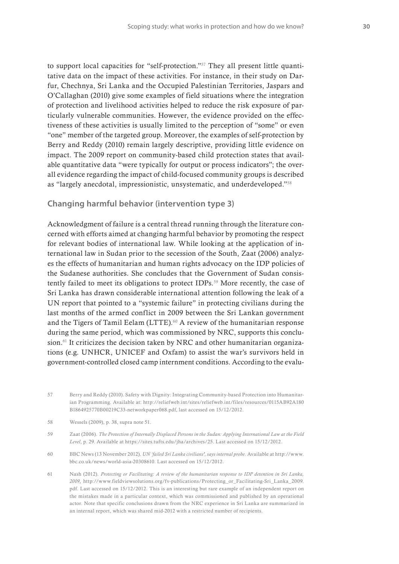to support local capacities for "self-protection."57 They all present little quantitative data on the impact of these activities. For instance, in their study on Darfur, Chechnya, Sri Lanka and the Occupied Palestinian Territories, Jaspars and O'Callaghan (2010) give some examples of field situations where the integration of protection and livelihood activities helped to reduce the risk exposure of particularly vulnerable communities. However, the evidence provided on the effectiveness of these activities is usually limited to the perception of "some" or even "one" member of the targeted group. Moreover, the examples of self-protection by Berry and Reddy (2010) remain largely descriptive, providing little evidence on impact. The 2009 report on community-based child protection states that available quantitative data "were typically for output or process indicators"; the overall evidence regarding the impact of child-focused community groups is described as "largely anecdotal, impressionistic, unsystematic, and underdeveloped."58

#### **Changing harmful behavior (intervention type 3)**

Acknowledgment of failure is a central thread running through the literature concerned with efforts aimed at changing harmful behavior by promoting the respect for relevant bodies of international law. While looking at the application of international law in Sudan prior to the secession of the South, Zaat (2006) analyzes the effects of humanitarian and human rights advocacy on the IDP policies of the Sudanese authorities. She concludes that the Government of Sudan consistently failed to meet its obligations to protect IDPs.<sup>59</sup> More recently, the case of Sri Lanka has drawn considerable international attention following the leak of a UN report that pointed to a "systemic failure" in protecting civilians during the last months of the armed conflict in 2009 between the Sri Lankan government and the Tigers of Tamil Eelam (LTTE).<sup>60</sup> A review of the humanitarian response during the same period, which was commissioned by NRC, supports this conclusion.<sup>61</sup> It criticizes the decision taken by NRC and other humanitarian organizations (e.g. UNHCR, UNICEF and Oxfam) to assist the war's survivors held in government-controlled closed camp internment conditions. According to the evalu-

<sup>57</sup> Berry and Reddy (2010). Safety with Dignity: Integrating Community-based Protection into Humanitarian Programming. Available at: http://reliefweb.int/sites/reliefweb.int/files/resources/0115AB92A180 B1864925770B00219C33-networkpaper068.pdf, last accessed on 15/12/2012.

<sup>58</sup> Wessels (2009), p. 38, supra note 51.

<sup>59</sup> Zaat (2006). *The Protection of Internally Displaced Persons in the Sudan: Applying International Law at the Field Level*, p. 29. Available at https://sites.tufts.edu/jha/archives/25. Last accessed on 15/12/2012.

<sup>60</sup> BBC News (13 November 2012). *UN 'failed Sri Lanka civilians', says internal probe*. Available at http://www. bbc.co.uk/news/world-asia-20308610. Last accessed on 15/12/2012.

<sup>61</sup> Nash (2012). *Protecting or Facilitating: A review of the humanitarian response to IDP detention in Sri Lanka, 2009*, http://www.fieldviewsolutions.org/fv-publications/Protecting\_or\_Facilitating-Sri\_Lanka\_2009. pdf. Last accessed on 15/12/2012. This is an interesting but rare example of an independent report on the mistakes made in a particular context, which was commissioned and published by an operational actor. Note that specific conclusions drawn from the NRC experience in Sri Lanka are summarized in an internal report, which was shared mid-2012 with a restricted number of recipients.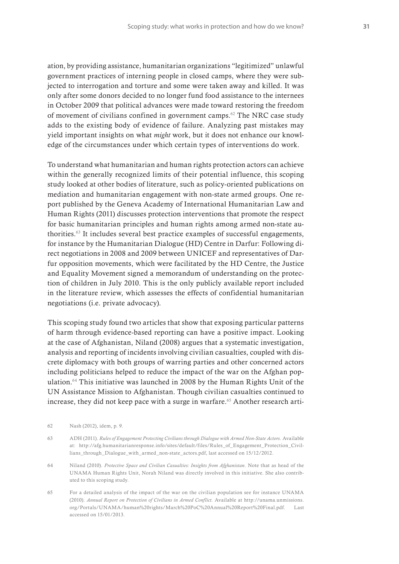ation, by providing assistance, humanitarian organizations "legitimized" unlawful government practices of interning people in closed camps, where they were subjected to interrogation and torture and some were taken away and killed. It was only after some donors decided to no longer fund food assistance to the internees in October 2009 that political advances were made toward restoring the freedom of movement of civilians confined in government camps.<sup>62</sup> The NRC case study adds to the existing body of evidence of failure. Analyzing past mistakes may yield important insights on what *might* work, but it does not enhance our knowledge of the circumstances under which certain types of interventions do work.

To understand what humanitarian and human rights protection actors can achieve within the generally recognized limits of their potential influence, this scoping study looked at other bodies of literature, such as policy-oriented publications on mediation and humanitarian engagement with non-state armed groups. One report published by the Geneva Academy of International Humanitarian Law and Human Rights (2011) discusses protection interventions that promote the respect for basic humanitarian principles and human rights among armed non-state authorities.63 It includes several best practice examples of successful engagements, for instance by the Humanitarian Dialogue (HD) Centre in Darfur: Following direct negotiations in 2008 and 2009 between UNICEF and representatives of Darfur opposition movements, which were facilitated by the HD Centre, the Justice and Equality Movement signed a memorandum of understanding on the protection of children in July 2010. This is the only publicly available report included in the literature review, which assesses the effects of confidential humanitarian negotiations (i.e. private advocacy).

This scoping study found two articles that show that exposing particular patterns of harm through evidence-based reporting can have a positive impact. Looking at the case of Afghanistan, Niland (2008) argues that a systematic investigation, analysis and reporting of incidents involving civilian casualties, coupled with discrete diplomacy with both groups of warring parties and other concerned actors including politicians helped to reduce the impact of the war on the Afghan population.64 This initiative was launched in 2008 by the Human Rights Unit of the UN Assistance Mission to Afghanistan. Though civilian casualties continued to increase, they did not keep pace with a surge in warfare.<sup> $65$ </sup> Another research arti-

- 64 Niland (2010). *Protective Space and Civilian Casualties: Insights from Afghanistan*. Note that as head of the UNAMA Human Rights Unit, Norah Niland was directly involved in this initiative. She also contributed to this scoping study.
- 65 For a detailed analysis of the impact of the war on the civilian population see for instance UNAMA (2010). *Annual Report on Protection of Civilians in Armed Conflict.* Available at http://unama.unmissions. org/Portals/UNAMA/human%20rights/March%20PoC%20Annual%20Report%20Final.pdf. Last accessed on 15/01/2013.

<sup>62</sup> Nash (2012), idem, p. 9.

<sup>63</sup> ADH (2011). *Rules of Engagement Protecting Civilians through Dialogue with Armed Non-State Actors*. Available at: http://afg.humanitarianresponse.info/sites/default/files/Rules\_of\_Engagement\_Protection\_Civillians\_through\_Dialogue\_with\_armed\_non-state\_actors.pdf, last accessed on 15/12/2012.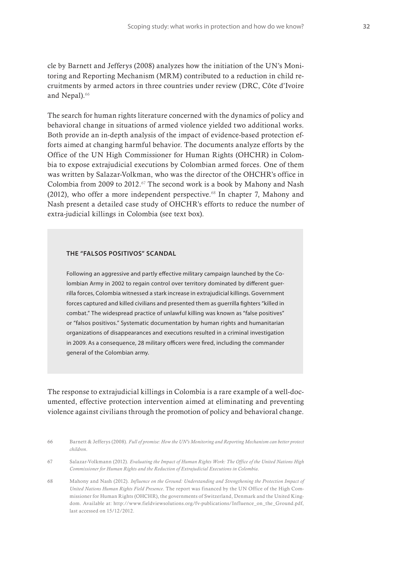cle by Barnett and Jefferys (2008) analyzes how the initiation of the UN's Monitoring and Reporting Mechanism (MRM) contributed to a reduction in child recruitments by armed actors in three countries under review (DRC, Côte d'Ivoire and Nepal).<sup>66</sup>

The search for human rights literature concerned with the dynamics of policy and behavioral change in situations of armed violence yielded two additional works. Both provide an in-depth analysis of the impact of evidence-based protection efforts aimed at changing harmful behavior. The documents analyze efforts by the Office of the UN High Commissioner for Human Rights (OHCHR) in Colombia to expose extrajudicial executions by Colombian armed forces. One of them was written by Salazar-Volkman, who was the director of the OHCHR's office in Colombia from 2009 to 2012.67 The second work is a book by Mahony and Nash (2012), who offer a more independent perspective.<sup>68</sup> In chapter 7, Mahony and Nash present a detailed case study of OHCHR's efforts to reduce the number of extra-judicial killings in Colombia (see text box).

#### **THE "FALSOS POSITIVOS" SCANDAL**

Following an aggressive and partly effective military campaign launched by the Colombian Army in 2002 to regain control over territory dominated by different guerrilla forces, Colombia witnessed a stark increase in extrajudicial killings. Government forces captured and killed civilians and presented them as guerrilla fighters "killed in combat." The widespread practice of unlawful killing was known as "false positives" or "falsos positivos." Systematic documentation by human rights and humanitarian organizations of disappearances and executions resulted in a criminal investigation in 2009. As a consequence, 28 military officers were fired, including the commander general of the Colombian army.

The response to extrajudicial killings in Colombia is a rare example of a well-documented, effective protection intervention aimed at eliminating and preventing violence against civilians through the promotion of policy and behavioral change.

- 66 Barnett & Jefferys (2008). *Full of promise: How the UN's Monitoring and Reporting Mechanism can better protect children*.
- 67 Salazar-Volkmann (2012). *Evaluating the Impact of Human Rights Work: The Office of the United Nations High Commissioner for Human Rights and the Reduction of Extrajudicial Executions in Colombia*.
- 68 Mahony and Nash (2012). *Influence on the Ground: Understanding and Strengthening the Protection Impact of United Nations Human Rights Field Presence*. The report was financed by the UN Office of the High Commissioner for Human Rights (OHCHR), the governments of Switzerland, Denmark and the United Kingdom. Available at: http://www.fieldviewsolutions.org/fv-publications/Influence\_on\_the\_Ground.pdf, last accessed on 15/12/2012.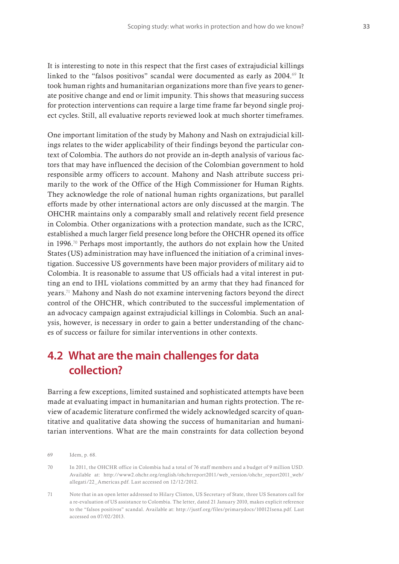It is interesting to note in this respect that the first cases of extrajudicial killings linked to the "falsos positivos" scandal were documented as early as 2004.<sup>69</sup> It took human rights and humanitarian organizations more than five years to generate positive change and end or limit impunity. This shows that measuring success for protection interventions can require a large time frame far beyond single project cycles. Still, all evaluative reports reviewed look at much shorter timeframes.

One important limitation of the study by Mahony and Nash on extrajudicial killings relates to the wider applicability of their findings beyond the particular context of Colombia. The authors do not provide an in-depth analysis of various factors that may have influenced the decision of the Colombian government to hold responsible army officers to account. Mahony and Nash attribute success primarily to the work of the Office of the High Commissioner for Human Rights. They acknowledge the role of national human rights organizations, but parallel efforts made by other international actors are only discussed at the margin. The OHCHR maintains only a comparably small and relatively recent field presence in Colombia. Other organizations with a protection mandate, such as the ICRC, established a much larger field presence long before the OHCHR opened its office in 1996.70 Perhaps most importantly, the authors do not explain how the United States (US) administration may have influenced the initiation of a criminal investigation. Successive US governments have been major providers of military aid to Colombia. It is reasonable to assume that US officials had a vital interest in putting an end to IHL violations committed by an army that they had financed for years.71 Mahony and Nash do not examine intervening factors beyond the direct control of the OHCHR, which contributed to the successful implementation of an advocacy campaign against extrajudicial killings in Colombia. Such an analysis, however, is necessary in order to gain a better understanding of the chances of success or failure for similar interventions in other contexts.

### **4.2 What are the main challenges for data collection?**

Barring a few exceptions, limited sustained and sophisticated attempts have been made at evaluating impact in humanitarian and human rights protection. The review of academic literature confirmed the widely acknowledged scarcity of quantitative and qualitative data showing the success of humanitarian and humanitarian interventions. What are the main constraints for data collection beyond

70 In 2011, the OHCHR office in Colombia had a total of 76 staff members and a budget of 9 million USD. Available at: http://www2.ohchr.org/english/ohchrreport2011/web\_version/ohchr\_report2011\_web/ allegati/22\_Americas.pdf. Last accessed on 12/12/2012.

<sup>69</sup> Idem, p. 68.

<sup>71</sup> Note that in an open letter addressed to Hilary Clinton, US Secretary of State, three US Senators call for a re-evaluation of US assistance to Colombia. The letter, dated 21 January 2010, makes explicit reference to the "falsos positivos" scandal. Available at: http://justf.org/files/primarydocs/100121sena.pdf. Last accessed on 07/02/2013.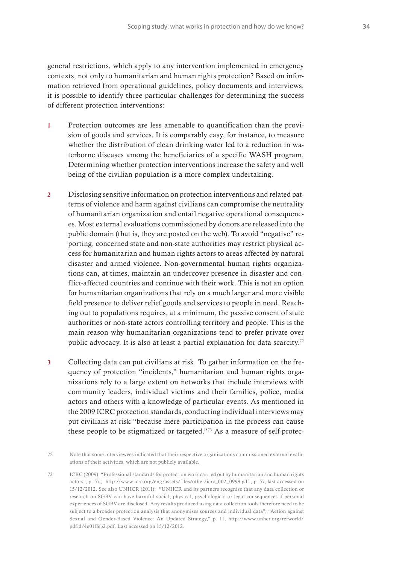general restrictions, which apply to any intervention implemented in emergency contexts, not only to humanitarian and human rights protection? Based on information retrieved from operational guidelines, policy documents and interviews, it is possible to identify three particular challenges for determining the success of different protection interventions:

- 1 Protection outcomes are less amenable to quantification than the provision of goods and services. It is comparably easy, for instance, to measure whether the distribution of clean drinking water led to a reduction in waterborne diseases among the beneficiaries of a specific WASH program. Determining whether protection interventions increase the safety and well being of the civilian population is a more complex undertaking.
- 2 Disclosing sensitive information on protection interventions and related patterns of violence and harm against civilians can compromise the neutrality of humanitarian organization and entail negative operational consequences. Most external evaluations commissioned by donors are released into the public domain (that is, they are posted on the web). To avoid "negative" reporting, concerned state and non-state authorities may restrict physical access for humanitarian and human rights actors to areas affected by natural disaster and armed violence. Non-governmental human rights organizations can, at times, maintain an undercover presence in disaster and conflict-affected countries and continue with their work. This is not an option for humanitarian organizations that rely on a much larger and more visible field presence to deliver relief goods and services to people in need. Reaching out to populations requires, at a minimum, the passive consent of state authorities or non-state actors controlling territory and people. This is the main reason why humanitarian organizations tend to prefer private over public advocacy. It is also at least a partial explanation for data scarcity.72
- 3 Collecting data can put civilians at risk. To gather information on the frequency of protection "incidents," humanitarian and human rights organizations rely to a large extent on networks that include interviews with community leaders, individual victims and their families, police, media actors and others with a knowledge of particular events. As mentioned in the 2009 ICRC protection standards, conducting individual interviews may put civilians at risk "because mere participation in the process can cause these people to be stigmatized or targeted."73 As a measure of self-protec-

73 ICRC (2009): "Professional standards for protection work carried out by humanitarian and human rights actors", p. 57,; http://www.icrc.org/eng/assets/files/other/icrc\_002\_0999.pdf , p. 57, last accessed on 15/12/2012. See also UNHCR (2011): "UNHCR and its partners recognise that any data collection or research on SGBV can have harmful social, physical, psychological or legal consequences if personal experiences of SGBV are disclosed. Any results produced using data collection tools therefore need to be subject to a broader protection analysis that anonymises sources and individual data"; "Action against Sexual and Gender-Based Violence: An Updated Strategy," p. 11, http://www.unhcr.org/refworld/ pdfid/4e01ffeb2.pdf. Last accessed on 15/12/2012.

<sup>72</sup> Note that some interviewees indicated that their respective organizations commissioned external evaluations of their activities, which are not publicly available.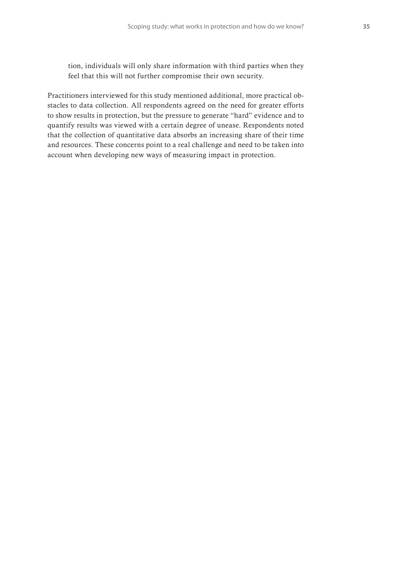tion, individuals will only share information with third parties when they feel that this will not further compromise their own security.

Practitioners interviewed for this study mentioned additional, more practical obstacles to data collection. All respondents agreed on the need for greater efforts to show results in protection, but the pressure to generate "hard" evidence and to quantify results was viewed with a certain degree of unease. Respondents noted that the collection of quantitative data absorbs an increasing share of their time and resources. These concerns point to a real challenge and need to be taken into account when developing new ways of measuring impact in protection.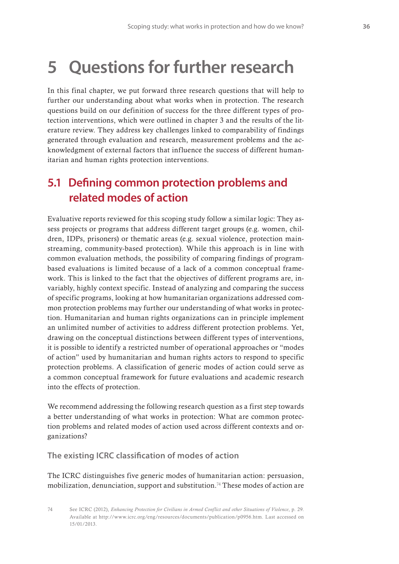## **5 Questions for further research**

In this final chapter, we put forward three research questions that will help to further our understanding about what works when in protection. The research questions build on our definition of success for the three different types of protection interventions, which were outlined in chapter 3 and the results of the literature review. They address key challenges linked to comparability of findings generated through evaluation and research, measurement problems and the acknowledgment of external factors that influence the success of different humanitarian and human rights protection interventions.

### **5.1 Defining common protection problems and related modes of action**

Evaluative reports reviewed for this scoping study follow a similar logic: They assess projects or programs that address different target groups (e.g. women, children, IDPs, prisoners) or thematic areas (e.g. sexual violence, protection mainstreaming, community-based protection). While this approach is in line with common evaluation methods, the possibility of comparing findings of programbased evaluations is limited because of a lack of a common conceptual framework. This is linked to the fact that the objectives of different programs are, invariably, highly context specific. Instead of analyzing and comparing the success of specific programs, looking at how humanitarian organizations addressed common protection problems may further our understanding of what works in protection. Humanitarian and human rights organizations can in principle implement an unlimited number of activities to address different protection problems. Yet, drawing on the conceptual distinctions between different types of interventions, it is possible to identify a restricted number of operational approaches or "modes of action" used by humanitarian and human rights actors to respond to specific protection problems. A classification of generic modes of action could serve as a common conceptual framework for future evaluations and academic research into the effects of protection.

We recommend addressing the following research question as a first step towards a better understanding of what works in protection: What are common protection problems and related modes of action used across different contexts and organizations?

**The existing ICRC classification of modes of action** 

The ICRC distinguishes five generic modes of humanitarian action: persuasion, mobilization, denunciation, support and substitution.74 These modes of action are

74 See ICRC (2012), *Enhancing Protection for Civilians in Armed Conflict and other Situations of Violence*, p. 29. Available at http://www.icrc.org/eng/resources/documents/publication/p0956.htm. Last accessed on 15/01/2013.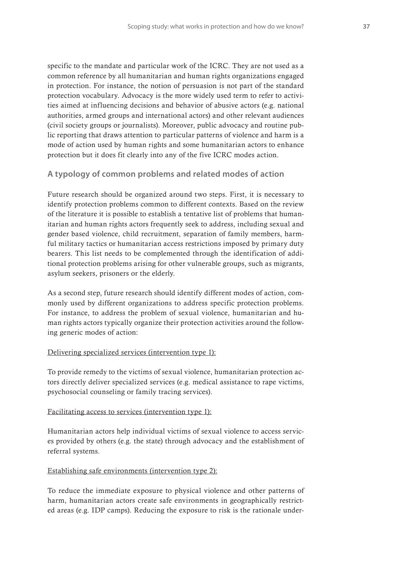specific to the mandate and particular work of the ICRC. They are not used as a common reference by all humanitarian and human rights organizations engaged in protection. For instance, the notion of persuasion is not part of the standard protection vocabulary. Advocacy is the more widely used term to refer to activities aimed at influencing decisions and behavior of abusive actors (e.g. national authorities, armed groups and international actors) and other relevant audiences (civil society groups or journalists). Moreover, public advocacy and routine public reporting that draws attention to particular patterns of violence and harm is a mode of action used by human rights and some humanitarian actors to enhance protection but it does fit clearly into any of the five ICRC modes action.

#### **A typology of common problems and related modes of action**

Future research should be organized around two steps. First, it is necessary to identify protection problems common to different contexts. Based on the review of the literature it is possible to establish a tentative list of problems that humanitarian and human rights actors frequently seek to address, including sexual and gender based violence, child recruitment, separation of family members, harmful military tactics or humanitarian access restrictions imposed by primary duty bearers. This list needs to be complemented through the identification of additional protection problems arising for other vulnerable groups, such as migrants, asylum seekers, prisoners or the elderly.

As a second step, future research should identify different modes of action, commonly used by different organizations to address specific protection problems. For instance, to address the problem of sexual violence, humanitarian and human rights actors typically organize their protection activities around the following generic modes of action:

#### Delivering specialized services (intervention type 1):

To provide remedy to the victims of sexual violence, humanitarian protection actors directly deliver specialized services (e.g. medical assistance to rape victims, psychosocial counseling or family tracing services).

#### Facilitating access to services (intervention type 1):

Humanitarian actors help individual victims of sexual violence to access services provided by others (e.g. the state) through advocacy and the establishment of referral systems.

#### Establishing safe environments (intervention type 2):

To reduce the immediate exposure to physical violence and other patterns of harm, humanitarian actors create safe environments in geographically restricted areas (e.g. IDP camps). Reducing the exposure to risk is the rationale under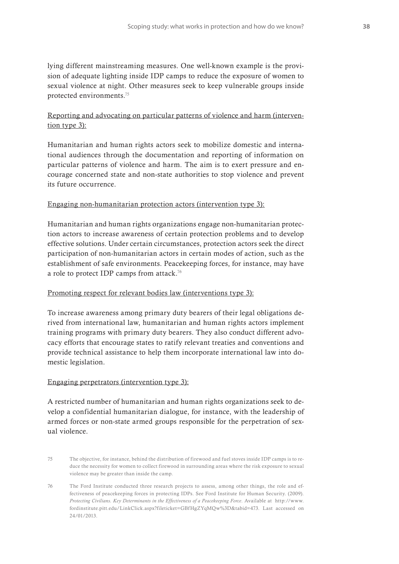lying different mainstreaming measures. One well-known example is the provision of adequate lighting inside IDP camps to reduce the exposure of women to sexual violence at night. Other measures seek to keep vulnerable groups inside protected environments.75

#### Reporting and advocating on particular patterns of violence and harm (intervention type 3):

Humanitarian and human rights actors seek to mobilize domestic and international audiences through the documentation and reporting of information on particular patterns of violence and harm. The aim is to exert pressure and encourage concerned state and non-state authorities to stop violence and prevent its future occurrence.

#### Engaging non-humanitarian protection actors (intervention type 3):

Humanitarian and human rights organizations engage non-humanitarian protection actors to increase awareness of certain protection problems and to develop effective solutions. Under certain circumstances, protection actors seek the direct participation of non-humanitarian actors in certain modes of action, such as the establishment of safe environments. Peacekeeping forces, for instance, may have a role to protect IDP camps from attack.<sup>76</sup>

#### Promoting respect for relevant bodies law (interventions type 3):

To increase awareness among primary duty bearers of their legal obligations derived from international law, humanitarian and human rights actors implement training programs with primary duty bearers. They also conduct different advocacy efforts that encourage states to ratify relevant treaties and conventions and provide technical assistance to help them incorporate international law into domestic legislation.

#### Engaging perpetrators (intervention type 3):

A restricted number of humanitarian and human rights organizations seek to develop a confidential humanitarian dialogue, for instance, with the leadership of armed forces or non-state armed groups responsible for the perpetration of sexual violence.

- 75 The objective, for instance, behind the distribution of firewood and fuel stoves inside IDP camps is to reduce the necessity for women to collect firewood in surrounding areas where the risk exposure to sexual violence may be greater than inside the camp.
- 76 The Ford Institute conducted three research projects to assess, among other things, the role and effectiveness of peacekeeping forces in protecting IDPs. See Ford Institute for Human Security. (2009). *Protecting Civilians. Key Determinants in the Effectiveness of a Peacekeeping Force*. Available at http://www. fordinstitute.pitt.edu/LinkClick.aspx?fileticket=GBfHgZYqMQw%3D&tabid=473. Last accessed on 24/01/2013.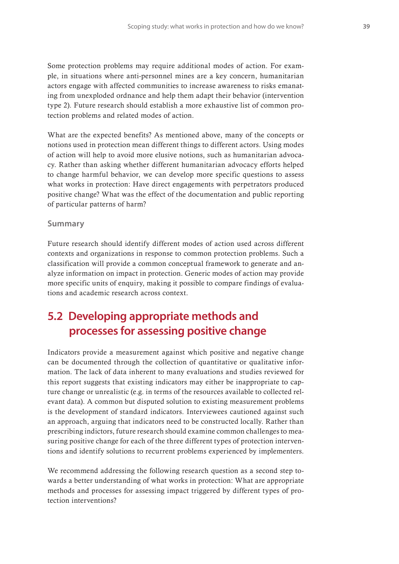Some protection problems may require additional modes of action. For example, in situations where anti-personnel mines are a key concern, humanitarian actors engage with affected communities to increase awareness to risks emanating from unexploded ordnance and help them adapt their behavior (intervention type 2). Future research should establish a more exhaustive list of common protection problems and related modes of action.

What are the expected benefits? As mentioned above, many of the concepts or notions used in protection mean different things to different actors. Using modes of action will help to avoid more elusive notions, such as humanitarian advocacy. Rather than asking whether different humanitarian advocacy efforts helped to change harmful behavior, we can develop more specific questions to assess what works in protection: Have direct engagements with perpetrators produced positive change? What was the effect of the documentation and public reporting of particular patterns of harm?

#### **Summary**

Future research should identify different modes of action used across different contexts and organizations in response to common protection problems. Such a classification will provide a common conceptual framework to generate and analyze information on impact in protection. Generic modes of action may provide more specific units of enquiry, making it possible to compare findings of evaluations and academic research across context.

### **5.2 Developing appropriate methods and processes for assessing positive change**

Indicators provide a measurement against which positive and negative change can be documented through the collection of quantitative or qualitative information. The lack of data inherent to many evaluations and studies reviewed for this report suggests that existing indicators may either be inappropriate to capture change or unrealistic (e.g. in terms of the resources available to collected relevant data). A common but disputed solution to existing measurement problems is the development of standard indicators. Interviewees cautioned against such an approach, arguing that indicators need to be constructed locally. Rather than prescribing indictors, future research should examine common challenges to measuring positive change for each of the three different types of protection interventions and identify solutions to recurrent problems experienced by implementers.

We recommend addressing the following research question as a second step towards a better understanding of what works in protection: What are appropriate methods and processes for assessing impact triggered by different types of protection interventions?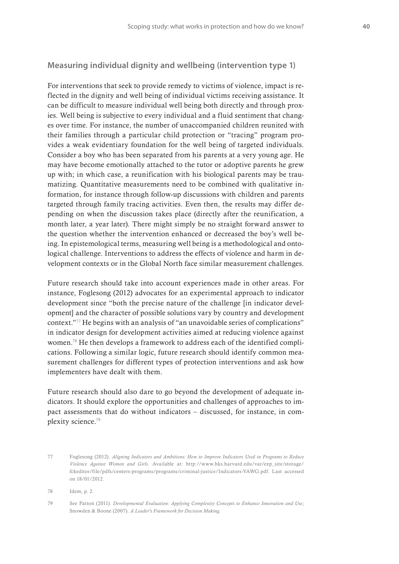#### **Measuring individual dignity and wellbeing (intervention type 1)**

For interventions that seek to provide remedy to victims of violence, impact is reflected in the dignity and well being of individual victims receiving assistance. It can be difficult to measure individual well being both directly and through proxies. Well being is subjective to every individual and a fluid sentiment that changes over time. For instance, the number of unaccompanied children reunited with their families through a particular child protection or "tracing" program provides a weak evidentiary foundation for the well being of targeted individuals. Consider a boy who has been separated from his parents at a very young age. He may have become emotionally attached to the tutor or adoptive parents he grew up with; in which case, a reunification with his biological parents may be traumatizing. Quantitative measurements need to be combined with qualitative information, for instance through follow-up discussions with children and parents targeted through family tracing activities. Even then, the results may differ depending on when the discussion takes place (directly after the reunification, a month later, a year later). There might simply be no straight forward answer to the question whether the intervention enhanced or decreased the boy's well being. In epistemological terms, measuring well being is a methodological and ontological challenge. Interventions to address the effects of violence and harm in development contexts or in the Global North face similar measurement challenges.

Future research should take into account experiences made in other areas. For instance, Foglesong (2012) advocates for an experimental approach to indicator development since "both the precise nature of the challenge [in indicator development] and the character of possible solutions vary by country and development context."77 He begins with an analysis of "an unavoidable series of complications" in indicator design for development activities aimed at reducing violence against women.78 He then develops a framework to address each of the identified complications. Following a similar logic, future research should identify common measurement challenges for different types of protection interventions and ask how implementers have dealt with them.

Future research should also dare to go beyond the development of adequate indicators. It should explore the opportunities and challenges of approaches to impact assessments that do without indicators – discussed, for instance, in complexity science.79

<sup>77</sup> Foglesong (2012). *Aligning Indicators and Ambitions: How to Improve Indicators Used in Programs to Reduce Violence Against Women and Girls*. Available at: http://www.hks.harvard.edu/var/ezp\_site/storage/ fckeditor/file/pdfs/centers-programs/programs/criminal-justice/Indicators-VAWG.pdf. Last accessed on 18/01/2012.

<sup>78</sup> Idem, p. 2.

<sup>79</sup> See Patton (2011). *Developmental Evaluation: Applying Complexity Concepts to Enhance Innovation and Use*; Snowden & Boone (2007). *A Leader's Framework for Decision Making*.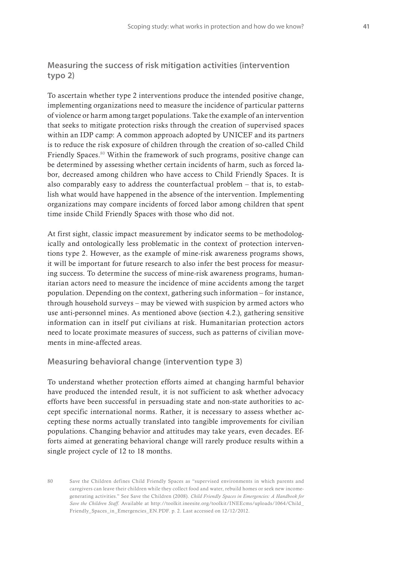#### **Measuring the success of risk mitigation activities (intervention typo 2)**

To ascertain whether type 2 interventions produce the intended positive change, implementing organizations need to measure the incidence of particular patterns of violence or harm among target populations. Take the example of an intervention that seeks to mitigate protection risks through the creation of supervised spaces within an IDP camp: A common approach adopted by UNICEF and its partners is to reduce the risk exposure of children through the creation of so-called Child Friendly Spaces.80 Within the framework of such programs, positive change can be determined by assessing whether certain incidents of harm, such as forced labor, decreased among children who have access to Child Friendly Spaces. It is also comparably easy to address the counterfactual problem – that is, to establish what would have happened in the absence of the intervention. Implementing organizations may compare incidents of forced labor among children that spent time inside Child Friendly Spaces with those who did not.

At first sight, classic impact measurement by indicator seems to be methodologically and ontologically less problematic in the context of protection interventions type 2. However, as the example of mine-risk awareness programs shows, it will be important for future research to also infer the best process for measuring success. To determine the success of mine-risk awareness programs, humanitarian actors need to measure the incidence of mine accidents among the target population. Depending on the context, gathering such information – for instance, through household surveys – may be viewed with suspicion by armed actors who use anti-personnel mines. As mentioned above (section 4.2.), gathering sensitive information can in itself put civilians at risk. Humanitarian protection actors need to locate proximate measures of success, such as patterns of civilian movements in mine-affected areas.

#### **Measuring behavioral change (intervention type 3)**

To understand whether protection efforts aimed at changing harmful behavior have produced the intended result, it is not sufficient to ask whether advocacy efforts have been successful in persuading state and non-state authorities to accept specific international norms. Rather, it is necessary to assess whether accepting these norms actually translated into tangible improvements for civilian populations. Changing behavior and attitudes may take years, even decades. Efforts aimed at generating behavioral change will rarely produce results within a single project cycle of 12 to 18 months.

<sup>80</sup> Save the Children defines Child Friendly Spaces as "supervised environments in which parents and caregivers can leave their children while they collect food and water, rebuild homes or seek new incomegenerating activities." See Save the Children (2008). *Child Friendly Spaces in Emergencies: A Handbook for Save the Children Staff*. Available at http://toolkit.ineesite.org/toolkit/INEEcms/uploads/1064/Child\_ Friendly\_Spaces\_in\_Emergencies\_EN.PDF. p. 2. Last accessed on 12/12/2012.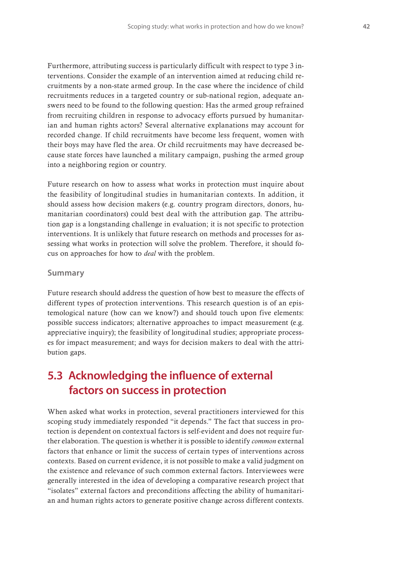Furthermore, attributing success is particularly difficult with respect to type 3 interventions. Consider the example of an intervention aimed at reducing child recruitments by a non-state armed group. In the case where the incidence of child recruitments reduces in a targeted country or sub-national region, adequate answers need to be found to the following question: Has the armed group refrained from recruiting children in response to advocacy efforts pursued by humanitarian and human rights actors? Several alternative explanations may account for recorded change. If child recruitments have become less frequent, women with their boys may have fled the area. Or child recruitments may have decreased because state forces have launched a military campaign, pushing the armed group into a neighboring region or country.

Future research on how to assess what works in protection must inquire about the feasibility of longitudinal studies in humanitarian contexts. In addition, it should assess how decision makers (e.g. country program directors, donors, humanitarian coordinators) could best deal with the attribution gap. The attribution gap is a longstanding challenge in evaluation; it is not specific to protection interventions. It is unlikely that future research on methods and processes for assessing what works in protection will solve the problem. Therefore, it should focus on approaches for how to *deal* with the problem.

#### **Summary**

Future research should address the question of how best to measure the effects of different types of protection interventions. This research question is of an epistemological nature (how can we know?) and should touch upon five elements: possible success indicators; alternative approaches to impact measurement (e.g. appreciative inquiry); the feasibility of longitudinal studies; appropriate processes for impact measurement; and ways for decision makers to deal with the attribution gaps.

### **5.3 Acknowledging the influence of external factors on success in protection**

When asked what works in protection, several practitioners interviewed for this scoping study immediately responded "it depends." The fact that success in protection is dependent on contextual factors is self-evident and does not require further elaboration. The question is whether it is possible to identify *common* external factors that enhance or limit the success of certain types of interventions across contexts. Based on current evidence, it is not possible to make a valid judgment on the existence and relevance of such common external factors. Interviewees were generally interested in the idea of developing a comparative research project that "isolates" external factors and preconditions affecting the ability of humanitarian and human rights actors to generate positive change across different contexts.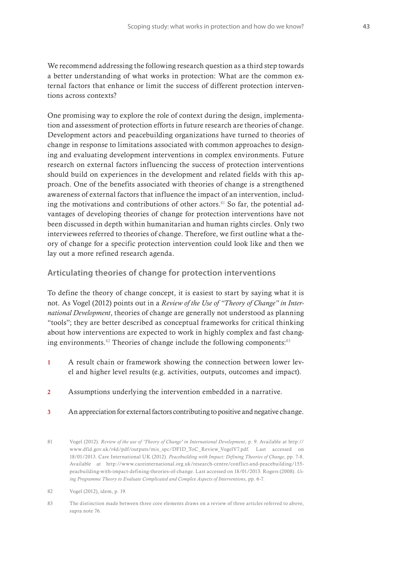We recommend addressing the following research question as a third step towards a better understanding of what works in protection: What are the common external factors that enhance or limit the success of different protection interventions across contexts?

One promising way to explore the role of context during the design, implementation and assessment of protection efforts in future research are theories of change. Development actors and peacebuilding organizations have turned to theories of change in response to limitations associated with common approaches to designing and evaluating development interventions in complex environments. Future research on external factors influencing the success of protection interventions should build on experiences in the development and related fields with this approach. One of the benefits associated with theories of change is a strengthened awareness of external factors that influence the impact of an intervention, including the motivations and contributions of other actors. $81$  So far, the potential advantages of developing theories of change for protection interventions have not been discussed in depth within humanitarian and human rights circles. Only two interviewees referred to theories of change. Therefore, we first outline what a theory of change for a specific protection intervention could look like and then we lay out a more refined research agenda.

#### **Articulating theories of change for protection interventions**

To define the theory of change concept, it is easiest to start by saying what it is not. As Vogel (2012) points out in a *Review of the Use of "Theory of Change" in International Development*, theories of change are generally not understood as planning "tools"; they are better described as conceptual frameworks for critical thinking about how interventions are expected to work in highly complex and fast changing environments. $82$  Theories of change include the following components: $83$ 

- 1 A result chain or framework showing the connection between lower level and higher level results (e.g. activities, outputs, outcomes and impact).
- 2 Assumptions underlying the intervention embedded in a narrative.
- 3 An appreciation for external factors contributing to positive and negative change.

<sup>81</sup> Vogel (2012). *Review of the use of 'Theory of Change' in International Development*, p. 9. Available at http:// www.dfid.gov.uk/r4d/pdf/outputs/mis\_spc/DFID\_ToC\_Review\_VogelV7.pdf. Last accessed on 18/01/2013. Care International UK (2012). *Peacebuilding with Impact: Defining Theories of Change*, pp. 7-8. Available at http://www.careinternational.org.uk/research-centre/conflict-and-peacebuilding/155 peacbuilding-with-impact-defining-theories-of-change. Last accessed on 18/01/2013. Rogers (2008). *Using Programme Theory to Evaluate Complicated and Complex Aspects of Interventions*, pp. 6-7.

<sup>82</sup> Vogel (2012), idem, p. 19.

<sup>83</sup> The distinction made between three core elements draws on a review of three articles referred to above, supra note 76.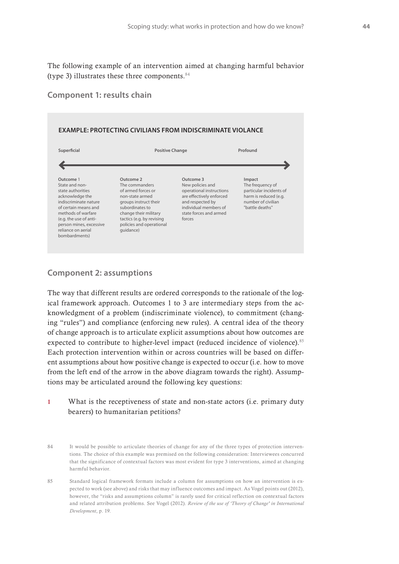The following example of an intervention aimed at changing harmful behavior (type 3) illustrates these three components.  $84$ 

#### **Component 1: results chain**



#### **Component 2: assumptions**

The way that different results are ordered corresponds to the rationale of the logical framework approach. Outcomes 1 to 3 are intermediary steps from the acknowledgment of a problem (indiscriminate violence), to commitment (changing "rules") and compliance (enforcing new rules). A central idea of the theory of change approach is to articulate explicit assumptions about how outcomes are expected to contribute to higher-level impact (reduced incidence of violence).<sup>85</sup> Each protection intervention within or across countries will be based on different assumptions about how positive change is expected to occur (i.e. how to move from the left end of the arrow in the above diagram towards the right). Assumptions may be articulated around the following key questions:

- 1 What is the receptiveness of state and non-state actors (i.e. primary duty bearers) to humanitarian petitions?
- 84 It would be possible to articulate theories of change for any of the three types of protection interventions. The choice of this example was premised on the following consideration: Interviewees concurred that the significance of contextual factors was most evident for type 3 interventions, aimed at changing harmful behavior.
- 85 Standard logical framework formats include a column for assumptions on how an intervention is expected to work (see above) and risks that may influence outcomes and impact. As Vogel points out (2012), however, the "risks and assumptions column" is rarely used for critical reflection on contextual factors and related attribution problems. See Vogel (2012). *Review of the use of 'Theory of Change' in International Development*, p. 19.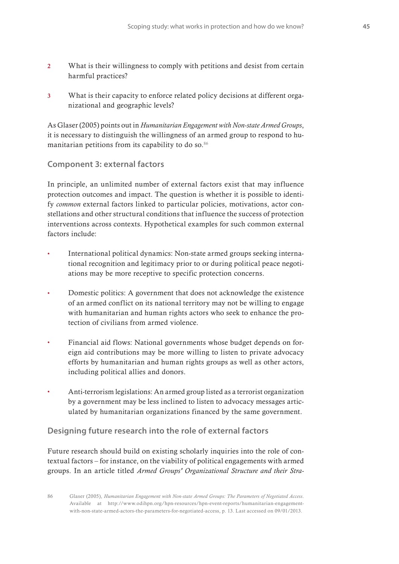- 2 What is their willingness to comply with petitions and desist from certain harmful practices?
- 3 What is their capacity to enforce related policy decisions at different organizational and geographic levels?

As Glaser (2005) points out in *Humanitarian Engagement with Non-state Armed Groups*, it is necessary to distinguish the willingness of an armed group to respond to humanitarian petitions from its capability to do so.<sup>86</sup>

#### **Component 3: external factors**

In principle, an unlimited number of external factors exist that may influence protection outcomes and impact. The question is whether it is possible to identify *common* external factors linked to particular policies, motivations, actor constellations and other structural conditions that influence the success of protection interventions across contexts. Hypothetical examples for such common external factors include:

- **t** International political dynamics: Non-state armed groups seeking international recognition and legitimacy prior to or during political peace negotiations may be more receptive to specific protection concerns.
- Domestic politics: A government that does not acknowledge the existence of an armed conflict on its national territory may not be willing to engage with humanitarian and human rights actors who seek to enhance the protection of civilians from armed violence.
- **t** Financial aid flows: National governments whose budget depends on foreign aid contributions may be more willing to listen to private advocacy efforts by humanitarian and human rights groups as well as other actors, including political allies and donors.
- **t** Anti-terrorism legislations: An armed group listed as a terrorist organization by a government may be less inclined to listen to advocacy messages articulated by humanitarian organizations financed by the same government.

#### **Designing future research into the role of external factors**

Future research should build on existing scholarly inquiries into the role of contextual factors – for instance, on the viability of political engagements with armed groups. In an article titled *Armed Groups' Organizational Structure and their Stra-*

<sup>86</sup> Glaser (2005), *Humanitarian Engagement with Non-state Armed Groups: The Parameters of Negotiated Access*. Available at http://www.odihpn.org/hpn-resources/hpn-event-reports/humanitarian-engagementwith-non-state-armed-actors-the-parameters-for-negotiated-access, p. 13. Last accessed on 09/01/2013.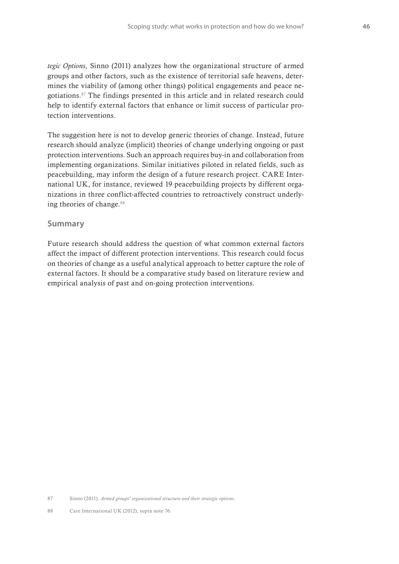*tegic Options*, Sinno (2011) analyzes how the organizational structure of armed groups and other factors, such as the existence of territorial safe heavens, determines the viability of (among other things) political engagements and peace negotiations.87 The findings presented in this article and in related research could help to identify external factors that enhance or limit success of particular protection interventions.

The suggestion here is not to develop generic theories of change. Instead, future research should analyze (implicit) theories of change underlying ongoing or past protection interventions. Such an approach requires buy-in and collaboration from implementing organizations. Similar initiatives piloted in related fields, such as peacebuilding, may inform the design of a future research project. CARE International UK, for instance, reviewed 19 peacebuilding projects by different organizations in three conflict-affected countries to retroactively construct underlying theories of change.<sup>88</sup>

#### **Summary**

Future research should address the question of what common external factors affect the impact of different protection interventions. This research could focus on theories of change as a useful analytical approach to better capture the role of external factors. It should be a comparative study based on literature review and empirical analysis of past and on-going protection interventions.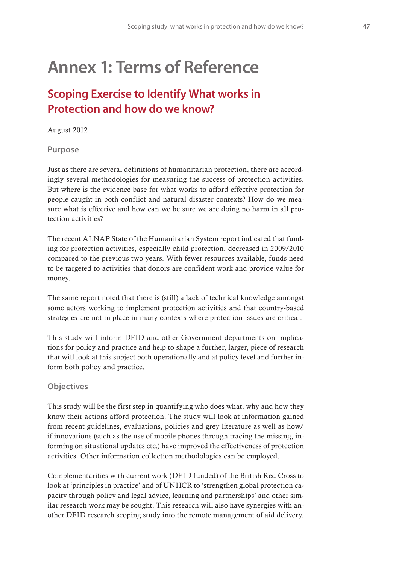## **Annex 1: Terms of Reference**

## **Scoping Exercise to Identify What works in Protection and how do we know?**

August 2012

#### **Purpose**

Just as there are several definitions of humanitarian protection, there are accordingly several methodologies for measuring the success of protection activities. But where is the evidence base for what works to afford effective protection for people caught in both conflict and natural disaster contexts? How do we measure what is effective and how can we be sure we are doing no harm in all protection activities?

The recent ALNAP State of the Humanitarian System report indicated that funding for protection activities, especially child protection, decreased in 2009/2010 compared to the previous two years. With fewer resources available, funds need to be targeted to activities that donors are confident work and provide value for money.

The same report noted that there is (still) a lack of technical knowledge amongst some actors working to implement protection activities and that country-based strategies are not in place in many contexts where protection issues are critical.

This study will inform DFID and other Government departments on implications for policy and practice and help to shape a further, larger, piece of research that will look at this subject both operationally and at policy level and further inform both policy and practice.

#### **Objectives**

This study will be the first step in quantifying who does what, why and how they know their actions afford protection. The study will look at information gained from recent guidelines, evaluations, policies and grey literature as well as how/ if innovations (such as the use of mobile phones through tracing the missing, informing on situational updates etc.) have improved the effectiveness of protection activities. Other information collection methodologies can be employed.

Complementarities with current work (DFID funded) of the British Red Cross to look at 'principles in practice' and of UNHCR to 'strengthen global protection capacity through policy and legal advice, learning and partnerships' and other similar research work may be sought. This research will also have synergies with another DFID research scoping study into the remote management of aid delivery.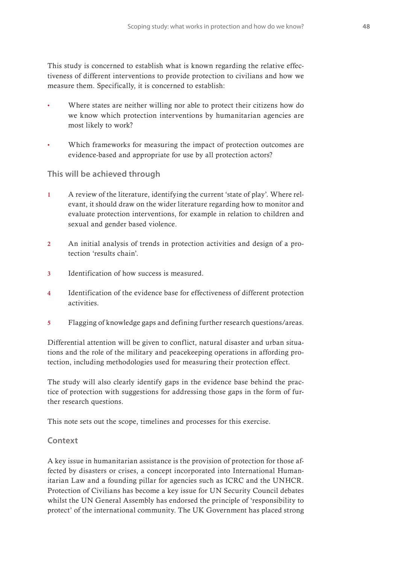This study is concerned to establish what is known regarding the relative effectiveness of different interventions to provide protection to civilians and how we measure them. Specifically, it is concerned to establish:

- Where states are neither willing nor able to protect their citizens how do we know which protection interventions by humanitarian agencies are most likely to work?
- Which frameworks for measuring the impact of protection outcomes are evidence-based and appropriate for use by all protection actors?

#### **This will be achieved through**

- 1 A review of the literature, identifying the current 'state of play'. Where relevant, it should draw on the wider literature regarding how to monitor and evaluate protection interventions, for example in relation to children and sexual and gender based violence.
- 2 An initial analysis of trends in protection activities and design of a protection 'results chain'.
- 3 Identification of how success is measured.
- 4 Identification of the evidence base for effectiveness of different protection activities.
- 5 Flagging of knowledge gaps and defining further research questions/areas.

Differential attention will be given to conflict, natural disaster and urban situations and the role of the military and peacekeeping operations in affording protection, including methodologies used for measuring their protection effect.

The study will also clearly identify gaps in the evidence base behind the practice of protection with suggestions for addressing those gaps in the form of further research questions.

This note sets out the scope, timelines and processes for this exercise.

#### **Context**

A key issue in humanitarian assistance is the provision of protection for those affected by disasters or crises, a concept incorporated into International Humanitarian Law and a founding pillar for agencies such as ICRC and the UNHCR. Protection of Civilians has become a key issue for UN Security Council debates whilst the UN General Assembly has endorsed the principle of 'responsibility to protect' of the international community. The UK Government has placed strong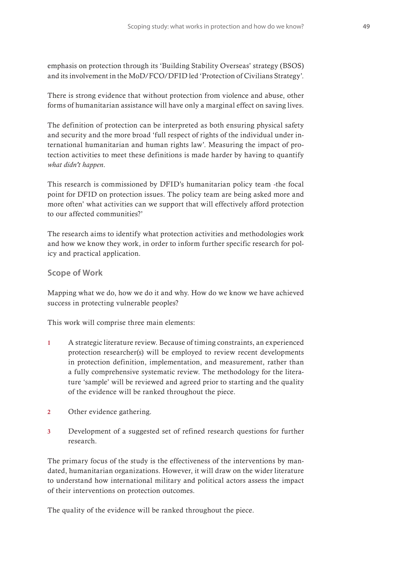emphasis on protection through its 'Building Stability Overseas' strategy (BSOS) and its involvement in the MoD/FCO/DFID led 'Protection of Civilians Strategy'.

There is strong evidence that without protection from violence and abuse, other forms of humanitarian assistance will have only a marginal effect on saving lives.

The definition of protection can be interpreted as both ensuring physical safety and security and the more broad 'full respect of rights of the individual under international humanitarian and human rights law'. Measuring the impact of protection activities to meet these definitions is made harder by having to quantify *what didn't happen*.

This research is commissioned by DFID's humanitarian policy team -the focal point for DFID on protection issues. The policy team are being asked more and more often' what activities can we support that will effectively afford protection to our affected communities?'

The research aims to identify what protection activities and methodologies work and how we know they work, in order to inform further specific research for policy and practical application.

#### **Scope of Work**

Mapping what we do, how we do it and why. How do we know we have achieved success in protecting vulnerable peoples?

This work will comprise three main elements:

- 1 A strategic literature review. Because of timing constraints, an experienced protection researcher(s) will be employed to review recent developments in protection definition, implementation, and measurement, rather than a fully comprehensive systematic review. The methodology for the literature 'sample' will be reviewed and agreed prior to starting and the quality of the evidence will be ranked throughout the piece.
- 2 Other evidence gathering.
- 3 Development of a suggested set of refined research questions for further research.

The primary focus of the study is the effectiveness of the interventions by mandated, humanitarian organizations. However, it will draw on the wider literature to understand how international military and political actors assess the impact of their interventions on protection outcomes.

The quality of the evidence will be ranked throughout the piece.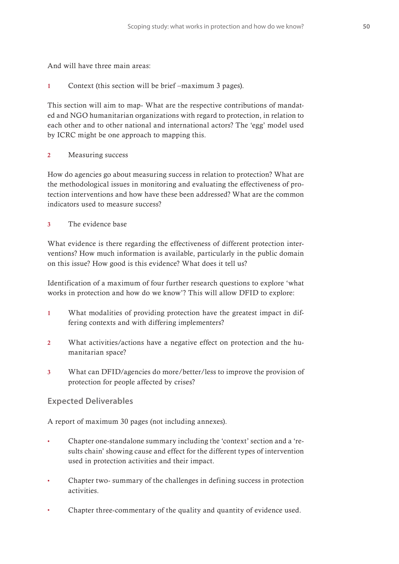And will have three main areas:

1 Context (this section will be brief –maximum 3 pages).

This section will aim to map- What are the respective contributions of mandated and NGO humanitarian organizations with regard to protection, in relation to each other and to other national and international actors? The 'egg' model used by ICRC might be one approach to mapping this.

2 Measuring success

How do agencies go about measuring success in relation to protection? What are the methodological issues in monitoring and evaluating the effectiveness of protection interventions and how have these been addressed? What are the common indicators used to measure success?

3 The evidence base

What evidence is there regarding the effectiveness of different protection interventions? How much information is available, particularly in the public domain on this issue? How good is this evidence? What does it tell us?

Identification of a maximum of four further research questions to explore 'what works in protection and how do we know'? This will allow DFID to explore:

- 1 What modalities of providing protection have the greatest impact in differing contexts and with differing implementers?
- 2 What activities/actions have a negative effect on protection and the humanitarian space?
- 3 What can DFID/agencies do more/better/less to improve the provision of protection for people affected by crises?

#### **Expected Deliverables**

A report of maximum 30 pages (not including annexes).

- **t** Chapter one-standalone summary including the 'context' section and a 'results chain' showing cause and effect for the different types of intervention used in protection activities and their impact.
- **t** Chapter two- summary of the challenges in defining success in protection activities.
- Chapter three-commentary of the quality and quantity of evidence used.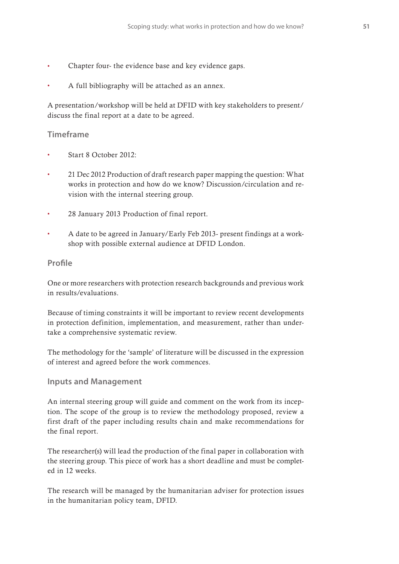- Chapter four- the evidence base and key evidence gaps.
- **t** A full bibliography will be attached as an annex.

A presentation/workshop will be held at DFID with key stakeholders to present/ discuss the final report at a date to be agreed.

#### **Timeframe**

- **t** Start 8 October 2012:
- **t** 21 Dec 2012 Production of draft research paper mapping the question: What works in protection and how do we know? Discussion/circulation and revision with the internal steering group.
- **t** 28 January 2013 Production of final report.
- **t** A date to be agreed in January/Early Feb 2013- present findings at a workshop with possible external audience at DFID London.

#### **Pro!le**

One or more researchers with protection research backgrounds and previous work in results/evaluations.

Because of timing constraints it will be important to review recent developments in protection definition, implementation, and measurement, rather than undertake a comprehensive systematic review.

The methodology for the 'sample' of literature will be discussed in the expression of interest and agreed before the work commences.

#### **Inputs and Management**

An internal steering group will guide and comment on the work from its inception. The scope of the group is to review the methodology proposed, review a first draft of the paper including results chain and make recommendations for the final report.

The researcher(s) will lead the production of the final paper in collaboration with the steering group. This piece of work has a short deadline and must be completed in 12 weeks.

The research will be managed by the humanitarian adviser for protection issues in the humanitarian policy team, DFID.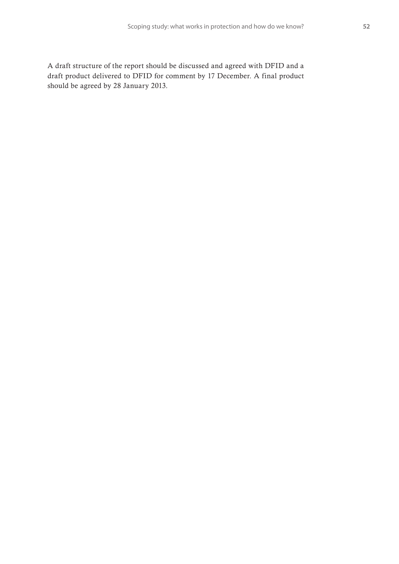A draft structure of the report should be discussed and agreed with DFID and a draft product delivered to DFID for comment by 17 December. A final product should be agreed by 28 January 2013.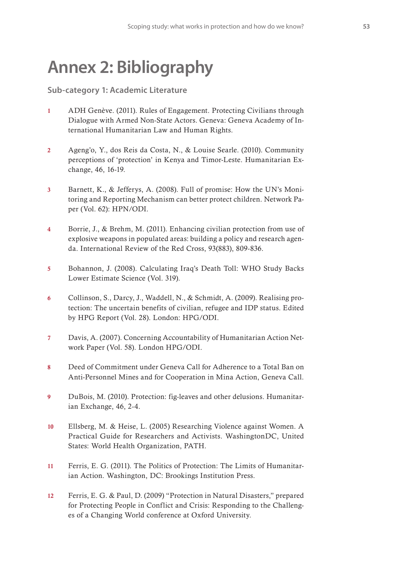# **Annex 2: Bibliography**

**Sub-category 1: Academic Literature**

- 1 ADH Genève. (2011). Rules of Engagement. Protecting Civilians through Dialogue with Armed Non-State Actors. Geneva: Geneva Academy of International Humanitarian Law and Human Rights.
- 2 Ageng'o, Y., dos Reis da Costa, N., & Louise Searle. (2010). Community perceptions of 'protection' in Kenya and Timor-Leste. Humanitarian Exchange, 46, 16-19.
- 3 Barnett, K., & Jefferys, A. (2008). Full of promise: How the UN's Monitoring and Reporting Mechanism can better protect children. Network Paper (Vol. 62): HPN/ODI.
- 4 Borrie, J., & Brehm, M. (2011). Enhancing civilian protection from use of explosive weapons in populated areas: building a policy and research agenda. International Review of the Red Cross, 93(883), 809-836.
- 5 Bohannon, J. (2008). Calculating Iraq's Death Toll: WHO Study Backs Lower Estimate Science (Vol. 319).
- 6 Collinson, S., Darcy, J., Waddell, N., & Schmidt, A. (2009). Realising protection: The uncertain benefits of civilian, refugee and IDP status. Edited by HPG Report (Vol. 28). London: HPG/ODI.
- 7 Davis, A. (2007). Concerning Accountability of Humanitarian Action Network Paper (Vol. 58). London HPG/ODI.
- 8 Deed of Commitment under Geneva Call for Adherence to a Total Ban on Anti-Personnel Mines and for Cooperation in Mina Action, Geneva Call.
- 9 DuBois, M. (2010). Protection: fig-leaves and other delusions. Humanitarian Exchange, 46, 2-4.
- 10 Ellsberg, M. & Heise, L. (2005) Researching Violence against Women. A Practical Guide for Researchers and Activists. WashingtonDC, United States: World Health Organization, PATH.
- 11 Ferris, E. G. (2011). The Politics of Protection: The Limits of Humanitarian Action. Washington, DC: Brookings Institution Press.
- 12 Ferris, E. G. & Paul, D. (2009) "Protection in Natural Disasters," prepared for Protecting People in Conflict and Crisis: Responding to the Challenges of a Changing World conference at Oxford University.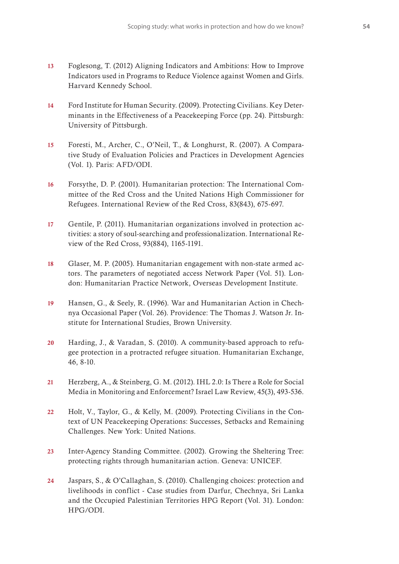- 13 Foglesong, T. (2012) Aligning Indicators and Ambitions: How to Improve Indicators used in Programs to Reduce Violence against Women and Girls. Harvard Kennedy School.
- 14 Ford Institute for Human Security. (2009). Protecting Civilians. Key Determinants in the Effectiveness of a Peacekeeping Force (pp. 24). Pittsburgh: University of Pittsburgh.
- 15 Foresti, M., Archer, C., O'Neil, T., & Longhurst, R. (2007). A Comparative Study of Evaluation Policies and Practices in Development Agencies (Vol. 1). Paris: AFD/ODI.
- 16 Forsythe, D. P. (2001). Humanitarian protection: The International Committee of the Red Cross and the United Nations High Commissioner for Refugees. International Review of the Red Cross, 83(843), 675-697.
- 17 Gentile, P. (2011). Humanitarian organizations involved in protection activities: a story of soul-searching and professionalization. International Review of the Red Cross, 93(884), 1165-1191.
- 18 Glaser, M. P. (2005). Humanitarian engagement with non-state armed actors. The parameters of negotiated access Network Paper (Vol. 51). London: Humanitarian Practice Network, Overseas Development Institute.
- 19 Hansen, G., & Seely, R. (1996). War and Humanitarian Action in Chechnya Occasional Paper (Vol. 26). Providence: The Thomas J. Watson Jr. Institute for International Studies, Brown University.
- 20 Harding, J., & Varadan, S. (2010). A community-based approach to refugee protection in a protracted refugee situation. Humanitarian Exchange, 46, 8-10.
- 21 Herzberg, A., & Steinberg, G. M. (2012). IHL 2.0: Is There a Role for Social Media in Monitoring and Enforcement? Israel Law Review, 45(3), 493-536.
- 22 Holt, V., Taylor, G., & Kelly, M. (2009). Protecting Civilians in the Context of UN Peacekeeping Operations: Successes, Setbacks and Remaining Challenges. New York: United Nations.
- 23 Inter-Agency Standing Committee. (2002). Growing the Sheltering Tree: protecting rights through humanitarian action. Geneva: UNICEF.
- 24 Jaspars, S., & O'Callaghan, S. (2010). Challenging choices: protection and livelihoods in conflict - Case studies from Darfur, Chechnya, Sri Lanka and the Occupied Palestinian Territories HPG Report (Vol. 31). London: HPG/ODI.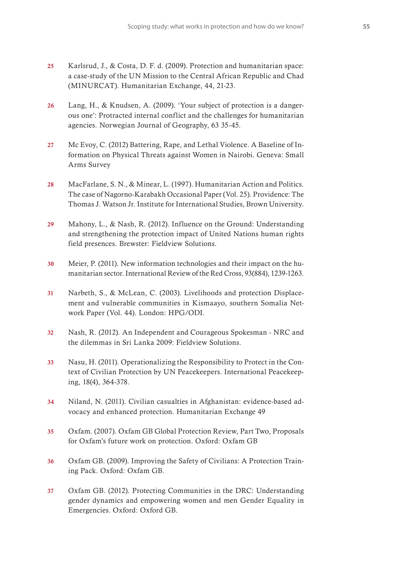- 25 Karlsrud, J., & Costa, D. F. d. (2009). Protection and humanitarian space: a case-study of the UN Mission to the Central African Republic and Chad (MINURCAT). Humanitarian Exchange, 44, 21-23.
- 26 Lang, H., & Knudsen, A. (2009). 'Your subject of protection is a dangerous one': Protracted internal conflict and the challenges for humanitarian agencies. Norwegian Journal of Geography, 63 35-45.
- 27 Mc Evoy, C. (2012) Battering, Rape, and Lethal Violence. A Baseline of Information on Physical Threats against Women in Nairobi. Geneva: Small Arms Survey
- 28 MacFarlane, S. N., & Minear, L. (1997). Humanitarian Action and Politics. The case of Nagorno-Karabakh Occasional Paper (Vol. 25). Providence: The Thomas J. Watson Jr. Institute for International Studies, Brown University.
- 29 Mahony, L., & Nash, R. (2012). Influence on the Ground: Understanding and strengthening the protection impact of United Nations human rights field presences. Brewster: Fieldview Solutions.
- 30 Meier, P. (2011). New information technologies and their impact on the humanitarian sector. International Review of the Red Cross, 93(884), 1239-1263.
- 31 Narbeth, S., & McLean, C. (2003). Livelihoods and protection Displacement and vulnerable communities in Kismaayo, southern Somalia Network Paper (Vol. 44). London: HPG/ODI.
- 32 Nash, R. (2012). An Independent and Courageous Spokesman NRC and the dilemmas in Sri Lanka 2009: Fieldview Solutions.
- 33 Nasu, H. (2011). Operationalizing the Responsibility to Protect in the Context of Civilian Protection by UN Peacekeepers. International Peacekeeping, 18(4), 364-378.
- 34 Niland, N. (2011). Civilian casualties in Afghanistan: evidence-based advocacy and enhanced protection. Humanitarian Exchange 49
- 35 Oxfam. (2007). Oxfam GB Global Protection Review, Part Two, Proposals for Oxfam's future work on protection. Oxford: Oxfam GB
- 36 Oxfam GB. (2009). Improving the Safety of Civilians: A Protection Training Pack. Oxford: Oxfam GB.
- 37 Oxfam GB. (2012). Protecting Communities in the DRC: Understanding gender dynamics and empowering women and men Gender Equality in Emergencies. Oxford: Oxford GB.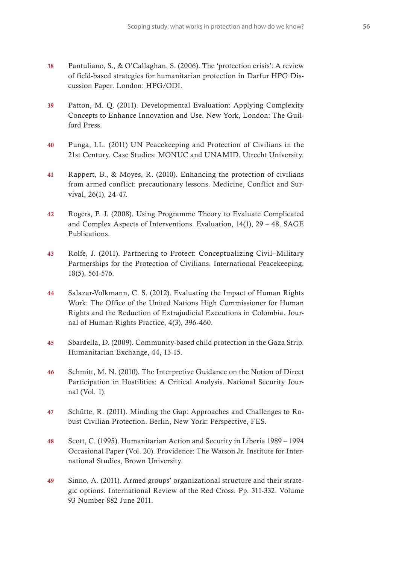- 38 Pantuliano, S., & O'Callaghan, S. (2006). The 'protection crisis': A review of field-based strategies for humanitarian protection in Darfur HPG Discussion Paper. London: HPG/ODI.
- 39 Patton, M. Q. (2011). Developmental Evaluation: Applying Complexity Concepts to Enhance Innovation and Use. New York, London: The Guilford Press.
- 40 Punga, I.L. (2011) UN Peacekeeping and Protection of Civilians in the 21st Century. Case Studies: MONUC and UNAMID. Utrecht University.
- 41 Rappert, B., & Moyes, R. (2010). Enhancing the protection of civilians from armed conflict: precautionary lessons. Medicine, Conflict and Survival, 26(1), 24-47.
- 42 Rogers, P. J. (2008). Using Programme Theory to Evaluate Complicated and Complex Aspects of Interventions. Evaluation, 14(1), 29 – 48. SAGE Publications.
- 43 Rolfe, J. (2011). Partnering to Protect: Conceptualizing Civil–Military Partnerships for the Protection of Civilians. International Peacekeeping, 18(5), 561-576.
- 44 Salazar-Volkmann, C. S. (2012). Evaluating the Impact of Human Rights Work: The Office of the United Nations High Commissioner for Human Rights and the Reduction of Extrajudicial Executions in Colombia. Journal of Human Rights Practice, 4(3), 396-460.
- 45 Sbardella, D. (2009). Community-based child protection in the Gaza Strip. Humanitarian Exchange, 44, 13-15.
- 46 Schmitt, M. N. (2010). The Interpretive Guidance on the Notion of Direct Participation in Hostilities: A Critical Analysis. National Security Journal (Vol. 1).
- 47 Schütte, R. (2011). Minding the Gap: Approaches and Challenges to Robust Civilian Protection. Berlin, New York: Perspective, FES.
- 48 Scott, C. (1995). Humanitarian Action and Security in Liberia 1989 1994 Occasional Paper (Vol. 20). Providence: The Watson Jr. Institute for International Studies, Brown University.
- 49 Sinno, A. (2011). Armed groups' organizational structure and their strategic options. International Review of the Red Cross. Pp. 311-332. Volume 93 Number 882 June 2011.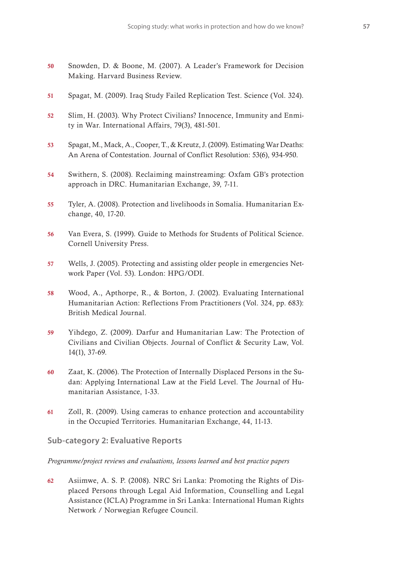- 50 Snowden, D. & Boone, M. (2007). A Leader's Framework for Decision Making. Harvard Business Review.
- 51 Spagat, M. (2009). Iraq Study Failed Replication Test. Science (Vol. 324).
- 52 Slim, H. (2003). Why Protect Civilians? Innocence, Immunity and Enmity in War. International Affairs, 79(3), 481-501.
- 53 Spagat, M., Mack, A., Cooper, T., & Kreutz, J. (2009). Estimating War Deaths: An Arena of Contestation. Journal of Conflict Resolution: 53(6), 934-950.
- 54 Swithern, S. (2008). Reclaiming mainstreaming: Oxfam GB's protection approach in DRC. Humanitarian Exchange, 39, 7-11.
- 55 Tyler, A. (2008). Protection and livelihoods in Somalia. Humanitarian Exchange, 40, 17-20.
- 56 Van Evera, S. (1999). Guide to Methods for Students of Political Science. Cornell University Press.
- 57 Wells, J. (2005). Protecting and assisting older people in emergencies Network Paper (Vol. 53). London: HPG/ODI.
- 58 Wood, A., Apthorpe, R., & Borton, J. (2002). Evaluating International Humanitarian Action: Reflections From Practitioners (Vol. 324, pp. 683): British Medical Journal.
- 59 Yihdego, Z. (2009). Darfur and Humanitarian Law: The Protection of Civilians and Civilian Objects. Journal of Conflict & Security Law, Vol. 14(1), 37-69.
- 60 Zaat, K. (2006). The Protection of Internally Displaced Persons in the Sudan: Applying International Law at the Field Level. The Journal of Humanitarian Assistance, 1-33.
- 61 Zoll, R. (2009). Using cameras to enhance protection and accountability in the Occupied Territories. Humanitarian Exchange, 44, 11-13.

#### **Sub-category 2: Evaluative Reports**

#### *Programme/project reviews and evaluations, lessons learned and best practice papers*

62 Asiimwe, A. S. P. (2008). NRC Sri Lanka: Promoting the Rights of Displaced Persons through Legal Aid Information, Counselling and Legal Assistance (ICLA) Programme in Sri Lanka: International Human Rights Network / Norwegian Refugee Council.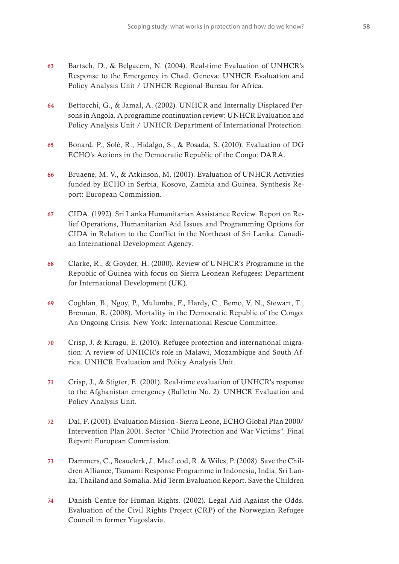- 63 Bartsch, D., & Belgacem, N. (2004). Real-time Evaluation of UNHCR's Response to the Emergency in Chad. Geneva: UNHCR Evaluation and Policy Analysis Unit / UNHCR Regional Bureau for Africa.
- 64 Bettocchi, G., & Jamal, A. (2002). UNHCR and Internally Displaced Persons in Angola. A programme continuation review: UNHCR Evaluation and Policy Analysis Unit / UNHCR Department of International Protection.
- 65 Bonard, P., Solé, R., Hidalgo, S., & Posada, S. (2010). Evaluation of DG ECHO's Actions in the Democratic Republic of the Congo: DARA.
- 66 Bruaene, M. V., & Atkinson, M. (2001). Evaluation of UNHCR Activities funded by ECHO in Serbia, Kosovo, Zambia and Guinea. Synthesis Report: European Commission.
- 67 CIDA. (1992). Sri Lanka Humanitarian Assistance Review. Report on Relief Operations, Humanitarian Aid Issues and Programming Options for CIDA in Relation to the Conflict in the Northeast of Sri Lanka: Canadian International Development Agency.
- 68 Clarke, R., & Goyder, H. (2000). Review of UNHCR's Programme in the Republic of Guinea with focus on Sierra Leonean Refugees: Department for International Development (UK).
- 69 Coghlan, B., Ngoy, P., Mulumba, F., Hardy, C., Bemo, V. N., Stewart, T., Brennan, R. (2008). Mortality in the Democratic Republic of the Congo: An Ongoing Crisis. New York: International Rescue Committee.
- 70 Crisp, J. & Kiragu, E. (2010). Refugee protection and international migration: A review of UNHCR's role in Malawi, Mozambique and South Africa. UNHCR Evaluation and Policy Analysis Unit.
- 71 Crisp, J., & Stigter, E. (2001). Real-time evaluation of UNHCR's response to the Afghanistan emergency (Bulletin No. 2): UNHCR Evaluation and Policy Analysis Unit.
- 72 Dal, F. (2001). Evaluation Mission Sierra Leone, ECHO Global Plan 2000/ Intervention Plan 2001. Sector "Child Protection and War Victims". Final Report: European Commission.
- 73 Dammers, C., Beauclerk, J., MacLeod, R. & Wiles, P. (2008). Save the Children Alliance, Tsunami Response Programme in Indonesia, India, Sri Lanka, Thailand and Somalia. Mid Term Evaluation Report. Save the Children
- 74 Danish Centre for Human Rights. (2002). Legal Aid Against the Odds. Evaluation of the Civil Rights Project (CRP) of the Norwegian Refugee Council in former Yugoslavia.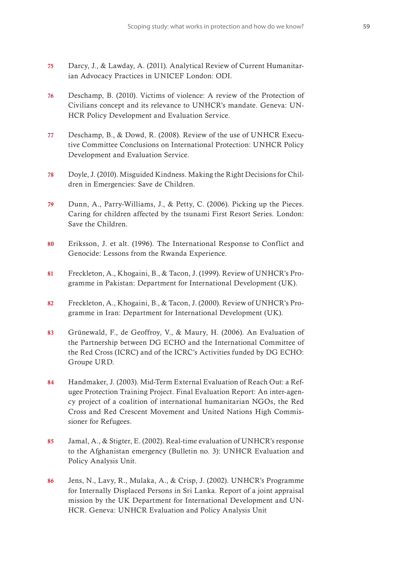- 75 Darcy, J., & Lawday, A. (2011). Analytical Review of Current Humanitarian Advocacy Practices in UNICEF London: ODI.
- 76 Deschamp, B. (2010). Victims of violence: A review of the Protection of Civilians concept and its relevance to UNHCR's mandate. Geneva: UN-HCR Policy Development and Evaluation Service.
- 77 Deschamp, B., & Dowd, R. (2008). Review of the use of UNHCR Executive Committee Conclusions on International Protection: UNHCR Policy Development and Evaluation Service.
- 78 Doyle, J. (2010). Misguided Kindness. Making the Right Decisions for Children in Emergencies: Save de Children.
- 79 Dunn, A., Parry-Williams, J., & Petty, C. (2006). Picking up the Pieces. Caring for children affected by the tsunami First Resort Series. London: Save the Children.
- 80 Eriksson, J. et alt. (1996). The International Response to Conflict and Genocide: Lessons from the Rwanda Experience.
- 81 Freckleton, A., Khogaini, B., & Tacon, J. (1999). Review of UNHCR's Programme in Pakistan: Department for International Development (UK).
- 82 Freckleton, A., Khogaini, B., & Tacon, J. (2000). Review of UNHCR's Programme in Iran: Department for International Development (UK).
- 83 Grünewald, F., de Geoffroy, V., & Maury, H. (2006). An Evaluation of the Partnership between DG ECHO and the International Committee of the Red Cross (ICRC) and of the ICRC's Activities funded by DG ECHO: Groupe URD.
- 84 Handmaker, J. (2003). Mid-Term External Evaluation of Reach Out: a Refugee Protection Training Project. Final Evaluation Report: An inter-agency project of a coalition of international humanitarian NGOs, the Red Cross and Red Crescent Movement and United Nations High Commissioner for Refugees.
- 85 Jamal, A., & Stigter, E. (2002). Real-time evaluation of UNHCR's response to the Afghanistan emergency (Bulletin no. 3): UNHCR Evaluation and Policy Analysis Unit.
- 86 Jens, N., Lavy, R., Mulaka, A., & Crisp, J. (2002). UNHCR's Programme for Internally Displaced Persons in Sri Lanka. Report of a joint appraisal mission by the UK Department for International Development and UN-HCR. Geneva: UNHCR Evaluation and Policy Analysis Unit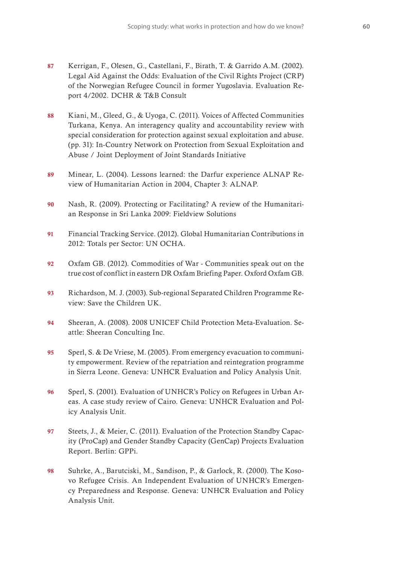- 87 Kerrigan, F., Olesen, G., Castellani, F., Birath, T. & Garrido A.M. (2002). Legal Aid Against the Odds: Evaluation of the Civil Rights Project (CRP) of the Norwegian Refugee Council in former Yugoslavia. Evaluation Report 4/2002. DCHR & T&B Consult
- 88 Kiani, M., Gleed, G., & Uyoga, C. (2011). Voices of Affected Communities Turkana, Kenya. An interagency quality and accountability review with special consideration for protection against sexual exploitation and abuse. (pp. 31): In-Country Network on Protection from Sexual Exploitation and Abuse / Joint Deployment of Joint Standards Initiative
- 89 Minear, L. (2004). Lessons learned: the Darfur experience ALNAP Review of Humanitarian Action in 2004, Chapter 3: ALNAP.
- 90 Nash, R. (2009). Protecting or Facilitating? A review of the Humanitarian Response in Sri Lanka 2009: Fieldview Solutions
- 91 Financial Tracking Service. (2012). Global Humanitarian Contributions in 2012: Totals per Sector: UN OCHA.
- 92 Oxfam GB. (2012). Commodities of War Communities speak out on the true cost of conflict in eastern DR Oxfam Briefing Paper. Oxford Oxfam GB.
- 93 Richardson, M. J. (2003). Sub-regional Separated Children Programme Review: Save the Children UK.
- 94 Sheeran, A. (2008). 2008 UNICEF Child Protection Meta-Evaluation. Seattle: Sheeran Conculting Inc.
- 95 Sperl, S. & De Vriese, M. (2005). From emergency evacuation to community empowerment. Review of the repatriation and reintegration programme in Sierra Leone. Geneva: UNHCR Evaluation and Policy Analysis Unit.
- 96 Sperl, S. (2001). Evaluation of UNHCR's Policy on Refugees in Urban Areas. A case study review of Cairo. Geneva: UNHCR Evaluation and Policy Analysis Unit.
- 97 Steets, J., & Meier, C. (2011). Evaluation of the Protection Standby Capacity (ProCap) and Gender Standby Capacity (GenCap) Projects Evaluation Report. Berlin: GPPi.
- 98 Suhrke, A., Barutciski, M., Sandison, P., & Garlock, R. (2000). The Kosovo Refugee Crisis. An Independent Evaluation of UNHCR's Emergency Preparedness and Response. Geneva: UNHCR Evaluation and Policy Analysis Unit.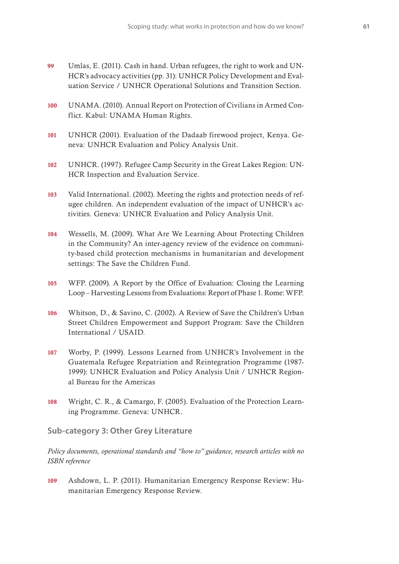- 99 Umlas, E. (2011). Cash in hand. Urban refugees, the right to work and UN-HCR's advocacy activities (pp. 31): UNHCR Policy Development and Evaluation Service / UNHCR Operational Solutions and Transition Section.
- 100 UNAMA. (2010). Annual Report on Protection of Civilians in Armed Conflict. Kabul: UNAMA Human Rights.
- 101 UNHCR (2001). Evaluation of the Dadaab firewood project, Kenya. Geneva: UNHCR Evaluation and Policy Analysis Unit.
- 102 UNHCR. (1997). Refugee Camp Security in the Great Lakes Region: UN-HCR Inspection and Evaluation Service.
- 103 Valid International. (2002). Meeting the rights and protection needs of refugee children. An independent evaluation of the impact of UNHCR's activities. Geneva: UNHCR Evaluation and Policy Analysis Unit.
- 104 Wessells, M. (2009). What Are We Learning About Protecting Children in the Community? An inter-agency review of the evidence on community-based child protection mechanisms in humanitarian and development settings: The Save the Children Fund.
- 105 WFP. (2009). A Report by the Office of Evaluation: Closing the Learning Loop – Harvesting Lessons from Evaluations: Report of Phase 1. Rome: WFP.
- 106 Whitson, D., & Savino, C. (2002). A Review of Save the Children's Urban Street Children Empowerment and Support Program: Save the Children International / USAID.
- 107 Worby, P. (1999). Lessons Learned from UNHCR's Involvement in the Guatemala Refugee Repatriation and Reintegration Programme (1987- 1999): UNHCR Evaluation and Policy Analysis Unit / UNHCR Regional Bureau for the Americas
- 108 Wright, C. R., & Camargo, F. (2005). Evaluation of the Protection Learning Programme. Geneva: UNHCR.

**Sub-category 3: Other Grey Literature** 

*Policy documents, operational standards and "how to" guidance, research articles with no ISBN reference*

109 Ashdown, L. P. (2011). Humanitarian Emergency Response Review: Humanitarian Emergency Response Review.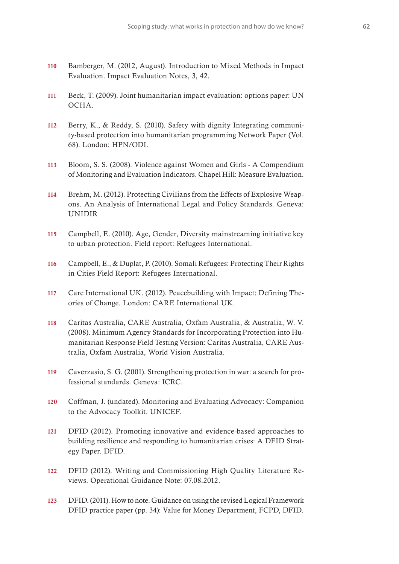- 110 Bamberger, M. (2012, August). Introduction to Mixed Methods in Impact Evaluation. Impact Evaluation Notes, 3, 42.
- 111 Beck, T. (2009). Joint humanitarian impact evaluation: options paper: UN OCHA.
- 112 Berry, K., & Reddy, S. (2010). Safety with dignity Integrating community-based protection into humanitarian programming Network Paper (Vol. 68). London: HPN/ODI.
- 113 Bloom, S. S. (2008). Violence against Women and Girls A Compendium of Monitoring and Evaluation Indicators. Chapel Hill: Measure Evaluation.
- 114 Brehm, M. (2012). Protecting Civilians from the Effects of Explosive Weapons. An Analysis of International Legal and Policy Standards. Geneva: UNIDIR
- 115 Campbell, E. (2010). Age, Gender, Diversity mainstreaming initiative key to urban protection. Field report: Refugees International.
- 116 Campbell, E., & Duplat, P. (2010). Somali Refugees: Protecting Their Rights in Cities Field Report: Refugees International.
- 117 Care International UK. (2012). Peacebuilding with Impact: Defining Theories of Change. London: CARE International UK.
- 118 Caritas Australia, CARE Australia, Oxfam Australia, & Australia, W. V. (2008). Minimum Agency Standards for Incorporating Protection into Humanitarian Response Field Testing Version: Caritas Australia, CARE Australia, Oxfam Australia, World Vision Australia.
- 119 Caverzasio, S. G. (2001). Strengthening protection in war: a search for professional standards. Geneva: ICRC.
- 120 Coffman, J. (undated). Monitoring and Evaluating Advocacy: Companion to the Advocacy Toolkit. UNICEF.
- 121 DFID (2012). Promoting innovative and evidence-based approaches to building resilience and responding to humanitarian crises: A DFID Strategy Paper. DFID.
- 122 DFID (2012). Writing and Commissioning High Quality Literature Reviews. Operational Guidance Note: 07.08.2012.
- 123 DFID. (2011). How to note. Guidance on using the revised Logical Framework DFID practice paper (pp. 34): Value for Money Department, FCPD, DFID.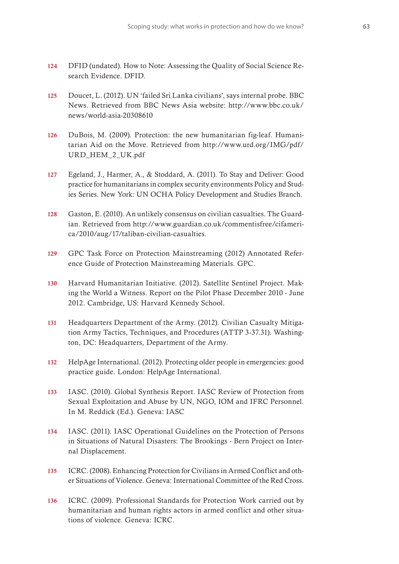- 124 DFID (undated). How to Note: Assessing the Quality of Social Science Research Evidence. DFID.
- 125 Doucet, L. (2012). UN 'failed Sri Lanka civilians', says internal probe. BBC News. Retrieved from BBC News Asia website: http://www.bbc.co.uk/ news/world-asia-20308610
- 126 DuBois, M. (2009). Protection: the new humanitarian fig-leaf. Humanitarian Aid on the Move. Retrieved from http://www.urd.org/IMG/pdf/ URD\_HEM\_2\_UK.pdf
- 127 Egeland, J., Harmer, A., & Stoddard, A. (2011). To Stay and Deliver: Good practice for humanitarians in complex security environments Policy and Studies Series. New York: UN OCHA Policy Development and Studies Branch.
- 128 Gaston, E. (2010). An unlikely consensus on civilian casualties. The Guardian. Retrieved from http://www.guardian.co.uk/commentisfree/cifamerica/2010/aug/17/taliban-civilian-casualties.
- 129 GPC Task Force on Protection Mainstreaming (2012) Annotated Reference Guide of Protection Mainstreaming Materials. GPC.
- 130 Harvard Humanitarian Initiative. (2012). Satellite Sentinel Project. Making the World a Witness. Report on the Pilot Phase December 2010 - June 2012. Cambridge, US: Harvard Kennedy School.
- 131 Headquarters Department of the Army. (2012). Civilian Casualty Mitigation Army Tactics, Techniques, and Procedures (ATTP 3-37.31). Washington, DC: Headquarters, Department of the Army.
- 132 HelpAge International. (2012). Protecting older people in emergencies: good practice guide. London: HelpAge International.
- 133 IASC. (2010). Global Synthesis Report. IASC Review of Protection from Sexual Exploitation and Abuse by UN, NGO, IOM and IFRC Personnel. In M. Reddick (Ed.). Geneva: IASC
- 134 IASC. (2011). IASC Operational Guidelines on the Protection of Persons in Situations of Natural Disasters: The Brookings - Bern Project on Internal Displacement.
- 135 ICRC. (2008). Enhancing Protection for Civilians in Armed Conflict and other Situations of Violence. Geneva: International Committee of the Red Cross.
- 136 ICRC. (2009). Professional Standards for Protection Work carried out by humanitarian and human rights actors in armed conflict and other situations of violence. Geneva: ICRC.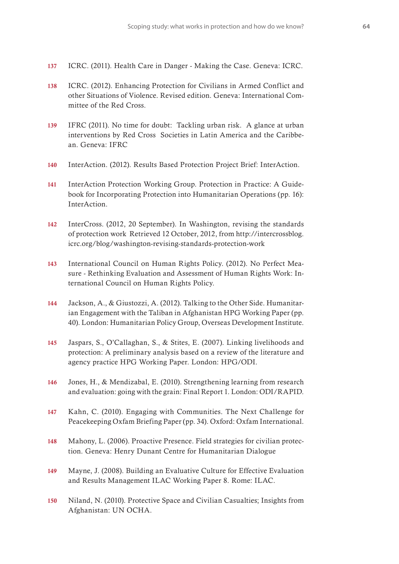- 137 ICRC. (2011). Health Care in Danger Making the Case. Geneva: ICRC.
- 138 ICRC. (2012). Enhancing Protection for Civilians in Armed Conflict and other Situations of Violence. Revised edition. Geneva: International Committee of the Red Cross.
- 139 IFRC (2011). No time for doubt: Tackling urban risk. A glance at urban interventions by Red Cross Societies in Latin America and the Caribbean. Geneva: IFRC
- 140 InterAction. (2012). Results Based Protection Project Brief: InterAction.
- 141 InterAction Protection Working Group. Protection in Practice: A Guidebook for Incorporating Protection into Humanitarian Operations (pp. 16): InterAction.
- 142 InterCross. (2012, 20 September). In Washington, revising the standards of protection work Retrieved 12 October, 2012, from http://intercrossblog. icrc.org/blog/washington-revising-standards-protection-work
- 143 International Council on Human Rights Policy. (2012). No Perfect Measure - Rethinking Evaluation and Assessment of Human Rights Work: International Council on Human Rights Policy.
- 144 Jackson, A., & Giustozzi, A. (2012). Talking to the Other Side. Humanitarian Engagement with the Taliban in Afghanistan HPG Working Paper (pp. 40). London: Humanitarian Policy Group, Overseas Development Institute.
- 145 Jaspars, S., O'Callaghan, S., & Stites, E. (2007). Linking livelihoods and protection: A preliminary analysis based on a review of the literature and agency practice HPG Working Paper. London: HPG/ODI.
- 146 Jones, H., & Mendizabal, E. (2010). Strengthening learning from research and evaluation: going with the grain: Final Report 1. London: ODI/RAPID.
- 147 Kahn, C. (2010). Engaging with Communities. The Next Challenge for Peacekeeping Oxfam Briefing Paper (pp. 34). Oxford: Oxfam International.
- 148 Mahony, L. (2006). Proactive Presence. Field strategies for civilian protection. Geneva: Henry Dunant Centre for Humanitarian Dialogue
- 149 Mayne, J. (2008). Building an Evaluative Culture for Effective Evaluation and Results Management ILAC Working Paper 8. Rome: ILAC.
- 150 Niland, N. (2010). Protective Space and Civilian Casualties; Insights from Afghanistan: UN OCHA.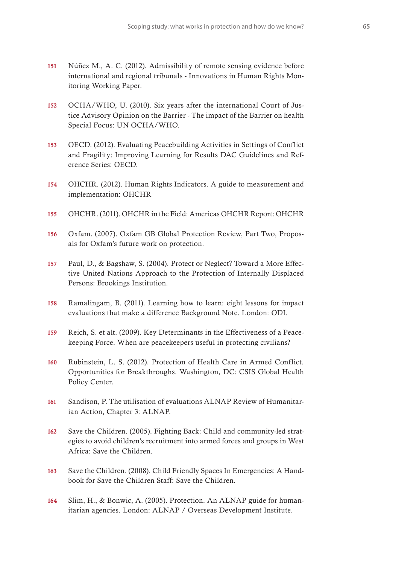- 151 Núñez M., A. C. (2012). Admissibility of remote sensing evidence before international and regional tribunals - Innovations in Human Rights Monitoring Working Paper.
- 152 OCHA/WHO, U. (2010). Six years after the international Court of Justice Advisory Opinion on the Barrier - The impact of the Barrier on health Special Focus: UN OCHA/WHO.
- 153 OECD. (2012). Evaluating Peacebuilding Activities in Settings of Conflict and Fragility: Improving Learning for Results DAC Guidelines and Reference Series: OECD.
- 154 OHCHR. (2012). Human Rights Indicators. A guide to measurement and implementation: OHCHR
- 155 OHCHR. (2011). OHCHR in the Field: Americas OHCHR Report: OHCHR
- 156 Oxfam. (2007). Oxfam GB Global Protection Review, Part Two, Proposals for Oxfam's future work on protection.
- 157 Paul, D., & Bagshaw, S. (2004). Protect or Neglect? Toward a More Effective United Nations Approach to the Protection of Internally Displaced Persons: Brookings Institution.
- 158 Ramalingam, B. (2011). Learning how to learn: eight lessons for impact evaluations that make a difference Background Note. London: ODI.
- 159 Reich, S. et alt. (2009). Key Determinants in the Effectiveness of a Peacekeeping Force. When are peacekeepers useful in protecting civilians?
- 160 Rubinstein, L. S. (2012). Protection of Health Care in Armed Conflict. Opportunities for Breakthroughs. Washington, DC: CSIS Global Health Policy Center.
- 161 Sandison, P. The utilisation of evaluations ALNAP Review of Humanitarian Action, Chapter 3: ALNAP.
- 162 Save the Children. (2005). Fighting Back: Child and community-led strategies to avoid children's recruitment into armed forces and groups in West Africa: Save the Children.
- 163 Save the Children. (2008). Child Friendly Spaces In Emergencies: A Handbook for Save the Children Staff: Save the Children.
- 164 Slim, H., & Bonwic, A. (2005). Protection. An ALNAP guide for humanitarian agencies. London: ALNAP / Overseas Development Institute.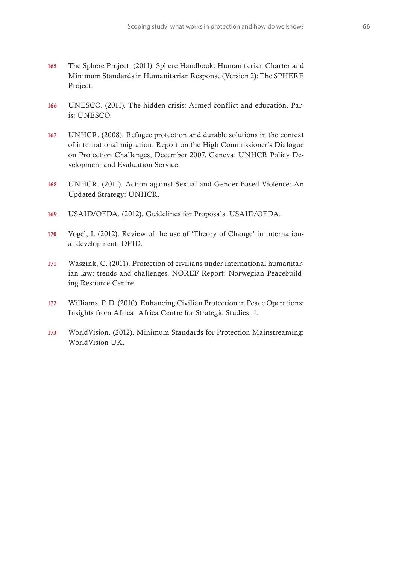- 165 The Sphere Project. (2011). Sphere Handbook: Humanitarian Charter and Minimum Standards in Humanitarian Response (Version 2): The SPHERE Project.
- 166 UNESCO. (2011). The hidden crisis: Armed conflict and education. Paris: UNESCO.
- 167 UNHCR. (2008). Refugee protection and durable solutions in the context of international migration. Report on the High Commissioner's Dialogue on Protection Challenges, December 2007. Geneva: UNHCR Policy Development and Evaluation Service.
- 168 UNHCR. (2011). Action against Sexual and Gender-Based Violence: An Updated Strategy: UNHCR.
- 169 USAID/OFDA. (2012). Guidelines for Proposals: USAID/OFDA.
- 170 Vogel, I. (2012). Review of the use of 'Theory of Change' in international development: DFID.
- 171 Waszink, C. (2011). Protection of civilians under international humanitarian law: trends and challenges. NOREF Report: Norwegian Peacebuilding Resource Centre.
- 172 Williams, P. D. (2010). Enhancing Civilian Protection in Peace Operations: Insights from Africa. Africa Centre for Strategic Studies, 1.
- 173 WorldVision. (2012). Minimum Standards for Protection Mainstreaming: WorldVision UK.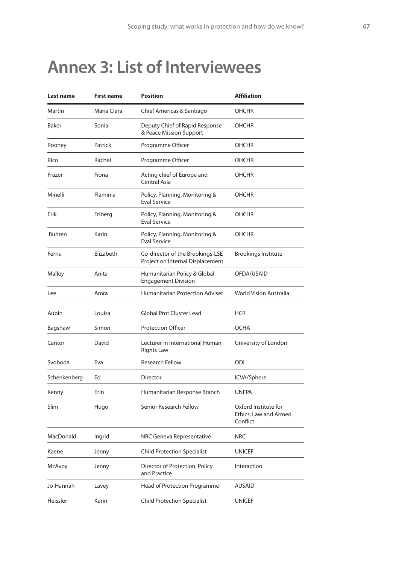## **Annex 3: List of Interviewees**

| Last name<br>First name |             | <b>Position</b>                                                      | <b>Affiliation</b>                                        |  |  |
|-------------------------|-------------|----------------------------------------------------------------------|-----------------------------------------------------------|--|--|
| Martin                  | Maria Clara | Chief Americas & Santiago                                            | OHCHR                                                     |  |  |
| Baker                   | Sonia       | Deputy Chief of Rapid Response<br>& Peace Mission Support            | <b>OHCHR</b>                                              |  |  |
| Rooney                  | Patrick     | Programme Officer                                                    | OHCHR                                                     |  |  |
| Rico                    | Rachel      | Programme Officer                                                    | OHCHR                                                     |  |  |
| Frazer                  | Fiona       | Acting chief of Europe and<br>Central Asia                           | OHCHR                                                     |  |  |
| Minelli                 | Flaminia    | Policy, Planning, Monitoring &<br><b>Eval Service</b>                | OHCHR                                                     |  |  |
| Erik                    | Friberg     | Policy, Planning, Monitoring &<br><b>Eval Service</b>                | OHCHR                                                     |  |  |
| <b>Buhren</b>           | Karin       | Policy, Planning, Monitoring &<br>Eval Service                       | <b>OHCHR</b>                                              |  |  |
| Ferris                  | Elizabeth   | Co-director of the Brookings-LSE<br>Project on Internal Displacement | <b>Brookings Institute</b>                                |  |  |
| Malley                  | Anita       | Humanitarian Policy & Global<br><b>Engagement Division</b>           | OFDA/USAID                                                |  |  |
| Lee                     | Amra        | <b>Humanitarian Protection Adviser</b>                               | <b>World Vision Australia</b>                             |  |  |
| Aubin                   | Louisa      | <b>Global Prot Cluster Lead</b>                                      | HCR                                                       |  |  |
| Bagshaw                 | Simon       | <b>Protection Officer</b>                                            | OCHA                                                      |  |  |
| Cantor                  | David       | Lecturer in International Human<br><b>Rights Law</b>                 | University of London                                      |  |  |
| Svoboda                 | Eva         | <b>Research Fellow</b>                                               | ODI                                                       |  |  |
| Schenkenberg            | Ed          | Director                                                             | ICVA/Sphere                                               |  |  |
| Kenny                   | Erin        | Humanitarian Response Branch                                         | <b>UNFPA</b>                                              |  |  |
| Slim<br>Hugo            |             | Senior Research Fellow                                               | Oxford Institute for<br>Ethics, Law and Armed<br>Conflict |  |  |
| MacDonald               | Ingrid      | NRC Geneva Representative                                            | <b>NRC</b>                                                |  |  |
| Kaene                   | Jenny       | <b>Child Protection Specialist</b>                                   | <b>UNICEF</b>                                             |  |  |
| McAvoy                  | Jenny       | Director of Protection, Policy<br>and Practice                       | Interaction                                               |  |  |
| Jo-Hannah               | Lavey       | Head of Protection Programme                                         | AUSAID                                                    |  |  |
| Heissler                | Karin       | <b>Child Protection Specialist</b>                                   | <b>UNICEF</b>                                             |  |  |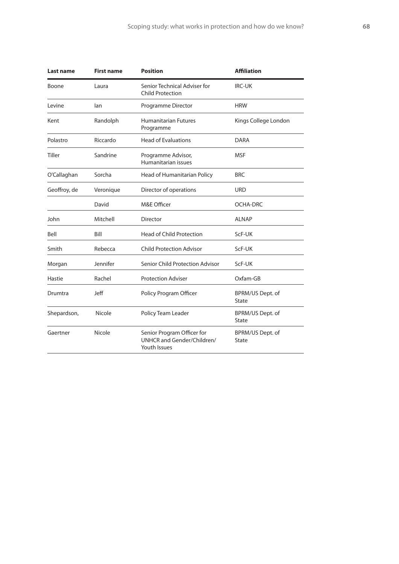| Last name                 | <b>First name</b>            | <b>Position</b>                                                          | <b>Affiliation</b>        |  |  |
|---------------------------|------------------------------|--------------------------------------------------------------------------|---------------------------|--|--|
| Boone<br>Laura            |                              | Senior Technical Adviser for<br><b>Child Protection</b>                  | <b>IRC-UK</b>             |  |  |
| Levine<br>lan             |                              | Programme Director                                                       | <b>HRW</b>                |  |  |
| Kent                      | Randolph                     | <b>Humanitarian Futures</b><br>Programme                                 | Kings College London      |  |  |
| Polastro                  | Riccardo                     | <b>Head of Evaluations</b>                                               | DARA                      |  |  |
| <b>Tiller</b><br>Sandrine |                              | Programme Advisor,<br>Humanitarian issues                                | MSF                       |  |  |
| O'Callaghan<br>Sorcha     |                              | Head of Humanitarian Policy                                              | <b>BRC</b>                |  |  |
| Geoffroy, de              | Veronique                    | Director of operations                                                   | <b>URD</b>                |  |  |
|                           | David                        | M&E Officer                                                              | OCHA-DRC                  |  |  |
| John                      | Mitchell<br>Director         |                                                                          | <b>ALNAP</b>              |  |  |
| Bill<br>Bell              |                              | <b>Head of Child Protection</b>                                          | ScF-UK                    |  |  |
| Smith<br>Rebecca          |                              | <b>Child Protection Advisor</b>                                          | ScF-UK                    |  |  |
| Jennifer<br>Morgan        |                              | Senior Child Protection Advisor                                          | ScF-UK                    |  |  |
| Rachel<br>Hastie          |                              | <b>Protection Adviser</b>                                                | Oxfam-GB                  |  |  |
| Jeff<br>Drumtra           |                              | Policy Program Officer                                                   | BPRM/US Dept. of<br>State |  |  |
| Shepardson,               | Nicole<br>Policy Team Leader |                                                                          | BPRM/US Dept. of<br>State |  |  |
| Gaertner<br>Nicole        |                              | Senior Program Officer for<br>UNHCR and Gender/Children/<br>Youth Issues | BPRM/US Dept. of<br>State |  |  |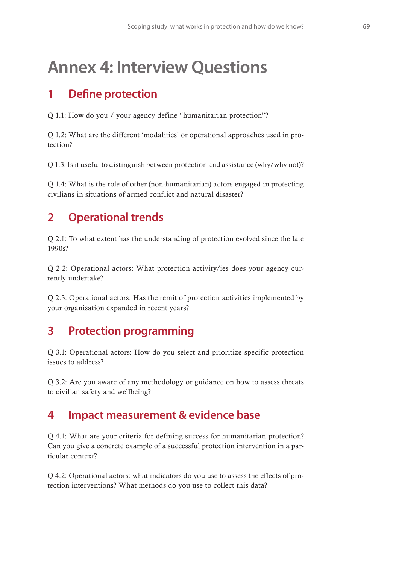## **Annex 4: Interview Questions**

## **1 De!ne protection**

Q 1.1: How do you / your agency define "humanitarian protection"?

Q 1.2: What are the different 'modalities' or operational approaches used in protection?

Q 1.3: Is it useful to distinguish between protection and assistance (why/why not)?

Q 1.4: What is the role of other (non-humanitarian) actors engaged in protecting civilians in situations of armed conflict and natural disaster?

## **2 Operational trends**

Q 2.1: To what extent has the understanding of protection evolved since the late 1990s?

Q 2.2: Operational actors: What protection activity/ies does your agency currently undertake?

Q 2.3: Operational actors: Has the remit of protection activities implemented by your organisation expanded in recent years?

### **3 Protection programming**

Q 3.1: Operational actors: How do you select and prioritize specific protection issues to address?

Q 3.2: Are you aware of any methodology or guidance on how to assess threats to civilian safety and wellbeing?

### **4 Impact measurement & evidence base**

Q 4.1: What are your criteria for defining success for humanitarian protection? Can you give a concrete example of a successful protection intervention in a particular context?

Q 4.2: Operational actors: what indicators do you use to assess the effects of protection interventions? What methods do you use to collect this data?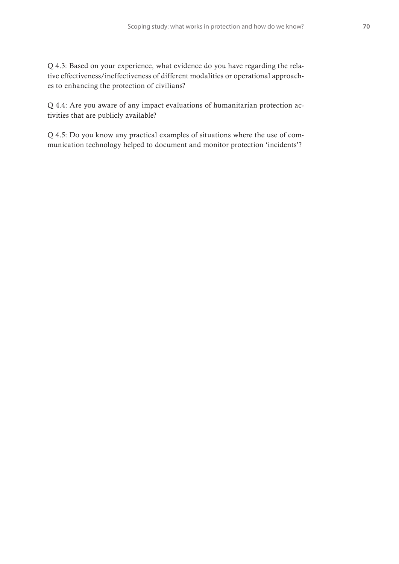Q 4.3: Based on your experience, what evidence do you have regarding the relative effectiveness/ineffectiveness of different modalities or operational approaches to enhancing the protection of civilians?

Q 4.4: Are you aware of any impact evaluations of humanitarian protection activities that are publicly available?

Q 4.5: Do you know any practical examples of situations where the use of communication technology helped to document and monitor protection 'incidents'?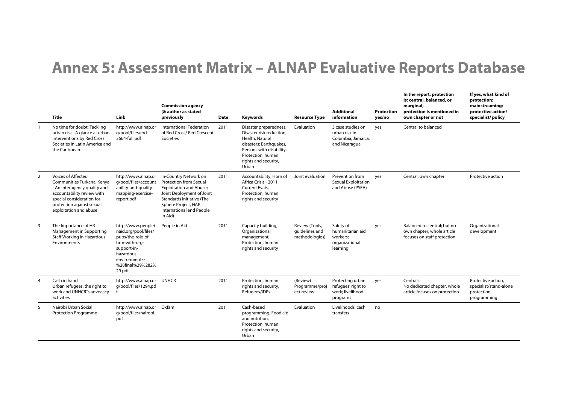## **Annex 5: Assessment Matrix – ALNAP Evaluative Reports Database**

|                | Title                                                                                                                                                                                              | Link                                                                                                                                                         | <b>Commission agency</b><br>(& author as stated<br>previously                                                                                                                                                    | <b>Date</b> | Keywords                                                                                                                                                                           | <b>Resource Type</b>                               | <b>Additional</b><br>information                                          | <b>Protection</b><br>yes/no | In the report, protection<br>is: central, balanced, or<br>marginal;<br>protection is mentioned in<br>own chapter or not | If yes, what kind of<br>protection:<br>mainstreaming/<br>protective action/<br>specialist/policy |
|----------------|----------------------------------------------------------------------------------------------------------------------------------------------------------------------------------------------------|--------------------------------------------------------------------------------------------------------------------------------------------------------------|------------------------------------------------------------------------------------------------------------------------------------------------------------------------------------------------------------------|-------------|------------------------------------------------------------------------------------------------------------------------------------------------------------------------------------|----------------------------------------------------|---------------------------------------------------------------------------|-----------------------------|-------------------------------------------------------------------------------------------------------------------------|--------------------------------------------------------------------------------------------------|
|                | No time for doubt: Tackling<br>urban risk - A glance at urban<br>interventions by Red Cross<br>Societies in Latin America and<br>the Caribbean                                                     | http://www.alnap.or<br>q/pool/files/erd-<br>3664-full.pdf                                                                                                    | <b>International Federation</b><br>of Red Cross/ Red Crescent<br>Societies                                                                                                                                       | 2011        | Disaster preparedness,<br>Disaster risk reduction.<br>Health, Natural<br>disasters: Earthquakes,<br>Persons with disability,<br>Protection, human<br>rights and security,<br>Urban | Evaluation                                         | 3 case studies on<br>urban risk in<br>Columbia, Jamaica,<br>and Nicaragua | yes                         | Central to balanced                                                                                                     |                                                                                                  |
| 2              | Voices of Affected<br>Communities Turkana, Kenya<br>- An interagency quality and<br>accountability review with<br>special consideration for<br>protection against sexual<br>exploitation and abuse | http://www.alnap.or<br>g/pool/files/account<br>ability-and-quality-<br>mapping-exercise-<br>report.pdf                                                       | In-Country Network on<br><b>Protection from Sexual</b><br><b>Exploitation and Abuse;</b><br>Joint Deployment of Joint<br>Standards Initiative (The<br>Sphere Project, HAP<br>International and People<br>In Aid) | 2011        | Accountability, Horn of<br>Africa Crisis - 2011<br>Current Evals.<br>Protection, human<br>rights and security                                                                      | Joint evaluation                                   | Prevention from<br>Sexual Exploitation<br>and Abuse (PSEA)                | yes                         | Central; own chapter                                                                                                    | Protective action                                                                                |
| 3              | The Importance of HR<br>Management in Supporting<br>Staff Working in Hazardous<br>Environments                                                                                                     | http://www.peoplei<br>naid.org/pool/files/<br>pubs/the-role-of-<br>hrm-with-org-<br>support-in-<br>hazardous-<br>environments-<br>%28final%29%282%<br>29.pdf | People in Aid                                                                                                                                                                                                    | 2011        | Capacity building,<br>Organisational<br>management,<br>Protection, human<br>rights and security                                                                                    | Review (Tools,<br>quidelines and<br>methodologies) | Safety of<br>humanitarian aid<br>workers;<br>organizational<br>learning   | yes                         | Balanced to central; but no<br>own chapter; whole article<br>focuses on staff protection                                | Organizational<br>development                                                                    |
| $\overline{4}$ | Cash in hand<br>Urban refugees, the right to<br>work and UNHCR"s advocacy<br>activities                                                                                                            | http://www.alnap.or<br>q/pool/files/1294.pd                                                                                                                  | <b>UNHCR</b>                                                                                                                                                                                                     | 2011        | Protection, human<br>rights and security,<br>Refugees/IDPs                                                                                                                         | (Review)<br>Programme/proj<br>ect review           | Protecting urban<br>refugees' right to<br>work: livelihood<br>programs    | yes                         | Central:<br>No dedicated chapter, whole<br>article focuses on protection                                                | Protective action,<br>specialist/stand-alone<br>protection<br>programming                        |
| 5              | Nairobi Urban Social<br><b>Protection Programme</b>                                                                                                                                                | http://www.alnap.or<br>g/pool/files/nairobi.<br>pdf                                                                                                          | Oxfam                                                                                                                                                                                                            | 2011        | Cash-based<br>programming, Food aid<br>and nutrition,<br>Protection, human<br>rights and security,<br>Urban                                                                        | Evaluation                                         | Livelihoods, cash<br>transfers                                            | no                          |                                                                                                                         |                                                                                                  |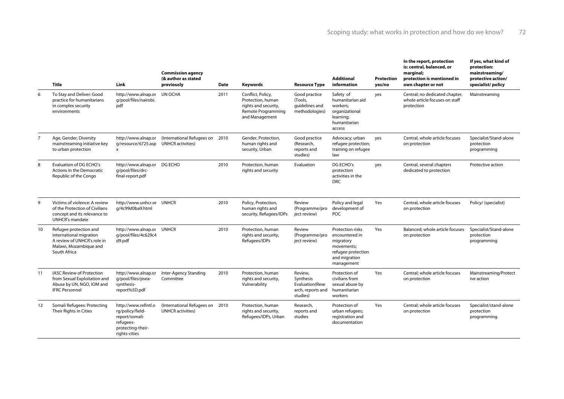|                | <b>Title</b>                                                                                                               | Link                                                                                                          | <b>Commission agency</b><br>(& author as stated<br>previously | Date | Keywords                                                                                               | <b>Resource Type</b>                                                     | <b>Additional</b><br>information                                                                                   | <b>Protection</b><br>yes/no | In the report, protection<br>is: central, balanced, or<br>marginal;<br>protection is mentioned in<br>own chapter or not | If yes, what kind of<br>protection:<br>mainstreaming/<br>protective action/<br>specialist/policy |
|----------------|----------------------------------------------------------------------------------------------------------------------------|---------------------------------------------------------------------------------------------------------------|---------------------------------------------------------------|------|--------------------------------------------------------------------------------------------------------|--------------------------------------------------------------------------|--------------------------------------------------------------------------------------------------------------------|-----------------------------|-------------------------------------------------------------------------------------------------------------------------|--------------------------------------------------------------------------------------------------|
| 6              | To Stay and Deliver: Good<br>practice for humanitarians<br>in complex security<br>environments                             | http://www.alnap.or UN OCHA<br>g/pool/files/nairobi.<br>pdf                                                   |                                                               | 2011 | Conflict, Policy,<br>Protection, human<br>rights and security,<br>Remote Programming<br>and Management | Good practice<br>(Tools,<br>quidelines and<br>methodologies)             | Safety of<br>humanitarian aid<br>workers:<br>organizational<br>learning;<br>humanitarian<br>access                 | yes                         | Central; no dedicated chapter,<br>whole article focuses on staff<br>protection                                          | Mainstreaming                                                                                    |
| $\overline{7}$ | Age, Gender, Diversity<br>mainstreaming initiative key<br>to urban protection                                              | http://www.alnap.or<br>g/resource/6725.asp<br>$\mathsf{x}$                                                    | (International Refugees on 2010<br><b>UNHCR</b> activities)   |      | Gender, Protection,<br>human rights and<br>security, Urban                                             | Good practice<br>(Research,<br>reports and<br>studies)                   | Advocacy; urban<br>refugee protection;<br>training on refugee<br>law                                               | yes                         | Central, whole article focuses<br>on protection                                                                         | Specialist/Stand-alone<br>protection<br>programming                                              |
| 8              | Evaluation of DG ECHO's<br>Actions in the Democratic<br>Republic of the Congo                                              | http://www.alnap.or DG ECHO<br>q/pool/files/drc-<br>final-report.pdf                                          |                                                               | 2010 | Protection, human<br>rights and security                                                               | Evaluation                                                               | DG ECHO's<br>protection<br>activities in the<br><b>DRC</b>                                                         | yes                         | Central, several chapters<br>dedicated to protection                                                                    | Protective action                                                                                |
| 9              | Victims of violence: A review<br>of the Protection of Civilians<br>concept and its relevance to<br><b>UNHCR's mandate</b>  | http://www.unhcr.or UNHCR<br>g/4c99d0ba9.html                                                                 |                                                               | 2010 | Policy, Protection,<br>human rights and<br>security, Refugees/IDPs                                     | Review<br>(Programme/pro<br>ject review)                                 | Policy and legal<br>development of<br>POC                                                                          | Yes                         | Central, whole article focuses<br>on protection                                                                         | Policy/ (specialist)                                                                             |
| 10             | Refugee protection and<br>international migration<br>A review of UNHCR's role in<br>Malawi, Mozambique and<br>South Africa | http://www.alnap.or UNHCR<br>q/pool/files/4c629c4<br>d9.pdf                                                   |                                                               | 2010 | Protection, human<br>rights and security,<br>Refugees/IDPs                                             | Review<br>(Programme/pro<br>ject review)                                 | Protection risks<br>encountered in<br>migratory<br>movements;<br>refugee protection<br>and migration<br>management | Yes                         | Balanced; whole article focuses<br>on protection                                                                        | Specialist/Stand-alone<br>protection<br>programming                                              |
| 11             | <b>IASC Review of Protection</b><br>from Sexual Exploitation and<br>Abuse by UN, NGO, IOM and<br><b>IFRC Personnel</b>     | http://www.alnap.or<br>q/pool/files/psea-<br>synthesis-<br>report%5D.pdf                                      | Inter-Agency Standing<br>Committee                            | 2010 | Protection, human<br>rights and security,<br>Vulnerability                                             | Review,<br>Synthesis<br>Evaluation(Rese<br>arch, reports and<br>studies) | Protection of<br>civilians from<br>sexual abuse by<br>humanitarian<br>workers                                      | Yes                         | Central: whole article focuses<br>on protection                                                                         | Mainstreaming/Protect<br>ive action                                                              |
| 12             | Somali Refugees: Protecting<br>Their Rights in Cities                                                                      | http://www.refintl.o<br>rg/policy/field-<br>report/somali-<br>refugees-<br>protecting-their-<br>rights-cities | (International Refugees on 2010<br><b>UNHCR</b> activities)   |      | Protection, human<br>rights and security,<br>Refugees/IDPs, Urban                                      | Research,<br>reports and<br>studies                                      | Protection of<br>urban refugees;<br>registration and<br>documentation                                              | Yes                         | Central: whole article focuses<br>on protection                                                                         | Specialist/stand-alone<br>protection<br>programming                                              |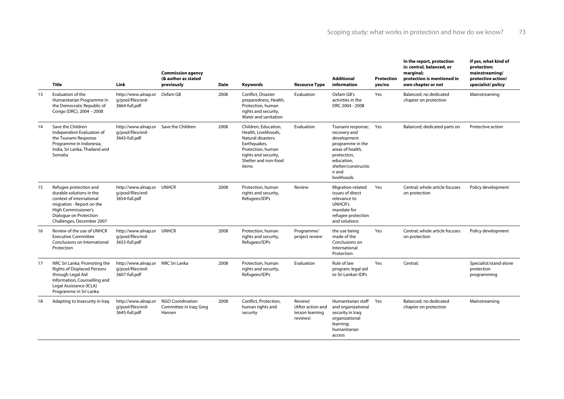|    | <b>Title</b>                                                                                                                                                                              | Link                                                                        | <b>Commission agency</b><br>(& author as stated<br>previously | <b>Date</b> | <b>Keywords</b>                                                                                                                                                  | <b>Resource Type</b>                                        | <b>Additional</b><br>information                                                                                                                                     | Protection<br>yes/no | In the report, protection<br>is: central, balanced, or<br>marginal;<br>protection is mentioned in<br>own chapter or not | If yes, what kind of<br>protection:<br>mainstreaming/<br>protective action/<br>specialist/policy |
|----|-------------------------------------------------------------------------------------------------------------------------------------------------------------------------------------------|-----------------------------------------------------------------------------|---------------------------------------------------------------|-------------|------------------------------------------------------------------------------------------------------------------------------------------------------------------|-------------------------------------------------------------|----------------------------------------------------------------------------------------------------------------------------------------------------------------------|----------------------|-------------------------------------------------------------------------------------------------------------------------|--------------------------------------------------------------------------------------------------|
| 13 | Evaluation of the<br>Humanitarian Programme in<br>the Democratic Republic of<br>Congo (DRC), 2004 - 2008                                                                                  | http://www.alnap.or<br>q/pool/files/erd-<br>3664-full.pdf                   | Oxfam GB                                                      | 2008        | Conflict, Disaster<br>preparedness, Health,<br>Protection, human<br>rights and security,<br>Water and sanitation                                                 | Evaluation                                                  | Oxfam GB's<br>activities in the<br>DRC 2004 - 2008                                                                                                                   | Yes                  | Balanced; no dedicated<br>chapter on protection                                                                         | Mainstreaming                                                                                    |
| 14 | Save the Children<br>Independent Evaluation of<br>the Tsunami Response<br>Programme in Indonesia,<br>India, Sri Lanka, Thailand and<br>Somalia                                            | http://www.alnap.or Save the Children<br>q/pool/files/erd-<br>3643-full.pdf |                                                               | 2008        | Children, Education,<br>Health, Livelihoods,<br>Natural disasters:<br>Earthquakes,<br>Protection, human<br>rights and security,<br>Shelter and non-food<br>items | <b>Evaluation</b>                                           | Tsunami response;<br>recovery and<br>development<br>programme in the<br>areas of health,<br>protection,<br>education,<br>shelter/constructio<br>n and<br>livelihoods | Yes                  | Balanced; dedicated parts on                                                                                            | Protective action                                                                                |
| 15 | Refugee protection and<br>durable solutions in the<br>context of international<br>migration - Report on the<br>High Commissioner's<br>Dialogue on Protection<br>Challenges, December 2007 | http://www.alnap.or UNHCR<br>q/pool/files/erd-<br>3654-full.pdf             |                                                               | 2008        | Protection, human<br>rights and security,<br>Refugees/IDPs                                                                                                       | Review                                                      | Migration-related<br>issues of direct<br>relevance to<br><b>UNHCR's</b><br>mandate for<br>refugee protection<br>and solutions                                        | Yes                  | Central; whole article focuses<br>on protection                                                                         | Policy development                                                                               |
| 16 | Review of the use of UNHCR<br><b>Executive Committee</b><br>Conclusions on International<br>Protection                                                                                    | http://www.alnap.or UNHCR<br>q/pool/files/erd-<br>3655-full.pdf             |                                                               | 2008        | Protection, human<br>rights and security,<br>Refugees/IDPs                                                                                                       | Programme/<br>project review                                | the use being<br>made of the<br>Conclusions on<br>International<br>Protection                                                                                        | Yes                  | Central; whole article focuses<br>on protection                                                                         | Policy development                                                                               |
| 17 | NRC Sri Lanka: Promoting the<br>Rights of Displaced Persons<br>through Legal Aid<br>Information, Counselling and<br>Legal Assistance (ICLA)<br>Programme in Sri Lanka                     | http://www.alnap.or NRC Sri Lanka<br>q/pool/files/erd-<br>3607-full.pdf     |                                                               | 2008        | Protection, human<br>rights and security,<br>Refugees/IDPs                                                                                                       | Evaluation                                                  | Rule of law<br>program; legal aid<br>to Sri Lankan IDPs                                                                                                              | Yes                  | Central;                                                                                                                | Specialist/stand-alone<br>protection<br>programming                                              |
| 18 | Adapting to Insecurity in Iraq                                                                                                                                                            | http://www.alnap.or<br>q/pool/files/erd-<br>3645-full.pdf                   | <b>NGO Coordination</b><br>Committee in Iraq; Greg<br>Hansen  | 2008        | Conflict, Protection,<br>human rights and<br>security                                                                                                            | Review)<br>(After action and<br>lesson learning<br>reviews) | Humanitarian staff Yes<br>and organizational<br>security in Iraq;<br>organizational<br>learning;<br>humanitarian<br>access                                           |                      | Balanced; no dedicated<br>chapter on protection                                                                         | Mainstreaming                                                                                    |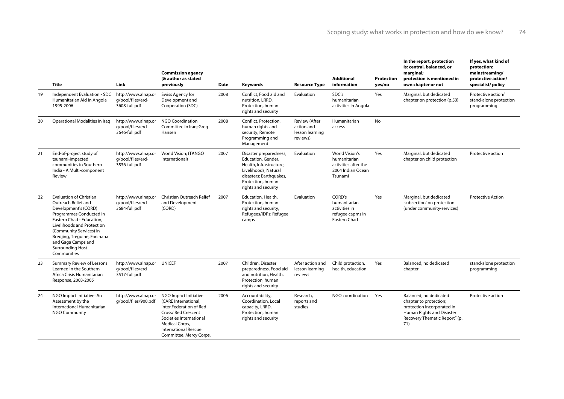|    | Title                                                                                                                                                                                                                                                                                          | Link                                                             | <b>Commission agency</b><br>(& author as stated<br>previously                                                                                                                                         | <b>Date</b> | <b>Keywords</b>                                                                                                                                                        | <b>Resource Type</b>                                              | <b>Additional</b><br>information                                                       | Protection<br>yes/no | In the report, protection<br>is: central, balanced, or<br>marginal;<br>protection is mentioned in<br>own chapter or not                             | If yes, what kind of<br>protection:<br>mainstreaming/<br>protective action/<br>specialist/policy |
|----|------------------------------------------------------------------------------------------------------------------------------------------------------------------------------------------------------------------------------------------------------------------------------------------------|------------------------------------------------------------------|-------------------------------------------------------------------------------------------------------------------------------------------------------------------------------------------------------|-------------|------------------------------------------------------------------------------------------------------------------------------------------------------------------------|-------------------------------------------------------------------|----------------------------------------------------------------------------------------|----------------------|-----------------------------------------------------------------------------------------------------------------------------------------------------|--------------------------------------------------------------------------------------------------|
| 19 | Independent Evaluation - SDC<br>Humanitarian Aid in Angola<br>1995-2006                                                                                                                                                                                                                        | http://www.alnap.or<br>q/pool/files/erd-<br>3608-full.pdf        | Swiss Agency for<br>Development and<br>Cooperation (SDC)                                                                                                                                              | 2008        | Conflict, Food aid and<br>nutrition, LRRD.<br>Protection, human<br>rights and security                                                                                 | Evaluation                                                        | SDC's<br>humanitarian<br>activities in Angola                                          | Yes                  | Marginal, but dedicated<br>chapter on protection (p.50)                                                                                             | Protective action/<br>stand-alone protection<br>programming                                      |
| 20 | Operational Modalities in Iraq                                                                                                                                                                                                                                                                 | http://www.alnap.or<br>q/pool/files/erd-<br>3646-full.pdf        | <b>NGO Coordination</b><br>Committee in Iraq; Greg<br>Hansen                                                                                                                                          | 2008        | Conflict, Protection,<br>human rights and<br>security, Remote<br>Programming and<br>Management                                                                         | <b>Review (After</b><br>action and<br>lesson learning<br>reviews) | Humanitarian<br>access                                                                 | No                   |                                                                                                                                                     |                                                                                                  |
| 21 | End-of-project study of<br>tsunami-impacted<br>communities in Southern<br>India - A Multi-component<br>Review                                                                                                                                                                                  | http://www.alnap.or<br>q/pool/files/erd-<br>3536-full.pdf        | World Vision; (TANGO<br>International)                                                                                                                                                                | 2007        | Disaster preparedness,<br>Education, Gender,<br>Health, Infrastructure,<br>Livelihoods, Natural<br>disasters: Earthquakes,<br>Protection, human<br>rights and security | Evaluation                                                        | World Vision's<br>humanitarian<br>activities after the<br>2004 Indian Ocean<br>Tsunami | Yes                  | Marginal, but dedicated<br>chapter on child protection                                                                                              | Protective action                                                                                |
| 22 | <b>Evaluation of Christian</b><br>Outreach Relief and<br>Development's (CORD)<br>Programmes Conducted in<br>Eastern Chad - Education,<br>Livelihoods and Protection<br>(Community Services) in<br>Bredjing, Tréguine, Farchana<br>and Gaga Camps and<br><b>Surrounding Host</b><br>Communities | http://www.alnap.or<br>q/pool/files/erd-<br>3684-full.pdf        | <b>Christian Outreach Relief</b><br>and Development<br>(CORD)                                                                                                                                         | 2007        | Education, Health,<br>Protection, human<br>rights and security,<br>Refugees/IDPs: Refugee<br>camps                                                                     | Evaluation                                                        | CORD's<br>humanitarian<br>activities in<br>refugee capms in<br>Eastern Chad            | Yes                  | Marginal, but dedicated<br>'subsection' on protection<br>(under community-services)                                                                 | <b>Protective Action</b>                                                                         |
| 23 | <b>Summary Review of Lessons</b><br>Learned in the Southern<br>Africa Crisis Humanitarian<br>Response, 2003-2005                                                                                                                                                                               | http://www.alnap.or UNICEF<br>q/pool/files/erd-<br>3517-full.pdf |                                                                                                                                                                                                       | 2007        | Children, Disaster<br>preparedness, Food aid<br>and nutrition, Health,<br>Protection, human<br>rights and security                                                     | After action and<br>lesson learning<br>reviews                    | Child protection.<br>health, education                                                 | Yes                  | Balanced, no dedicated<br>chapter                                                                                                                   | stand-alone protection<br>programming                                                            |
| 24 | NGO Impact Initiative: An<br>Assessment by the<br>International Humanitarian<br><b>NGO Community</b>                                                                                                                                                                                           | http://www.alnap.or<br>q/pool/files/900.pdf                      | NGO Impact Initiative<br>(CARE International,<br>Inter.Federation of Red<br>Cross/Red Crescent<br>Societies International<br>Medical Corps,<br><b>International Rescue</b><br>Committee, Mercy Corps, | 2006        | Accountability,<br>Coordination, Local<br>capacity, LRRD,<br>Protection, human<br>rights and security                                                                  | Research,<br>reports and<br>studies                               | NGO coordination                                                                       | Yes                  | Balanced: no dedicated<br>chapter to protection;<br>protection incorporated in<br>Human Rights and Disaster<br>Recovery Thematic Report" (p.<br>71) | Protective action                                                                                |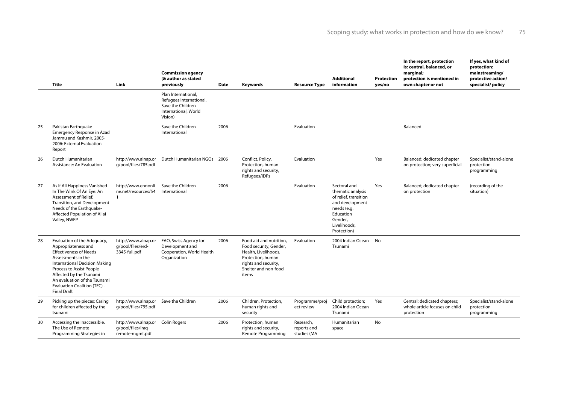|    | Title                                                                                                                                                                                                                                                                                          | Link                                                          | <b>Commission agency</b><br>(& author as stated<br>previously                                          | Date | Keywords                                                                                                                                                | <b>Resource Type</b>                    | <b>Additional</b><br>information                                                                                                                    | Protection<br>yes/no | In the report, protection<br>is: central, balanced, or<br>marginal;<br>protection is mentioned in<br>own chapter or not | If yes, what kind of<br>protection:<br>mainstreaming/<br>protective action/<br>specialist/policy |
|----|------------------------------------------------------------------------------------------------------------------------------------------------------------------------------------------------------------------------------------------------------------------------------------------------|---------------------------------------------------------------|--------------------------------------------------------------------------------------------------------|------|---------------------------------------------------------------------------------------------------------------------------------------------------------|-----------------------------------------|-----------------------------------------------------------------------------------------------------------------------------------------------------|----------------------|-------------------------------------------------------------------------------------------------------------------------|--------------------------------------------------------------------------------------------------|
|    |                                                                                                                                                                                                                                                                                                |                                                               | Plan International,<br>Refugees International,<br>Save the Children<br>International, World<br>Vision) |      |                                                                                                                                                         |                                         |                                                                                                                                                     |                      |                                                                                                                         |                                                                                                  |
| 25 | Pakistan Earthquake<br><b>Emergency Response in Azad</b><br>Jammu and Kashmir, 2005-<br>2006: External Evaluation<br>Report                                                                                                                                                                    |                                                               | Save the Children<br>International                                                                     | 2006 |                                                                                                                                                         | Evaluation                              |                                                                                                                                                     |                      | Balanced                                                                                                                |                                                                                                  |
| 26 | Dutch Humanitarian<br>Assistance: An Evaluation                                                                                                                                                                                                                                                | http://www.alnap.or<br>q/pool/files/785.pdf                   | Dutch Humanitarian NGOs 2006                                                                           |      | Conflict, Policy,<br>Protection, human<br>rights and security,<br>Refugees/IDPs                                                                         | Evaluation                              |                                                                                                                                                     | Yes                  | Balanced; dedicated chapter<br>on protection; very superficial                                                          | Specialist/stand-alone<br>protection<br>programming                                              |
| 27 | As If All Happiness Vanished<br>In The Wink Of An Eye: An<br>Assessment of Relief.<br>Transition, and Development<br>Needs of the Earthquake-<br>Affected Population of Allai<br>Valley, NWFP                                                                                                  | http://www.ennonli<br>ne.net/resources/54<br>$\mathbf{1}$     | Save the Children<br>International                                                                     | 2006 |                                                                                                                                                         | Evaluation                              | Sectoral and<br>thematic analysis<br>of relief, transition<br>and development<br>needs (e.g.<br>Education<br>Gender,<br>Livelihoods,<br>Protection) | Yes                  | Balanced; dedicated chapter<br>on protection                                                                            | (recording of the<br>situation)                                                                  |
| 28 | Evaluation of the Adequacy,<br>Appropriateness and<br><b>Effectiveness of Needs</b><br>Assessments in the<br>International Decision Making<br>Process to Assist People<br>Affected by the Tsunami<br>An evaluation of the Tsunami<br><b>Evaluation Coalition (TEC) -</b><br><b>Final Draft</b> | http://www.alnap.or<br>q/pool/files/erd-<br>3345-full.pdf     | FAO, Swiss Agency for<br>Development and<br>Cooperation, World Health<br>Organization                  | 2006 | Food aid and nutrition.<br>Food security, Gender,<br>Health, Livelihoods,<br>Protection, human<br>rights and security,<br>Shelter and non-food<br>items | Evaluation                              | 2004 Indian Ocean<br>Tsunami                                                                                                                        | <b>No</b>            |                                                                                                                         |                                                                                                  |
| 29 | Picking up the pieces: Caring<br>for children affected by the<br>tsunami                                                                                                                                                                                                                       | http://www.alnap.or Save the Children<br>q/pool/files/795.pdf |                                                                                                        | 2006 | Children, Protection,<br>human rights and<br>security                                                                                                   | Programme/proj<br>ect review            | Child protection;<br>2004 Indian Ocean<br>Tsunami                                                                                                   | Yes                  | Central; dedicated chapters;<br>whole article focuses on child<br>protection                                            | Specialist/stand-alone<br>protection<br>programming                                              |
| 30 | Accessing the Inaccessible.<br>The Use of Remote<br>Programming Strategies in                                                                                                                                                                                                                  | http://www.alnap.or<br>q/pool/files/iraq-<br>remote-mgmt.pdf  | Colin Rogers                                                                                           | 2006 | Protection, human<br>rights and security,<br>Remote Programming                                                                                         | Research,<br>reports and<br>studies (MA | Humanitarian<br>space                                                                                                                               | No                   |                                                                                                                         |                                                                                                  |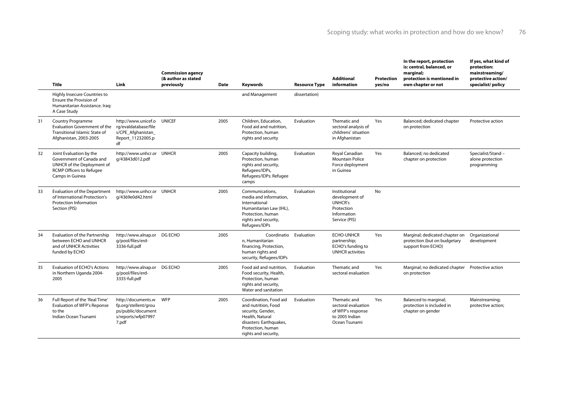|    | Title                                                                                                                                   | Link                                                                                                | <b>Commission agency</b><br>(& author as stated<br>previously | Date | Keywords                                                                                                                                                      | <b>Resource Type</b> | <b>Additional</b><br>information                                                                | Protection<br>yes/no | In the report, protection<br>is: central, balanced, or<br>marginal;<br>protection is mentioned in<br>own chapter or not | If yes, what kind of<br>protection:<br>mainstreaming/<br>protective action/<br>specialist/policy |
|----|-----------------------------------------------------------------------------------------------------------------------------------------|-----------------------------------------------------------------------------------------------------|---------------------------------------------------------------|------|---------------------------------------------------------------------------------------------------------------------------------------------------------------|----------------------|-------------------------------------------------------------------------------------------------|----------------------|-------------------------------------------------------------------------------------------------------------------------|--------------------------------------------------------------------------------------------------|
|    | Highly Insecure Countries to<br>Ensure the Provision of<br>Humanitarian Assistance, Irag:<br>A Case Study                               |                                                                                                     |                                                               |      | and Management                                                                                                                                                | dissertation)        |                                                                                                 |                      |                                                                                                                         |                                                                                                  |
| 31 | <b>Country Programme</b><br><b>Evaluation Government of the</b><br>Transitional Islamic State of<br>Afghanistan, 2003-2005              | http://www.unicef.o<br>rg/evaldatabase/file<br>s/CPE Afghanistan<br>Report 11232005.p<br>df         | <b>UNICEF</b>                                                 | 2005 | Children, Education,<br>Food aid and nutrition.<br>Protection, human<br>rights and security                                                                   | Evaluation           | Thematic and<br>sectoral analysis of<br>childrens' situation<br>in Afghanistan                  | Yes                  | Balanced; dedicated chapter<br>on protection                                                                            | Protective action                                                                                |
| 32 | Joint Evaluation by the<br>Government of Canada and<br>UNHCR of the Deployment of<br><b>RCMP Officers to Refugee</b><br>Camps in Guinea | http://www.unhcr.or UNHCR<br>g/43843d012.pdf                                                        |                                                               | 2005 | Capacity building,<br>Protection, human<br>rights and security,<br>Refugees/IDPs,<br>Refugees/IDPs: Refugee<br>camps                                          | Evaluation           | Royal Canadian<br><b>Mountain Police</b><br>Force deployment<br>in Guinea                       | Yes                  | Balanced: no dedicated<br>chapter on protection                                                                         | Specialist/Stand -<br>alone protection<br>programming                                            |
| 33 | <b>Evaluation of the Department</b><br>of International Protection's<br>Protection Information<br>Section (PIS)                         | http://www.unhcr.or UNHCR<br>g/4369e0d42.html                                                       |                                                               | 2005 | Communications.<br>media and information,<br>International<br>Humanitarian Law (IHL),<br>Protection, human<br>rights and security,<br>Refugees/IDPs           | Evaluation           | Institutional<br>development of<br><b>UNHCR's</b><br>Protection<br>Information<br>Service (PIS) | <b>No</b>            |                                                                                                                         |                                                                                                  |
| 34 | <b>Evaluation of the Partnership</b><br>between ECHO and UNHCR<br>and of UNHCR Activities<br>funded by ECHO                             | http://www.alnap.or DG ECHO<br>q/pool/files/erd-<br>3336-full.pdf                                   |                                                               | 2005 | Coordinatio Evaluation<br>n, Humanitarian<br>financing, Protection,<br>human rights and<br>security, Refugees/IDPs                                            |                      | <b>ECHO-UNHCR</b><br>partnership;<br>ECHO's funding to<br><b>UNHCR</b> activities               | Yes                  | Marginal; dedicated chapter on<br>protection (but on budgetary<br>support from ECHO)                                    | Organizational<br>development                                                                    |
| 35 | <b>Evaluation of ECHO's Actions</b><br>in Northern Uganda 2004-<br>2005                                                                 | http://www.alnap.or DG ECHO<br>q/pool/files/erd-<br>3335-full.pdf                                   |                                                               | 2005 | Food aid and nutrition.<br>Food security, Health,<br>Protection, human<br>rights and security,<br>Water and sanitation                                        | Evaluation           | Thematic and<br>sectoral evaluation                                                             | Yes                  | Marginal; no dedicated chapter Protective action<br>on protection                                                       |                                                                                                  |
| 36 | Full Report of the 'Real Time'<br>Evaluation of WFP's Reponse<br>to the<br>Indian Ocean Tsunami                                         | http://documents.w WFP<br>fp.org/stellent/grou<br>ps/public/document<br>s/reports/wfp07997<br>7.pdf |                                                               | 2005 | Coordination, Food aid<br>and nutrition, Food<br>security, Gender,<br>Health, Natural<br>disasters: Earthquakes,<br>Protection, human<br>rights and security, | Evaluation           | Thematic and<br>sectoral evaluation<br>of WFP's response<br>to 2005 Indian<br>Ocean Tsunami     | Yes                  | Balanced to marginal;<br>protection is included in<br>chapter on gender                                                 | Mainstreaming;<br>protective action;                                                             |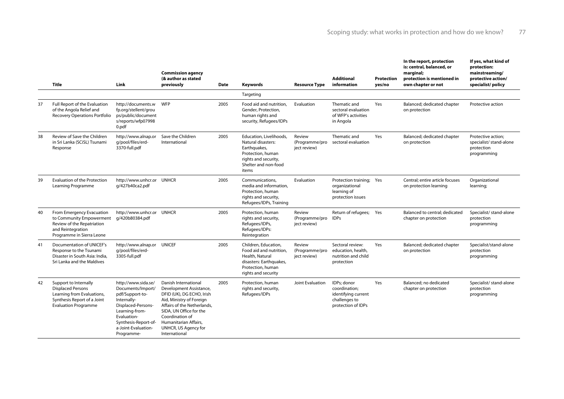|    | <b>Title</b>                                                                                                                                  | Link                                                                                                                                                                                           | <b>Commission agency</b><br>(& author as stated<br>previously                                                                                                                                                                                           | <b>Date</b> | <b>Keywords</b>                                                                                                                             | <b>Resource Type</b>                     | <b>Additional</b><br>information                                                           | Protection<br>yes/no | In the report, protection<br>is: central, balanced, or<br>marginal;<br>protection is mentioned in<br>own chapter or not | If yes, what kind of<br>protection:<br>mainstreaming/<br>protective action/<br>specialist/policy |
|----|-----------------------------------------------------------------------------------------------------------------------------------------------|------------------------------------------------------------------------------------------------------------------------------------------------------------------------------------------------|---------------------------------------------------------------------------------------------------------------------------------------------------------------------------------------------------------------------------------------------------------|-------------|---------------------------------------------------------------------------------------------------------------------------------------------|------------------------------------------|--------------------------------------------------------------------------------------------|----------------------|-------------------------------------------------------------------------------------------------------------------------|--------------------------------------------------------------------------------------------------|
|    |                                                                                                                                               |                                                                                                                                                                                                |                                                                                                                                                                                                                                                         |             | Targeting                                                                                                                                   |                                          |                                                                                            |                      |                                                                                                                         |                                                                                                  |
| 37 | <b>Full Report of the Evaluation</b><br>of the Angola Relief and<br><b>Recovery Operations Portfolio</b>                                      | http://documents.w<br>fp.org/stellent/grou<br>ps/public/document<br>s/reports/wfp07998<br>0.pdf                                                                                                | <b>WFP</b>                                                                                                                                                                                                                                              | 2005        | Food aid and nutrition.<br>Gender, Protection,<br>human rights and<br>security, Refugees/IDPs                                               | Evaluation                               | Thematic and<br>sectoral evaluation<br>of WFP's activities<br>in Angola                    | Yes                  | Balanced; dedicated chapter<br>on protection                                                                            | Protective action                                                                                |
| 38 | Review of Save the Children<br>in Sri Lanka (SCiSL) Tsunami<br>Response                                                                       | http://www.alnap.or<br>q/pool/files/erd-<br>3370-full.pdf                                                                                                                                      | Save the Children<br>International                                                                                                                                                                                                                      | 2005        | Education, Livelihoods,<br>Natural disasters:<br>Earthquakes,<br>Protection, human<br>rights and security,<br>Shelter and non-food<br>items | Review<br>(Programme/pro<br>ject review) | Thematic and<br>sectoral evaluation                                                        | Yes                  | Balanced; dedicated chapter<br>on protection                                                                            | Protective action;<br>specialist/ stand-alone<br>protection<br>programming                       |
| 39 | <b>Evaluation of the Protection</b><br>Learning Programme                                                                                     | http://www.unhcr.or UNHCR<br>g/427b40ca2.pdf                                                                                                                                                   |                                                                                                                                                                                                                                                         | 2005        | Communications.<br>media and information.<br>Protection, human<br>rights and security,<br>Refugees/IDPs, Training                           | Evaluation                               | Protection training; Yes<br>organizational<br>learning of<br>protection issues             |                      | Central: entire article focuses<br>on protection learning                                                               | Organizational<br>learning;                                                                      |
| 40 | From Emergency Evacuation<br>to Community Empowerment<br>Review of the Repatriation<br>and Reintegration<br>Programme in Sierra Leone         | http://www.unhcr.or UNHCR<br>q/420b80384.pdf                                                                                                                                                   |                                                                                                                                                                                                                                                         | 2005        | Protection, human<br>rights and security,<br>Refugees/IDPs,<br>Refugees/IDPs:<br>Reintegration                                              | Review<br>(Programme/pro<br>ject review) | Return of refugees; Yes<br><b>IDPs</b>                                                     |                      | Balanced to central; dedicated<br>chapter on protection                                                                 | Specialist/ stand-alone<br>protection<br>programming                                             |
| 41 | Documentation of UNICEF's<br>Response to the Tsunami<br>Disaster in South Asia: India.<br>Sri Lanka and the Maldives                          | http://www.alnap.or UNICEF<br>q/pool/files/erd-<br>3305-full.pdf                                                                                                                               |                                                                                                                                                                                                                                                         | 2005        | Children, Education,<br>Food aid and nutrition,<br>Health, Natural<br>disasters: Earthquakes,<br>Protection, human<br>rights and security   | Review<br>(Programme/pro<br>ject review) | Sectoral review:<br>education, health,<br>nutrition and child<br>protection                | Yes                  | Balanced; dedicated chapter<br>on protection                                                                            | Specialist/stand-alone<br>protection<br>programming                                              |
| 42 | Support to Internally<br><b>Displaced Persons</b><br>Learning from Evaluations,<br>Synthesis Report of a Joint<br><b>Evaluation Programme</b> | http://www.sida.se/<br>Documents/Import/<br>pdf/Support-to-<br>Internally-<br>Displaced-Persons-<br>Learning-from-<br>Evaluation-<br>Synthesis-Report-of-<br>a-Joint-Evaluation-<br>Programme- | Danish International<br>Development Assistance,<br>DFID (UK), DG ECHO, Irish<br>Aid, Ministry of Foreign<br>Affairs of the Netherlands,<br>SIDA, UN Office for the<br>Coordination of<br>Humanitarian Affairs,<br>UNHCR, US Agency for<br>International | 2005        | Protection, human<br>rights and security,<br>Refugees/IDPs                                                                                  | Joint Evaluation                         | IDPs: donor<br>coordination;<br>identifying current<br>challenges to<br>protection of IDPs | Yes                  | Balanced: no dedicated<br>chapter on protection                                                                         | Specialist/ stand-alone<br>protection<br>programming                                             |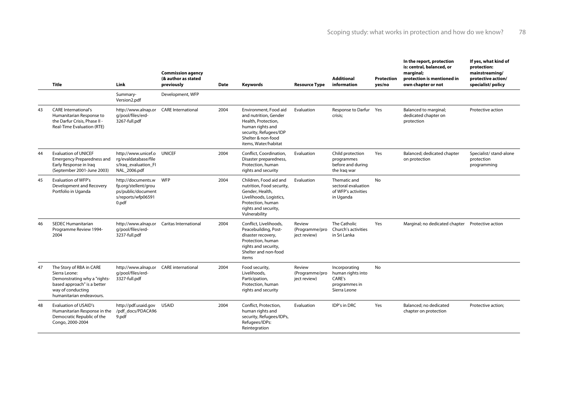|    | <b>Title</b>                                                                                                                                              | Link                                                                                                | <b>Commission agency</b><br>(& author as stated<br>previously | <b>Date</b> | Keywords                                                                                                                                                          | <b>Resource Type</b>                     | <b>Additional</b><br>information                                              | <b>Protection</b><br>yes/no | In the report, protection<br>is: central, balanced, or<br>marginal;<br>protection is mentioned in<br>own chapter or not | If yes, what kind of<br>protection:<br>mainstreaming/<br>protective action/<br>specialist/policy |
|----|-----------------------------------------------------------------------------------------------------------------------------------------------------------|-----------------------------------------------------------------------------------------------------|---------------------------------------------------------------|-------------|-------------------------------------------------------------------------------------------------------------------------------------------------------------------|------------------------------------------|-------------------------------------------------------------------------------|-----------------------------|-------------------------------------------------------------------------------------------------------------------------|--------------------------------------------------------------------------------------------------|
|    |                                                                                                                                                           | Summary-<br>Version2.pdf                                                                            | Development, WFP                                              |             |                                                                                                                                                                   |                                          |                                                                               |                             |                                                                                                                         |                                                                                                  |
| 43 | <b>CARE International's</b><br>Humanitarian Response to<br>the Darfur Crisis, Phase II -<br><b>Real-Time Evaluation (RTE)</b>                             | http://www.alnap.or<br>q/pool/files/erd-<br>3267-full.pdf                                           | <b>CARE</b> International                                     | 2004        | Environment, Food aid<br>and nutrition, Gender<br>Health, Protection,<br>human rights and<br>security, Refugees/IDP<br>Shelter & non-food<br>items, Water/habitat | Evaluation                               | Response to Darfur Yes<br>crisis;                                             |                             | Balanced to marginal;<br>dedicated chapter on<br>protection                                                             | Protective action                                                                                |
| 44 | <b>Evaluation of UNICEF</b><br><b>Emergency Preparedness and</b><br>Early Response in Iraq<br>(September 2001-June 2003)                                  | http://www.unicef.o UNICEF<br>rg/evaldatabase/file<br>s/Iraq evaluation FI<br>NAL 2006.pdf          |                                                               | 2004        | Conflict, Coordination,<br>Disaster preparedness,<br>Protection, human<br>rights and security                                                                     | Evaluation                               | Child protection<br>programmes<br>before and during<br>the Iraq war           | Yes                         | Balanced; dedicated chapter<br>on protection                                                                            | Specialist/ stand-alone<br>protection<br>programming                                             |
| 45 | <b>Evaluation of WFP's</b><br>Development and Recovery<br>Portfolio in Uganda                                                                             | http://documents.w WFP<br>fp.org/stellent/grou<br>ps/public/document<br>s/reports/wfp06591<br>0.pdf |                                                               | 2004        | Children, Food aid and<br>nutrition, Food security,<br>Gender, Health,<br>Livelihoods, Logistics,<br>Protection, human<br>rights and security,<br>Vulnerability   | Evaluation                               | Thematic and<br>sectoral evaluation<br>of WFP's activities<br>in Uganda       | <b>No</b>                   |                                                                                                                         |                                                                                                  |
| 46 | <b>SEDEC Humanitarian</b><br>Programme Review 1994-<br>2004                                                                                               | q/pool/files/erd-<br>3237-full.pdf                                                                  | http://www.alnap.or Caritas International                     | 2004        | Conflict, Livelihoods,<br>Peacebuilding, Post-<br>disaster recovery.<br>Protection, human<br>rights and security,<br>Shelter and non-food<br>items                | Review<br>(Programme/pro<br>iect review) | The Catholic<br>Church's activities<br>in Sri Lanka                           | Yes                         | Marginal; no dedicated chapter Protective action                                                                        |                                                                                                  |
| 47 | The Story of RBA in CARE<br>Sierra Leone:<br>Demonstrating why a "rights-<br>based approach" is a better<br>way of conducting<br>humanitarian endeavours. | http://www.alnap.or CARE international<br>q/pool/files/erd-<br>3327-full.pdf                        |                                                               | 2004        | Food security,<br>Livelihoods.<br>Participation,<br>Protection, human<br>rights and security                                                                      | Review<br>(Programme/pro<br>ject review) | Incorporating<br>human rights into<br>CARE's<br>programmes in<br>Sierra Leone | <b>No</b>                   |                                                                                                                         |                                                                                                  |
| 48 | <b>Evaluation of USAID's</b><br>Humanitarian Response in the<br>Democratic Republic of the<br>Congo, 2000-2004                                            | http://pdf.usaid.gov<br>/pdf docs/PDACA96<br>9.pdf                                                  | <b>USAID</b>                                                  | 2004        | Conflict, Protection,<br>human rights and<br>security, Refugees/IDPs,<br>Refugees/IDPs:<br>Reintegration                                                          | Evaluation                               | IDP's in DRC                                                                  | Yes                         | Balanced; no dedicated<br>chapter on protection                                                                         | Protective action;                                                                               |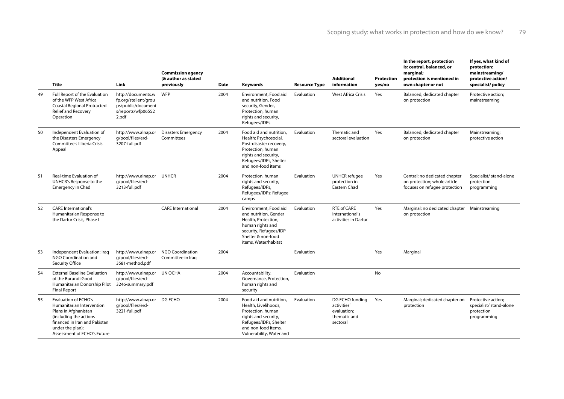|    | <b>Title</b>                                                                                                                                                                                   | Link                                                                                            | <b>Commission agency</b><br>(& author as stated<br>previously | Date | <b>Keywords</b>                                                                                                                                                           | <b>Resource Type</b> | <b>Additional</b><br>information                                          | Protection<br>yes/no | In the report, protection<br>is: central, balanced, or<br>marginal;<br>protection is mentioned in<br>own chapter or not | If yes, what kind of<br>protection:<br>mainstreaming/<br>protective action/<br>specialist/policy |
|----|------------------------------------------------------------------------------------------------------------------------------------------------------------------------------------------------|-------------------------------------------------------------------------------------------------|---------------------------------------------------------------|------|---------------------------------------------------------------------------------------------------------------------------------------------------------------------------|----------------------|---------------------------------------------------------------------------|----------------------|-------------------------------------------------------------------------------------------------------------------------|--------------------------------------------------------------------------------------------------|
| 49 | Full Report of the Evaluation<br>of the WFP West Africa<br><b>Coastal Regional Protracted</b><br><b>Relief and Recovery</b><br>Operation                                                       | http://documents.w<br>fp.org/stellent/grou<br>ps/public/document<br>s/reports/wfp06552<br>2.pdf | <b>WFP</b>                                                    | 2004 | Environment, Food aid<br>and nutrition, Food<br>security, Gender,<br>Protection, human<br>rights and security,<br>Refugees/IDPs                                           | Evaluation           | <b>West Africa Crisis</b>                                                 | Yes                  | Balanced; dedicated chapter<br>on protection                                                                            | Protective action;<br>mainstreaming                                                              |
| 50 | Independent Evaluation of<br>the Disasters Emergency<br>Committee's Liberia Crisis<br>Appeal                                                                                                   | http://www.alnap.or<br>q/pool/files/erd-<br>3207-full.pdf                                       | <b>Disasters Emergency</b><br>Committees                      | 2004 | Food aid and nutrition,<br>Health: Psychosocial,<br>Post-disaster recovery,<br>Protection, human<br>rights and security,<br>Refugees/IDPs, Shelter<br>and non-food items  | Evaluation           | Thematic and<br>sectoral evaluation                                       | Yes                  | Balanced; dedicated chapter<br>on protection                                                                            | Mainstreaming;<br>protective action                                                              |
| 51 | Real-time Evaluation of<br>UNHCR's Response to the<br><b>Emergency in Chad</b>                                                                                                                 | http://www.alnap.or UNHCR<br>q/pool/files/erd-<br>3213-full.pdf                                 |                                                               | 2004 | Protection, human<br>rights and security,<br>Refugees/IDPs,<br>Refugees/IDPs: Refugee<br>camps                                                                            | Evaluation           | <b>UNHCR</b> refugee<br>protection in<br>Eastern Chad                     | Yes                  | Central; no dedicated chapter<br>on protection; whole article<br>focuses on refugee protection                          | Specialist/ stand-alone<br>protection<br>programming                                             |
| 52 | <b>CARE International's</b><br>Humanitarian Response to<br>the Darfur Crisis, Phase I                                                                                                          |                                                                                                 | <b>CARE</b> International                                     | 2004 | Environment, Food aid<br>and nutrition, Gender<br>Health, Protection,<br>human rights and<br>security, Refugees/IDP<br>Shelter & non-food<br>items, Water/habitat         | Evaluation           | <b>RTE of CARE</b><br>International's<br>activities in Darfur             | Yes                  | Marginal; no dedicated chapter  Mainstreaming<br>on protection                                                          |                                                                                                  |
| 53 | Independent Evaluation: Iraq<br>NGO Coordination and<br>Security Office                                                                                                                        | http://www.alnap.or<br>a/pool/files/erd-<br>3581-method.pdf                                     | <b>NGO Coordination</b><br>Committee in Iraq                  | 2004 |                                                                                                                                                                           | Evaluation           |                                                                           | Yes                  | Marginal                                                                                                                |                                                                                                  |
| 54 | <b>External Baseline Evaluation</b><br>of the Burundi Good<br>Humanitarian Donorship Pilot 3246-summary.pdf<br><b>Final Report</b>                                                             | http://www.alnap.or UN OCHA<br>q/pool/files/erd-                                                |                                                               | 2004 | Accountability,<br>Governance, Protection,<br>human rights and<br>security                                                                                                | Evaluation           |                                                                           | <b>No</b>            |                                                                                                                         |                                                                                                  |
| 55 | <b>Evaluation of ECHO's</b><br>Humanitarian Intervention<br>Plans in Afghanistan<br>(including the actions<br>financed in Iran and Pakistan<br>under the plan):<br>Assessment of ECHO's Future | http://www.alnap.or DG ECHO<br>q/pool/files/erd-<br>3221-full.pdf                               |                                                               | 2004 | Food aid and nutrition,<br>Health, Livelihoods,<br>Protection, human<br>rights and security,<br>Refugees/IDPs, Shelter<br>and non-food items.<br>Vulnerability, Water and | Evaluation           | DG ECHO funding<br>activities'<br>evaluation;<br>thematic and<br>sectoral | Yes                  | Marginal; dedicated chapter on<br>protection                                                                            | Protective action;<br>specialist/ stand-alone<br>protection<br>programming                       |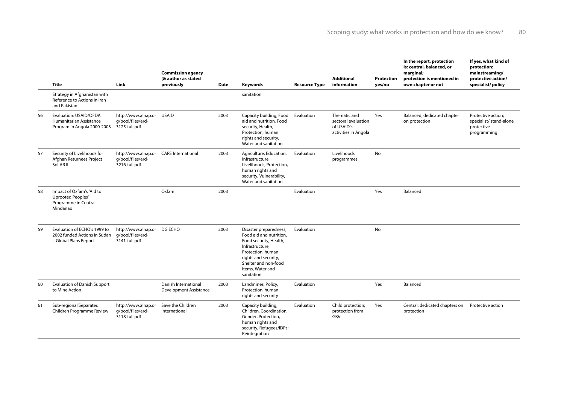|    | Title                                                                                          | Link                                                              | <b>Commission agency</b><br>(& author as stated<br>previously | Date | Keywords                                                                                                                                                                                              | <b>Resource Type</b> | <b>Additional</b><br>information                                          | <b>Protection</b><br>yes/no | In the report, protection<br>is: central, balanced, or<br>marginal;<br>protection is mentioned in<br>own chapter or not | If yes, what kind of<br>protection:<br>mainstreaming/<br>protective action/<br>specialist/policy |
|----|------------------------------------------------------------------------------------------------|-------------------------------------------------------------------|---------------------------------------------------------------|------|-------------------------------------------------------------------------------------------------------------------------------------------------------------------------------------------------------|----------------------|---------------------------------------------------------------------------|-----------------------------|-------------------------------------------------------------------------------------------------------------------------|--------------------------------------------------------------------------------------------------|
|    | Strategy in Afghanistan with<br>Reference to Actions in Iran<br>and Pakistan                   |                                                                   |                                                               |      | sanitation                                                                                                                                                                                            |                      |                                                                           |                             |                                                                                                                         |                                                                                                  |
| 56 | Evaluation: USAID/OFDA<br>Humanitarian Assistance<br>Program in Angola 2000-2003 3125-full.pdf | http://www.alnap.or USAID<br>q/pool/files/erd-                    |                                                               | 2003 | Capacity building, Food<br>aid and nutrition, Food<br>security, Health,<br>Protection, human<br>rights and security,<br>Water and sanitation                                                          | Evaluation           | Thematic and<br>sectoral evaluation<br>of USAID's<br>activities in Angola | Yes                         | Balanced; dedicated chapter<br>on protection                                                                            | Protective action;<br>specialist/ stand-alone<br>protective<br>programming                       |
| 57 | Security of Livelihoods for<br>Afghan Returnees Project<br>SoLAR II                            | http://www.alnap.or<br>q/pool/files/erd-<br>3216-full.pdf         | <b>CARE</b> International                                     | 2003 | Agriculture, Education,<br>Infrastructure,<br>Livelihoods, Protection,<br>human rights and<br>security, Vulnerability,<br>Water and sanitation                                                        | Evaluation           | Livelihoods<br>programmes                                                 | <b>No</b>                   |                                                                                                                         |                                                                                                  |
| 58 | Impact of Oxfam's 'Aid to<br>Uprooted Peoples'<br>Programme in Central<br>Mindanao             |                                                                   | Oxfam                                                         | 2003 |                                                                                                                                                                                                       | Evaluation           |                                                                           | Yes                         | Balanced                                                                                                                |                                                                                                  |
| 59 | Evaluation of ECHO's 1999 to<br>2002 funded Actions in Sudan<br>- Global Plans Report          | http://www.alnap.or DG ECHO<br>q/pool/files/erd-<br>3141-full.pdf |                                                               | 2003 | Disaster preparedness,<br>Food aid and nutrition,<br>Food security, Health,<br>Infrastructure,<br>Protection, human<br>rights and security,<br>Shelter and non-food<br>items, Water and<br>sanitation | Evaluation           |                                                                           | No                          |                                                                                                                         |                                                                                                  |
| 60 | <b>Evaluation of Danish Support</b><br>to Mine Action                                          |                                                                   | Danish International<br>Development Assistance                | 2003 | Landmines, Policy,<br>Protection, human<br>rights and security                                                                                                                                        | Evaluation           |                                                                           | Yes                         | Balanced                                                                                                                |                                                                                                  |
| 61 | Sub-regional Separated<br>Children Programme Review                                            | http://www.alnap.or<br>q/pool/files/erd-<br>3118-full.pdf         | Save the Children<br>International                            | 2003 | Capacity building,<br>Children, Coordination,<br>Gender, Protection,<br>human rights and<br>security, Refugees/IDPs:<br>Reintegration                                                                 | Evaluation           | Child protection;<br>protection from<br>GBV                               | Yes                         | Central; dedicated chapters on<br>protection                                                                            | Protective action                                                                                |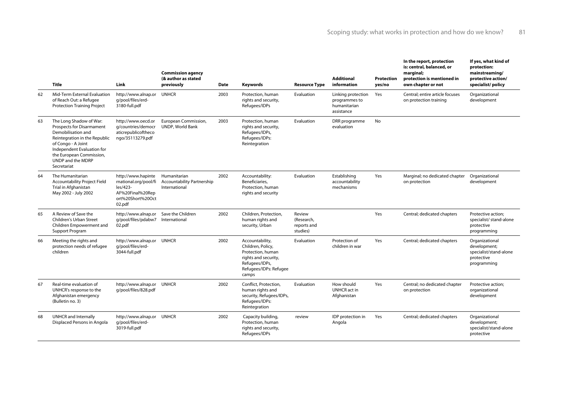|    | <b>Title</b>                                                                                                                                                                                                                           | Link                                                                                                       | <b>Commission agency</b><br>(& author as stated<br>previously      | <b>Date</b> | Keywords                                                                                                                               | <b>Resource Type</b>                            | <b>Additional</b><br>information                                  | Protection<br>yes/no | In the report, protection<br>is: central, balanced, or<br>marginal;<br>protection is mentioned in<br>own chapter or not | If yes, what kind of<br>protection:<br>mainstreaming/<br>protective action/<br>specialist/policy |
|----|----------------------------------------------------------------------------------------------------------------------------------------------------------------------------------------------------------------------------------------|------------------------------------------------------------------------------------------------------------|--------------------------------------------------------------------|-------------|----------------------------------------------------------------------------------------------------------------------------------------|-------------------------------------------------|-------------------------------------------------------------------|----------------------|-------------------------------------------------------------------------------------------------------------------------|--------------------------------------------------------------------------------------------------|
| 62 | Mid-Term External Evaluation<br>of Reach Out: a Refugee<br><b>Protection Training Project</b>                                                                                                                                          | http://www.alnap.or<br>q/pool/files/erd-<br>3180-full.pdf                                                  | <b>UNHCR</b>                                                       | 2003        | Protection, human<br>rights and security,<br>Refugees/IDPs                                                                             | Evaluation                                      | Linking protection<br>programmes to<br>humanitarian<br>assistance | Yes                  | Central; entire article focuses<br>on protection training                                                               | Organizational<br>development                                                                    |
| 63 | The Long Shadow of War:<br><b>Prospects for Disarmament</b><br>Demobilisation and<br>Reintegration in the Republic<br>of Congo - A Joint<br>Independent Evaluation for<br>the European Commission,<br>UNDP and the MDRP<br>Secretariat | http://www.oecd.or<br>g/countries/democr<br>aticrepublicoftheco<br>ngo/35113279.pdf                        | European Commission,<br>UNDP, World Bank                           | 2003        | Protection, human<br>rights and security,<br>Refugees/IDPs,<br>Refugees/IDPs:<br>Reintegration                                         | Evaluation                                      | DRR programme<br>evaluation                                       | No                   |                                                                                                                         |                                                                                                  |
| 64 | The Humanitarian<br><b>Accountability Project Field</b><br>Trial in Afghanistan<br>May 2002 - July 2002                                                                                                                                | http://www.hapinte<br>rnational.org/pool/fi<br>les/423-<br>AF%20Final%20Rep<br>ort%20Short%20Oct<br>02.pdf | Humanitarian<br><b>Accountability Partnership</b><br>International | 2002        | Accountability:<br>Beneficiaries,<br>Protection, human<br>rights and security                                                          | Evaluation                                      | Establishing<br>accountability<br>mechanisms                      | Yes                  | Marginal; no dedicated chapter<br>on protection                                                                         | Organizational<br>development                                                                    |
| 65 | A Review of Save the<br><b>Children's Urban Street</b><br>Children Empowerment and<br>Support Program                                                                                                                                  | http://www.alnap.or<br>g/pool/files/pdabw7<br>02.pdf                                                       | Save the Children<br>International                                 | 2002        | Children, Protection,<br>human rights and<br>security, Urban                                                                           | Review<br>(Research,<br>reports and<br>studies) |                                                                   | Yes                  | Central; dedicated chapters                                                                                             | Protective action;<br>specialist/ stand-alone<br>protective<br>programming                       |
| 66 | Meeting the rights and<br>protection needs of refugee<br>children                                                                                                                                                                      | http://www.alnap.or UNHCR<br>q/pool/files/erd-<br>3044-full.pdf                                            |                                                                    | 2002        | Accountability,<br>Children, Policy,<br>Protection, human<br>rights and security,<br>Refugees/IDPs,<br>Refugees/IDPs: Refugee<br>camps | Evaluation                                      | Protection of<br>children in war                                  | Yes                  | Central; dedicated chapters                                                                                             | Organizational<br>development;<br>specialist/stand-alone<br>protective<br>programming            |
| 67 | Real-time evaluation of<br>UNHCR's response to the<br>Afghanistan emergency<br>(Bulletin no. 3)                                                                                                                                        | http://www.alnap.or UNHCR<br>g/pool/files/828.pdf                                                          |                                                                    | 2002        | Conflict, Protection,<br>human rights and<br>security, Refugees/IDPs,<br>Refugees/IDPs:<br>Reintegration                               | Evaluation                                      | How should<br>UNHCR act in<br>Afghanistan                         | Yes                  | Central; no dedicated chapter<br>on protection                                                                          | Protective action;<br>organizational<br>development                                              |
| 68 | <b>UNHCR</b> and Internally<br>Displaced Persons in Angola                                                                                                                                                                             | http://www.alnap.or<br>q/pool/files/erd-<br>3019-full.pdf                                                  | <b>UNHCR</b>                                                       | 2002        | Capacity building,<br>Protection, human<br>rights and security,<br>Refugees/IDPs                                                       | review                                          | IDP protection in<br>Angola                                       | Yes                  | Central; dedicated chapters                                                                                             | Organizational<br>development;<br>specialist/stand-alone<br>protective                           |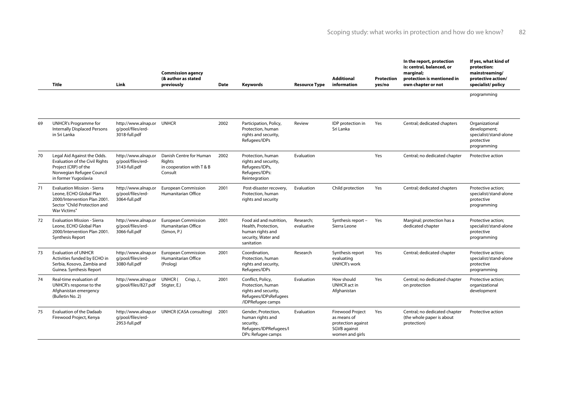## Scoping study: what works in protection and how do we know? 82

|    | <b>Title</b>                                                                                                                                      | Link                                                            | <b>Commission agency</b><br>(& author as stated<br>previously             | Date | Keywords                                                                                                     | <b>Resource Type</b>    | <b>Additional</b><br>information                                                                | <b>Protection</b><br>yes/no | In the report, protection<br>is: central, balanced, or<br>marginal:<br>protection is mentioned in<br>own chapter or not | If yes, what kind of<br>protection:<br>mainstreaming/<br>protective action/<br>specialist/policy |
|----|---------------------------------------------------------------------------------------------------------------------------------------------------|-----------------------------------------------------------------|---------------------------------------------------------------------------|------|--------------------------------------------------------------------------------------------------------------|-------------------------|-------------------------------------------------------------------------------------------------|-----------------------------|-------------------------------------------------------------------------------------------------------------------------|--------------------------------------------------------------------------------------------------|
|    |                                                                                                                                                   |                                                                 |                                                                           |      |                                                                                                              |                         |                                                                                                 |                             |                                                                                                                         | programming                                                                                      |
| 69 | <b>UNHCR's Programme for</b><br><b>Internally Displaced Persons</b><br>in Sri Lanka                                                               | http://www.alnap.or UNHCR<br>q/pool/files/erd-<br>3018-full.pdf |                                                                           | 2002 | Participation, Policy,<br>Protection, human<br>rights and security,<br>Refugees/IDPs                         | Review                  | IDP protection in<br>Sri Lanka                                                                  | Yes                         | Central; dedicated chapters                                                                                             | Organizational<br>development;<br>specialist/stand-alone<br>protective<br>programming            |
| 70 | Legal Aid Against the Odds.<br><b>Evaluation of the Civil Rights</b><br>Project (CRP) of the<br>Norwegian Refugee Council<br>in former Yugoslavia | http://www.alnap.or<br>q/pool/files/erd-<br>3143-full.pdf       | Danish Centre for Human<br>Riahts<br>in cooperation with T & B<br>Consult | 2002 | Protection, human<br>rights and security,<br>Refugees/IDPs,<br>Refugees/IDPs:<br>Reintegration               | Evaluation              |                                                                                                 | Yes                         | Central; no dedicated chapter                                                                                           | Protective action                                                                                |
| 71 | <b>Evaluation Mission - Sierra</b><br>Leone, ECHO Global Plan<br>2000/Intervention Plan 2001.<br>Sector "Child Protection and<br>War Victims"     | http://www.alnap.or<br>q/pool/files/erd-<br>3064-full.pdf       | <b>European Commission</b><br>Humanitarian Office                         | 2001 | Post-disaster recovery,<br>Protection, human<br>rights and security                                          | Evaluation              | Child protection                                                                                | Yes                         | Central; dedicated chapters                                                                                             | Protective action:<br>specialist/stand-alone<br>protective<br>programming                        |
| 72 | <b>Evaluation Mission - Sierra</b><br>Leone, ECHO Global Plan<br>2000/Intervention Plan 2001.<br><b>Synthesis Report</b>                          | http://www.alnap.or<br>q/pool/files/erd-<br>3066-full.pdf       | <b>European Commission</b><br>Humanitarian Office<br>(Simon, P.)          | 2001 | Food aid and nutrition,<br>Health, Protection,<br>human rights and<br>security, Water and<br>sanitation      | Research;<br>evaluative | Synthesis report -<br>Sierra Leone                                                              | Yes                         | Marginal; protection has a<br>dedicated chapter                                                                         | Protective action;<br>specialist/stand-alone<br>protective<br>programming                        |
| 73 | <b>Evaluation of UNHCR</b><br>Activities funded by ECHO in<br>Serbia, Kosovo, Zambia and<br>Guinea. Synthesis Report                              | http://www.alnap.or<br>q/pool/files/erd-<br>3080-full.pdf       | <b>European Commission</b><br>Humanitarian Office<br>(Prolog)             | 2001 | Coordination,<br>Protection, human<br>rights and security,<br>Refugees/IDPs                                  | Research                | Synthesis report<br>evaluating<br><b>UNHCR's work</b>                                           | Yes                         | Central; dedicated chapter                                                                                              | Protective action;<br>specialist/stand-alone<br>protective<br>programming                        |
| 74 | Real-time evaluation of<br>UNHCR's response to the<br>Afghanistan emergency<br>(Bulletin No. 2)                                                   | http://www.alnap.or<br>q/pool/files/827.pdf                     | UNHCR (<br>Crisp, J.,<br>Stigter, E.)                                     | 2001 | Conflict, Policy,<br>Protection, human<br>rights and security,<br>Refugees/IDPsRefugees<br>/IDPRefugee camps | Evaluation              | How should<br><b>UNHCR</b> act in<br>Afghanistan                                                | Yes                         | Central; no dedicated chapter<br>on protection                                                                          | Protective action;<br>organizational<br>development                                              |
| 75 | <b>Evaluation of the Dadaab</b><br>Firewood Project, Kenya                                                                                        | http://www.alnap.or<br>q/pool/files/erd-<br>2953-full.pdf       | UNHCR (CASA consulting)                                                   | 2001 | Gender, Protection,<br>human rights and<br>security,<br>Refugees/IDPRefugees/I<br>DPs: Refugee camps         | Evaluation              | <b>Firewood Project</b><br>as means of<br>protection against<br>SGVB against<br>women and girls | Yes                         | Central; no dedicated chapter<br>(the whole paper is about<br>protection)                                               | Protective action                                                                                |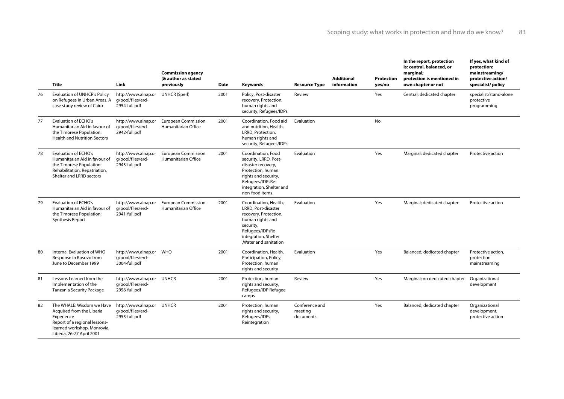|    | <b>Title</b>                                                                                                                                                      | Link                                                            | <b>Commission agency</b><br>(& author as stated<br>previously | <b>Date</b> | Keywords                                                                                                                                                                         | <b>Resource Type</b>                   | <b>Additional</b><br>information | Protection<br>yes/no | In the report, protection<br>is: central, balanced, or<br>marginal;<br>protection is mentioned in<br>own chapter or not | If yes, what kind of<br>protection:<br>mainstreaming/<br>protective action/<br>specialist/policy |
|----|-------------------------------------------------------------------------------------------------------------------------------------------------------------------|-----------------------------------------------------------------|---------------------------------------------------------------|-------------|----------------------------------------------------------------------------------------------------------------------------------------------------------------------------------|----------------------------------------|----------------------------------|----------------------|-------------------------------------------------------------------------------------------------------------------------|--------------------------------------------------------------------------------------------------|
| 76 | <b>Evaluation of UNHCR's Policy</b><br>on Refugees in Urban Areas. A<br>case study review of Cairo                                                                | http://www.alnap.or<br>q/pool/files/erd-<br>2954-full.pdf       | <b>UNHCR (Sperl)</b>                                          | 2001        | Policy, Post-disaster<br>recovery, Protection,<br>human rights and<br>security, Refugees/IDPs                                                                                    | Review                                 |                                  | Yes                  | Central; dedicated chapter                                                                                              | specialist/stand-alone<br>protective<br>programming                                              |
| 77 | Evaluation of ECHO's<br>Humanitarian Aid in favour of<br>the Timorese Population:<br><b>Health and Nutrition Sectors</b>                                          | http://www.alnap.or<br>q/pool/files/erd-<br>2942-full.pdf       | <b>European Commission</b><br>Humanitarian Office             | 2001        | Coordination, Food aid<br>and nutrition, Health,<br>LRRD, Protection,<br>human rights and<br>security, Refugees/IDPs                                                             | Evaluation                             |                                  | <b>No</b>            |                                                                                                                         |                                                                                                  |
| 78 | <b>Evaluation of ECHO's</b><br>Humanitarian Aid in favour of<br>the Timorese Population:<br>Rehabilitation, Repatriation,<br>Shelter and LRRD sectors             | http://www.alnap.or<br>q/pool/files/erd-<br>2943-full.pdf       | <b>European Commission</b><br>Humanitarian Office             | 2001        | Coordination, Food<br>security, LRRD, Post-<br>disaster recovery,<br>Protection, human<br>rights and security,<br>Refugees/IDPsRe-<br>integration, Shelter and<br>non-food items | Evaluation                             |                                  | Yes                  | Marginal; dedicated chapter                                                                                             | Protective action                                                                                |
| 79 | Evaluation of ECHO's<br>Humanitarian Aid in favour of<br>the Timorese Population:<br>Synthesis Report                                                             | http://www.alnap.or<br>q/pool/files/erd-<br>2941-full.pdf       | <b>European Commission</b><br>Humanitarian Office             | 2001        | Coordination, Health,<br>LRRD, Post-disaster<br>recovery, Protection,<br>human rights and<br>security,<br>Refugees/IDPsRe-<br>integration, Shelter<br>.Water and sanitation      | Evaluation                             |                                  | Yes                  | Marginal; dedicated chapter                                                                                             | Protective action                                                                                |
| 80 | Internal Evaluation of WHO<br>Response in Kosovo from<br>June to December 1999                                                                                    | http://www.alnap.or WHO<br>q/pool/files/erd-<br>3004-full.pdf   |                                                               | 2001        | Coordination, Health,<br>Participation, Policy,<br>Protection, human<br>rights and security                                                                                      | Evaluation                             |                                  | Yes                  | Balanced; dedicated chapter                                                                                             | Protective action,<br>protection<br>mainstreaming                                                |
| 81 | Lessons Learned from the<br>Implementation of the<br>Tanzania Security Package                                                                                    | http://www.alnap.or UNHCR<br>q/pool/files/erd-<br>2956-full.pdf |                                                               | 2001        | Protection, human<br>rights and security,<br>Refugees/IDP Refugee<br>camps                                                                                                       | Review                                 |                                  | Yes                  | Marginal; no dedicated chapter                                                                                          | Organizational<br>development                                                                    |
| 82 | The WHALE: Wisdom we Have<br>Acquired from the Liberia<br>Experience<br>Report of a regional lessons-<br>learned workshop, Monrovia,<br>Liberia, 26-27 April 2001 | http://www.alnap.or UNHCR<br>q/pool/files/erd-<br>2955-full.pdf |                                                               | 2001        | Protection, human<br>rights and security,<br>Refugees/IDPs<br>Reintegration                                                                                                      | Conference and<br>meeting<br>documents |                                  | Yes                  | Balanced; dedicated chapter                                                                                             | Organizational<br>development;<br>protective action                                              |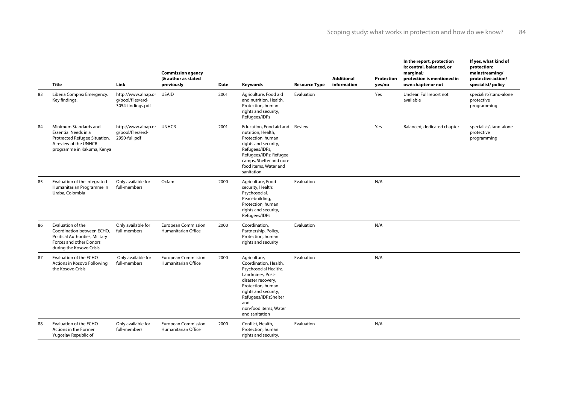|    | <b>Title</b>                                                                                                                                 | Link                                                            | <b>Commission agency</b><br>(& author as stated<br>previously | Date | Keywords                                                                                                                                                                                                                        | <b>Resource Type</b> | <b>Additional</b><br>information | <b>Protection</b><br>yes/no | In the report, protection<br>is: central, balanced, or<br>marginal;<br>protection is mentioned in<br>own chapter or not | If yes, what kind of<br>protection:<br>mainstreaming/<br>protective action/<br>specialist/policy |
|----|----------------------------------------------------------------------------------------------------------------------------------------------|-----------------------------------------------------------------|---------------------------------------------------------------|------|---------------------------------------------------------------------------------------------------------------------------------------------------------------------------------------------------------------------------------|----------------------|----------------------------------|-----------------------------|-------------------------------------------------------------------------------------------------------------------------|--------------------------------------------------------------------------------------------------|
| 83 | Liberia Complex Emergency.<br>Key findings.                                                                                                  | http://www.alnap.or<br>q/pool/files/erd-<br>3054-findings.pdf   | <b>USAID</b>                                                  | 2001 | Agriculture, Food aid<br>and nutrition, Health,<br>Protection, human<br>rights and security,<br>Refugees/IDPs                                                                                                                   | Evaluation           |                                  | Yes                         | Unclear. Full report not<br>available                                                                                   | specialist/stand-alone<br>protective<br>programming                                              |
| 84 | Minimum Standards and<br><b>Essential Needs in a</b><br>Protracted Refugee Situation.<br>A review of the UNHCR<br>programme in Kakuma, Kenya | http://www.alnap.or UNHCR<br>q/pool/files/erd-<br>2950-full.pdf |                                                               | 2001 | Education, Food aid and<br>nutrition, Health,<br>Protection, human<br>rights and security,<br>Refugees/IDPs,<br>Refugees/IDPs: Refugee<br>camps, Shelter and non-<br>food items, Water and<br>sanitation                        | Review               |                                  | Yes                         | Balanced; dedicated chapter                                                                                             | specialist/stand-alone<br>protective<br>programming                                              |
| 85 | Evaluation of the Integrated<br>Humanitarian Programme in<br>Uraba, Colombia                                                                 | Only available for<br>full-members                              | Oxfam                                                         | 2000 | Agriculture, Food<br>security, Health:<br>Psychosocial,<br>Peacebuilding,<br>Protection, human<br>rights and security,<br>Refugees/IDPs                                                                                         | Evaluation           |                                  | N/A                         |                                                                                                                         |                                                                                                  |
| 86 | Evaluation of the<br>Coordination between ECHO,<br>Political Authorities, Military<br>Forces and other Donors<br>during the Kosovo Crisis    | Only available for<br>full-members                              | <b>European Commission</b><br>Humanitarian Office             | 2000 | Coordination,<br>Partnership, Policy,<br>Protection, human<br>rights and security                                                                                                                                               | Evaluation           |                                  | N/A                         |                                                                                                                         |                                                                                                  |
| 87 | Evaluation of the ECHO<br>Actions in Kosovo Following<br>the Kosovo Crisis                                                                   | Only available for<br>full-members                              | <b>European Commission</b><br>Humanitarian Office             | 2000 | Agriculture,<br>Coordination, Health,<br>Psychosocial Health:,<br>Landmines, Post-<br>disaster recovery,<br>Protection, human<br>rights and security,<br>Refugees/IDPsShelter<br>and<br>non-food items. Water<br>and sanitation | Evaluation           |                                  | N/A                         |                                                                                                                         |                                                                                                  |
| 88 | Evaluation of the ECHO<br>Actions in the Former<br>Yugoslav Republic of                                                                      | Only available for<br>full-members                              | <b>European Commission</b><br>Humanitarian Office             | 2000 | Conflict, Health,<br>Protection, human<br>rights and security,                                                                                                                                                                  | Evaluation           |                                  | N/A                         |                                                                                                                         |                                                                                                  |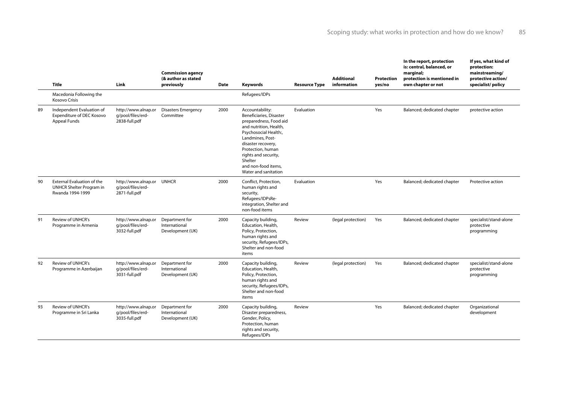|    | <b>Title</b>                                                                      | Link                                                            | <b>Commission agency</b><br>(& author as stated<br>previously | <b>Date</b> | Keywords                                                                                                                                                                                                                                                                 | <b>Resource Type</b> | <b>Additional</b><br>information | <b>Protection</b><br>yes/no | In the report, protection<br>is: central, balanced, or<br>marginal;<br>protection is mentioned in<br>own chapter or not | If yes, what kind of<br>protection:<br>mainstreaming/<br>protective action/<br>specialist/policy |
|----|-----------------------------------------------------------------------------------|-----------------------------------------------------------------|---------------------------------------------------------------|-------------|--------------------------------------------------------------------------------------------------------------------------------------------------------------------------------------------------------------------------------------------------------------------------|----------------------|----------------------------------|-----------------------------|-------------------------------------------------------------------------------------------------------------------------|--------------------------------------------------------------------------------------------------|
|    | Macedonia Following the<br><b>Kosovo Crisis</b>                                   |                                                                 |                                                               |             | Refugees/IDPs                                                                                                                                                                                                                                                            |                      |                                  |                             |                                                                                                                         |                                                                                                  |
| 89 | Independent Evaluation of<br>Expenditure of DEC Kosovo<br><b>Appeal Funds</b>     | http://www.alnap.or<br>q/pool/files/erd-<br>2838-full.pdf       | <b>Disasters Emergency</b><br>Committee                       | 2000        | Accountability:<br>Beneficiaries, Disaster<br>preparedness, Food aid<br>and nutrition, Health,<br>Psychosocial Health:,<br>Landmines, Post-<br>disaster recovery,<br>Protection, human<br>rights and security,<br>Shelter<br>and non-food items.<br>Water and sanitation | Evaluation           |                                  | Yes                         | Balanced; dedicated chapter                                                                                             | protective action                                                                                |
| 90 | <b>External Evaluation of the</b><br>UNHCR Shelter Program in<br>Rwanda 1994-1999 | http://www.alnap.or UNHCR<br>q/pool/files/erd-<br>2871-full.pdf |                                                               | 2000        | Conflict, Protection,<br>human rights and<br>security,<br>Refugees/IDPsRe-<br>integration, Shelter and<br>non-food items                                                                                                                                                 | Evaluation           |                                  | Yes                         | Balanced; dedicated chapter                                                                                             | Protective action                                                                                |
| 91 | <b>Review of UNHCR's</b><br>Programme in Armenia                                  | http://www.alnap.or<br>q/pool/files/erd-<br>3032-full.pdf       | Department for<br>International<br>Development (UK)           | 2000        | Capacity building,<br>Education, Health,<br>Policy, Protection,<br>human rights and<br>security, Refugees/IDPs,<br>Shelter and non-food<br>items                                                                                                                         | Review               | (legal protection)               | Yes                         | Balanced; dedicated chapter                                                                                             | specialist/stand-alone<br>protective<br>programming                                              |
| 92 | <b>Review of UNHCR's</b><br>Programme in Azerbaijan                               | http://www.alnap.or<br>q/pool/files/erd-<br>3031-full.pdf       | Department for<br>International<br>Development (UK)           | 2000        | Capacity building,<br>Education, Health,<br>Policy, Protection,<br>human rights and<br>security, Refugees/IDPs,<br>Shelter and non-food<br>items                                                                                                                         | Review               | (legal protection)               | Yes                         | Balanced; dedicated chapter                                                                                             | specialist/stand-alone<br>protective<br>programming                                              |
| 93 | <b>Review of UNHCR's</b><br>Programme in Sri Lanka                                | http://www.alnap.or<br>q/pool/files/erd-<br>3035-full.pdf       | Department for<br>International<br>Development (UK)           | 2000        | Capacity building,<br>Disaster preparedness,<br>Gender, Policy,<br>Protection, human<br>rights and security,<br>Refugees/IDPs                                                                                                                                            | Review               |                                  | Yes                         | Balanced; dedicated chapter                                                                                             | Organizational<br>development                                                                    |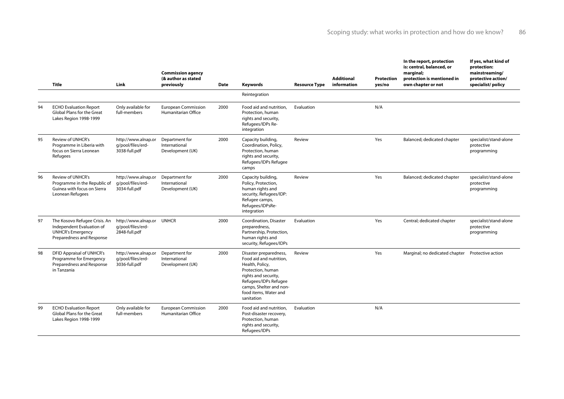|    | <b>Title</b>                                                                                                        | Link                                                            | <b>Commission agency</b><br>(& author as stated<br>previously | <b>Date</b> | Keywords                                                                                                                                                                                                     | <b>Resource Type</b> | <b>Additional</b><br>information | Protection<br>yes/no | In the report, protection<br>is: central, balanced, or<br>marginal;<br>protection is mentioned in<br>own chapter or not | If yes, what kind of<br>protection:<br>mainstreaming/<br>protective action/<br>specialist/policy |
|----|---------------------------------------------------------------------------------------------------------------------|-----------------------------------------------------------------|---------------------------------------------------------------|-------------|--------------------------------------------------------------------------------------------------------------------------------------------------------------------------------------------------------------|----------------------|----------------------------------|----------------------|-------------------------------------------------------------------------------------------------------------------------|--------------------------------------------------------------------------------------------------|
|    |                                                                                                                     |                                                                 |                                                               |             | Reintegration                                                                                                                                                                                                |                      |                                  |                      |                                                                                                                         |                                                                                                  |
| 94 | <b>ECHO Evaluation Report</b><br>Global Plans for the Great<br>Lakes Region 1998-1999                               | Only available for<br>full-members                              | <b>European Commission</b><br><b>Humanitarian Office</b>      | 2000        | Food aid and nutrition,<br>Protection, human<br>rights and security,<br>Refugees/IDPs Re-<br>integration                                                                                                     | Evaluation           |                                  | N/A                  |                                                                                                                         |                                                                                                  |
| 95 | <b>Review of UNHCR's</b><br>Programme in Liberia with<br>focus on Sierra Leonean<br>Refugees                        | http://www.alnap.or<br>q/pool/files/erd-<br>3038-full.pdf       | Department for<br>International<br>Development (UK)           | 2000        | Capacity building,<br>Coordination, Policy,<br>Protection, human<br>rights and security,<br>Refugees/IDPs Refugee<br>camps                                                                                   | Review               |                                  | Yes                  | Balanced; dedicated chapter                                                                                             | specialist/stand-alone<br>protective<br>programming                                              |
| 96 | <b>Review of UNHCR's</b><br>Programme in the Republic of<br>Guinea with focus on Sierra<br>Leonean Refugees         | http://www.alnap.or<br>q/pool/files/erd-<br>3034-full.pdf       | Department for<br>International<br>Development (UK)           | 2000        | Capacity building,<br>Policy, Protection,<br>human rights and<br>security, Refugees/IDP:<br>Refugee camps,<br>Refugees/IDPsRe-<br>integration                                                                | Review               |                                  | Yes                  | Balanced; dedicated chapter                                                                                             | specialist/stand-alone<br>protective<br>programming                                              |
| 97 | The Kosovo Refugee Crisis. An<br>Independent Evaluation of<br><b>UNHCR's Emergency</b><br>Preparedness and Response | http://www.alnap.or UNHCR<br>q/pool/files/erd-<br>2848-full.pdf |                                                               | 2000        | Coordination, Disaster<br>preparedness,<br>Partnership, Protection,<br>human rights and<br>security, Refugees/IDPs                                                                                           | Evaluation           |                                  | Yes                  | Central; dedicated chapter                                                                                              | specialist/stand-alone<br>protective<br>programming                                              |
| 98 | <b>DFID Appraisal of UNHCR's</b><br>Programme for Emergency<br>Preparedness and Response<br>in Tanzania             | http://www.alnap.or<br>q/pool/files/erd-<br>3036-full.pdf       | Department for<br>International<br>Development (UK)           | 2000        | Disaster preparedness,<br>Food aid and nutrition,<br>Health, Policy,<br>Protection, human<br>rights and security,<br>Refugees/IDPs Refugee<br>camps, Shelter and non-<br>food items, Water and<br>sanitation | Review               |                                  | Yes                  | Marginal; no dedicated chapter                                                                                          | Protective action                                                                                |
| 99 | <b>ECHO Evaluation Report</b><br>Global Plans for the Great<br>Lakes Region 1998-1999                               | Only available for<br>full-members                              | <b>European Commission</b><br>Humanitarian Office             | 2000        | Food aid and nutrition,<br>Post-disaster recovery,<br>Protection, human<br>rights and security,<br>Refugees/IDPs                                                                                             | Evaluation           |                                  | N/A                  |                                                                                                                         |                                                                                                  |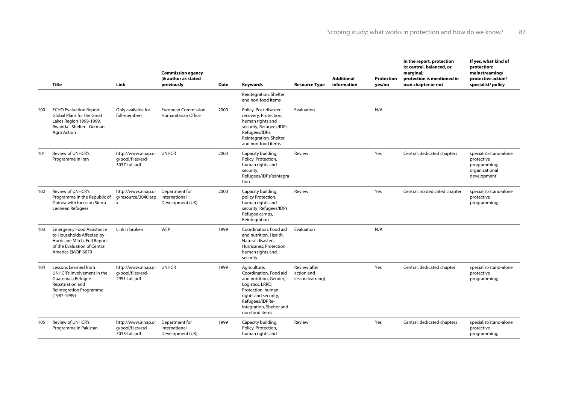|     | Title                                                                                                                                              | Link                                                            | <b>Commission agency</b><br>(& author as stated<br>previously | Date | Keywords                                                                                                                                                                                           | <b>Resource Type</b>                           | <b>Additional</b><br>information | <b>Protection</b><br>yes/no | In the report, protection<br>is: central, balanced, or<br>marginal;<br>protection is mentioned in<br>own chapter or not | If yes, what kind of<br>protection:<br>mainstreaming/<br>protective action/<br>specialist/policy |
|-----|----------------------------------------------------------------------------------------------------------------------------------------------------|-----------------------------------------------------------------|---------------------------------------------------------------|------|----------------------------------------------------------------------------------------------------------------------------------------------------------------------------------------------------|------------------------------------------------|----------------------------------|-----------------------------|-------------------------------------------------------------------------------------------------------------------------|--------------------------------------------------------------------------------------------------|
|     |                                                                                                                                                    |                                                                 |                                                               |      | Reintegration, Shelter<br>and non-food items                                                                                                                                                       |                                                |                                  |                             |                                                                                                                         |                                                                                                  |
| 100 | <b>ECHO Evaluation Report</b><br>Global Plans for the Great<br>Lakes Region 1998-1999.<br>Rwanda - Shelter - German<br>Agro Action                 | Only available for<br>full-members                              | <b>European Commission</b><br>Humanitarian Office             | 2000 | Policy, Post-disaster<br>recovery, Protection,<br>human rights and<br>security, Refugees/IDPs,<br>Refugees/IDPs:<br>Reintegration, Shelter<br>and non-food items                                   | Evaluation                                     |                                  | N/A                         |                                                                                                                         |                                                                                                  |
| 101 | Review of UNHCR's<br>Programme in Iran                                                                                                             | http://www.alnap.or UNHCR<br>q/pool/files/erd-<br>3037-full.pdf |                                                               | 2000 | Capacity building,<br>Policy, Protection,<br>human rights and<br>security,<br>Refugees/IDPsReintegra<br>tion                                                                                       | Review                                         |                                  | Yes                         | Central; dedicated chapters                                                                                             | specialist/stand-alone<br>protective<br>programming;<br>organizational<br>development            |
| 102 | <b>Review of UNHCR's</b><br>Programme in the Republic of<br>Guinea with focus on Sierra<br>Leonean Refugees                                        | http://www.alnap.or<br>g/resource/3040.asp<br>$\mathsf{x}$      | Department for<br>International<br>Development (UK)           | 2000 | Capacity building,<br>policy Protection,<br>human rights and<br>security, Refugees/IDPs<br>Refugee camps,<br>Reintegration                                                                         | Review                                         |                                  | Yes                         | Central; no dedicated chapter                                                                                           | specialist/stand-alone<br>protective<br>programming;                                             |
| 103 | <b>Emergency Food Assistance</b><br>to Households Affected by<br>Hurricane Mitch. Full Report<br>of the Evaluation of Central<br>America EMOP 6079 | Link is broken                                                  | <b>WFP</b>                                                    | 1999 | Coordination, Food aid<br>and nutrition. Health.<br>Natural disasters:<br>Hurricanes, Protection,<br>human rights and<br>security                                                                  | Evaluation                                     |                                  | N/A                         |                                                                                                                         |                                                                                                  |
| 104 | Lessons Learned from<br>UNHCR's Involvement in the<br>Guatemala Refugee<br>Repatriation and<br><b>Reintegration Programme</b><br>$(1987 - 1999)$   | http://www.alnap.or UNHCR<br>q/pool/files/erd-<br>2951-full.pdf |                                                               | 1999 | Agriculture,<br>Coordination, Food aid<br>and nutrition, Gender,<br>Logistics, LRRD,<br>Protection, human<br>rights and security,<br>Refugees/IDPRe-<br>integration, Shelter and<br>non-food items | Review(after<br>action and<br>lesson learning) |                                  | Yes                         | Central; dedicated chapter                                                                                              | specialist/stand-alone<br>protective<br>programming;                                             |
| 105 | <b>Review of UNHCR's</b><br>Programme in Pakistan                                                                                                  | http://www.alnap.or<br>q/pool/files/erd-<br>3033-full.pdf       | Department for<br>International<br>Development (UK)           | 1999 | Capacity building,<br>Policy, Protection,<br>human rights and                                                                                                                                      | Review                                         |                                  | Yes                         | Central; dedicated chapters                                                                                             | specialist/stand-alone<br>protective<br>programming;                                             |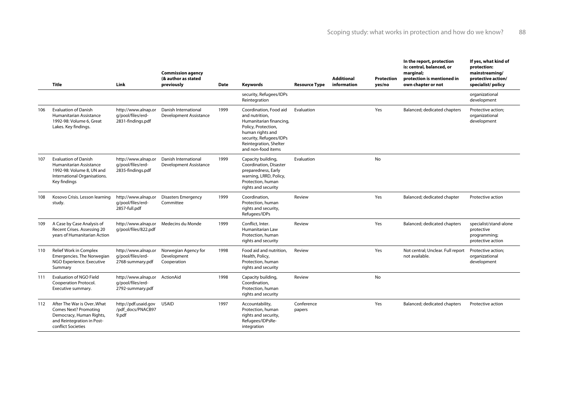|     | Title                                                                                                                                     | Link                                                                   | <b>Commission agency</b><br>(& author as stated<br>previously | <b>Date</b> | <b>Keywords</b>                                                                                                                                                                           | <b>Resource Type</b> | <b>Additional</b><br>information | Protection<br>yes/no | In the report, protection<br>is: central, balanced, or<br>marginal;<br>protection is mentioned in<br>own chapter or not | If yes, what kind of<br>protection:<br>mainstreaming/<br>protective action/<br>specialist/policy |
|-----|-------------------------------------------------------------------------------------------------------------------------------------------|------------------------------------------------------------------------|---------------------------------------------------------------|-------------|-------------------------------------------------------------------------------------------------------------------------------------------------------------------------------------------|----------------------|----------------------------------|----------------------|-------------------------------------------------------------------------------------------------------------------------|--------------------------------------------------------------------------------------------------|
|     |                                                                                                                                           |                                                                        |                                                               |             | security, Refugees/IDPs<br>Reintegration                                                                                                                                                  |                      |                                  |                      |                                                                                                                         | organizational<br>development                                                                    |
| 106 | <b>Evaluation of Danish</b><br>Humanitarian Assistance<br>1992-98: Volume 6, Great<br>Lakes. Key findings.                                | http://www.alnap.or<br>q/pool/files/erd-<br>2831-findings.pdf          | Danish International<br>Development Assistance                | 1999        | Coordination, Food aid<br>and nutrition.<br>Humanitarian financing,<br>Policy, Protection,<br>human rights and<br>security, Refugees/IDPs<br>Reintegration, Shelter<br>and non-food items | Evaluation           |                                  | Yes                  | Balanced; dedicated chapters                                                                                            | Protective action;<br>organizational<br>development                                              |
| 107 | <b>Evaluation of Danish</b><br>Humanitarian Assistance<br>1992-98: Volume 8, UN and<br>International Organisations.<br>Key findings       | http://www.alnap.or<br>q/pool/files/erd-<br>2835-findings.pdf          | Danish International<br>Development Assistance                | 1999        | Capacity building,<br>Coordination, Disaster<br>preparedness, Early<br>warning, LRRD, Policy,<br>Protection, human<br>rights and security                                                 | Evaluation           |                                  | <b>No</b>            |                                                                                                                         |                                                                                                  |
| 108 | Kosovo Crisis. Lesson learning<br>study.                                                                                                  | http://www.alnap.or<br>q/pool/files/erd-<br>2857-full.pdf              | <b>Disasters Emergency</b><br>Committee                       | 1999        | Coordination,<br>Protection, human<br>rights and security,<br>Refugees/IDPs                                                                                                               | Review               |                                  | Yes                  | Balanced; dedicated chapter                                                                                             | Protective action                                                                                |
| 109 | A Case by Case Analysis of<br>Recent Crises. Assessing 20<br>years of Humanitarian Action                                                 | http://www.alnap.or<br>g/pool/files/822.pdf                            | Medecins du Monde                                             | 1999        | Conflict, Inter.<br>Humanitarian Law<br>Protection, human<br>rights and security                                                                                                          | Review               |                                  | Yes                  | Balanced; dedicated chapters                                                                                            | specialist/stand-alone<br>protective<br>programming;<br>protective action                        |
| 110 | Relief Work in Complex<br>Emergencies. The Norwegian<br>NGO Experience. Executive<br>Summary                                              | http://www.alnap.or<br>q/pool/files/erd-<br>2768-summary.pdf           | Norwegian Agency for<br>Development<br>Cooperation            | 1998        | Food aid and nutrition.<br>Health, Policy,<br>Protection, human<br>rights and security                                                                                                    | Review               |                                  | Yes                  | Not central; Unclear. Full report<br>not available.                                                                     | Protective action:<br>organizational<br>development                                              |
| 111 | Evaluation of NGO Field<br>Cooperation Protocol.<br>Executive summary.                                                                    | http://www.alnap.or ActionAid<br>q/pool/files/erd-<br>2792-summary.pdf |                                                               | 1998        | Capacity building,<br>Coordination.<br>Protection, human<br>rights and security                                                                                                           | Review               |                                  | <b>No</b>            |                                                                                                                         |                                                                                                  |
| 112 | After The War is OverWhat<br><b>Comes Next? Promoting</b><br>Democracy, Human Rights,<br>and Reintegration in Post-<br>conflict Societies | http://pdf.usaid.gov<br>/pdf docs/PNACB97<br>9.pdf                     | <b>USAID</b>                                                  | 1997        | Accountability,<br>Protection, human<br>rights and security,<br>Refugees/IDPsRe-<br>integration                                                                                           | Conference<br>papers |                                  | Yes                  | Balanced; dedicated chapters                                                                                            | Protective action                                                                                |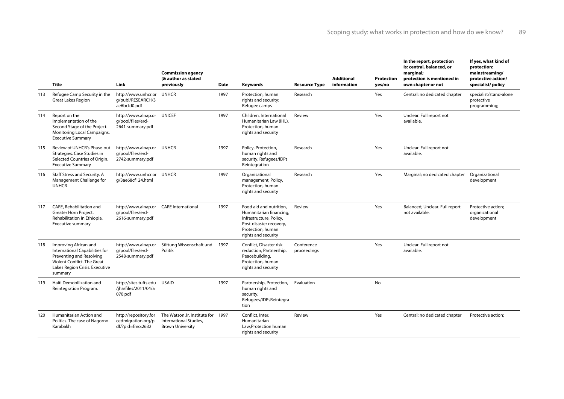|     | <b>Title</b>                                                                                                                                                    | Link                                                                            | <b>Commission agency</b><br>(& author as stated<br>previously                          | <b>Date</b> | Keywords                                                                                                                                             | <b>Resource Type</b>      | <b>Additional</b><br>information | <b>Protection</b><br>yes/no | In the report, protection<br>is: central, balanced, or<br>marginal;<br>protection is mentioned in<br>own chapter or not | If yes, what kind of<br>protection:<br>mainstreaming/<br>protective action/<br>specialist/policy |
|-----|-----------------------------------------------------------------------------------------------------------------------------------------------------------------|---------------------------------------------------------------------------------|----------------------------------------------------------------------------------------|-------------|------------------------------------------------------------------------------------------------------------------------------------------------------|---------------------------|----------------------------------|-----------------------------|-------------------------------------------------------------------------------------------------------------------------|--------------------------------------------------------------------------------------------------|
| 113 | Refugee Camp Security in the<br><b>Great Lakes Region</b>                                                                                                       | http://www.unhcr.or UNHCR<br>q/publ/RESEARCH/3<br>ae6bcfd0.pdf                  |                                                                                        | 1997        | Protection, human<br>rights and security:<br>Refugee camps                                                                                           | Research                  |                                  | Yes                         | Central; no dedicated chapter                                                                                           | specialist/stand-alone<br>protective<br>programming;                                             |
| 114 | Report on the<br>Implementation of the<br>Second Stage of the Project.<br>Monitoring Local Campaigns.<br><b>Executive Summary</b>                               | http://www.alnap.or UNICEF<br>q/pool/files/erd-<br>2641-summary.pdf             |                                                                                        | 1997        | Children, International<br>Humanitarian Law (IHL),<br>Protection, human<br>rights and security                                                       | Review                    |                                  | Yes                         | Unclear. Full report not<br>available.                                                                                  |                                                                                                  |
| 115 | Review of UNHCR's Phase-out<br>Strategies. Case Studies in<br>Selected Countries of Origin.<br><b>Executive Summary</b>                                         | http://www.alnap.or UNHCR<br>q/pool/files/erd-<br>2742-summary.pdf              |                                                                                        | 1997        | Policy, Protection,<br>human rights and<br>security, Refugees/IDPs<br>Reintegration                                                                  | Research                  |                                  | Yes                         | Unclear. Full report not<br>available.                                                                                  |                                                                                                  |
| 116 | Staff Stress and Security. A<br>Management Challenge for<br><b>UNHCR</b>                                                                                        | http://www.unhcr.or UNHCR<br>g/3ae68cf124.html                                  |                                                                                        | 1997        | Organisational<br>management, Policy,<br>Protection, human<br>rights and security                                                                    | Research                  |                                  | Yes                         | Marginal; no dedicated chapter                                                                                          | Organizational<br>development                                                                    |
| 117 | CARE, Rehabilitation and<br>Greater Horn Project.<br>Rehabilitation in Ethiopia.<br><b>Executive summary</b>                                                    | http://www.alnap.or CARE International<br>q/pool/files/erd-<br>2616-summary.pdf |                                                                                        | 1997        | Food aid and nutrition.<br>Humanitarian financing,<br>Infrastructure, Policy,<br>Post-disaster recovery,<br>Protection, human<br>rights and security | Review                    |                                  | Yes                         | Balanced; Unclear. Full report<br>not available.                                                                        | Protective action;<br>organizational<br>development                                              |
| 118 | Improving African and<br>International Capabilities for<br>Preventing and Resolving<br>Violent Conflict. The Great<br>Lakes Region Crisis. Executive<br>summary | http://www.alnap.or<br>q/pool/files/erd-<br>2548-summary.pdf                    | Stiftung Wissenschaft und 1997<br>Politik                                              |             | Conflict, Disaster risk<br>reduction, Partnership,<br>Peacebuilding,<br>Protection, human<br>rights and security                                     | Conference<br>proceedings |                                  | Yes                         | Unclear. Full report not<br>available.                                                                                  |                                                                                                  |
| 119 | Haiti Demobilization and<br>Reintegration Program.                                                                                                              | http://sites.tufts.edu<br>/jha/files/2011/04/a<br>070.pdf                       | <b>USAID</b>                                                                           | 1997        | Partnership, Protection,<br>human rights and<br>security,<br>Refugees/IDPsReintegra<br>tion                                                          | Evaluation                |                                  | No                          |                                                                                                                         |                                                                                                  |
| 120 | Humanitarian Action and<br>Politics. The case of Nagorno-<br>Karabakh                                                                                           | http://repository.for<br>cedmigration.org/p<br>df/?pid=fmo:2632                 | The Watson Jr. Institute for 1997<br>International Studies,<br><b>Brown University</b> |             | Conflict, Inter.<br>Humanitarian<br>Law.Protection human<br>rights and security                                                                      | Review                    |                                  | Yes                         | Central; no dedicated chapter                                                                                           | Protective action;                                                                               |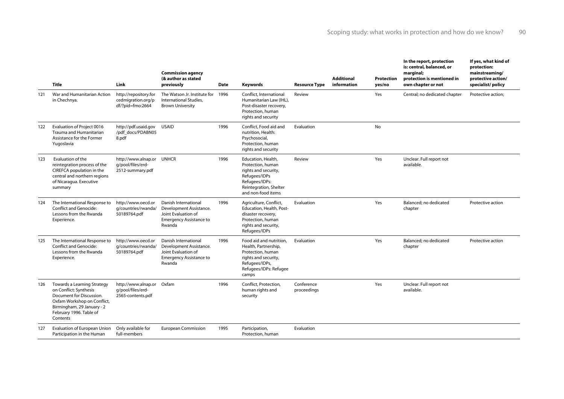|     | <b>Title</b>                                                                                                                                                                          | Link                                                                | <b>Commission agency</b><br>(& author as stated<br>previously                                                      | <b>Date</b> | Keywords                                                                                                                                           | <b>Resource Type</b>      | <b>Additional</b><br>information | <b>Protection</b><br>yes/no | In the report, protection<br>is: central, balanced, or<br>marginal;<br>protection is mentioned in<br>own chapter or not | If yes, what kind of<br>protection:<br>mainstreaming/<br>protective action/<br>specialist/policy |
|-----|---------------------------------------------------------------------------------------------------------------------------------------------------------------------------------------|---------------------------------------------------------------------|--------------------------------------------------------------------------------------------------------------------|-------------|----------------------------------------------------------------------------------------------------------------------------------------------------|---------------------------|----------------------------------|-----------------------------|-------------------------------------------------------------------------------------------------------------------------|--------------------------------------------------------------------------------------------------|
| 121 | War and Humanitarian Action<br>in Chechnya.                                                                                                                                           | http://repository.for<br>cedmigration.org/p<br>df/?pid=fmo:2664     | The Watson Jr. Institute for 1996<br>International Studies,<br><b>Brown University</b>                             |             | Conflict, International<br>Humanitarian Law (IHL),<br>Post-disaster recovery,<br>Protection, human<br>rights and security                          | Review                    |                                  | Yes                         | Central; no dedicated chapter                                                                                           | Protective action;                                                                               |
| 122 | Evaluation of Project 0016<br>Trauma and Humanitarian<br>Assistance for the Former<br>Yugoslavia                                                                                      | http://pdf.usaid.gov<br>/pdf docs/PDABN05<br>8.pdf                  | <b>USAID</b>                                                                                                       | 1996        | Conflict, Food aid and<br>nutrition, Health:<br>Psychosocial,<br>Protection, human<br>rights and security                                          | Evaluation                |                                  | <b>No</b>                   |                                                                                                                         |                                                                                                  |
| 123 | Evaluation of the<br>reintegration process of the<br>CIREFCA population in the<br>central and northern regions<br>of Nicaragua. Executive<br>summary                                  | http://www.alnap.or UNHCR<br>q/pool/files/erd-<br>2512-summary.pdf  |                                                                                                                    | 1996        | Education, Health,<br>Protection, human<br>rights and security,<br>Refugees/IDPs<br>Refugees/IDPs:<br>Reintegration, Shelter<br>and non-food items | Review                    |                                  | Yes                         | Unclear. Full report not<br>available.                                                                                  |                                                                                                  |
| 124 | The International Response to<br><b>Conflict and Genocide:</b><br>Lessons from the Rwanda<br>Experience.                                                                              | http://www.oecd.or<br>q/countries/rwanda/<br>50189764.pdf           | Danish International<br>Development Assistance.<br>Joint Evaluation of<br><b>Emergency Assistance to</b><br>Rwanda | 1996        | Agriculture, Conflict,<br>Education, Health, Post-<br>disaster recovery,<br>Protection, human<br>rights and security,<br>Refugees/IDPs             | Evaluation                |                                  | Yes                         | Balanced; no dedicated<br>chapter                                                                                       | Protective action                                                                                |
| 125 | The International Response to<br><b>Conflict and Genocide:</b><br>Lessons from the Rwanda<br>Experience.                                                                              | http://www.oecd.or<br>q/countries/rwanda/<br>50189764.pdf           | Danish International<br>Development Assistance.<br>Joint Evaluation of<br><b>Emergency Assistance to</b><br>Rwanda | 1996        | Food aid and nutrition.<br>Health, Partnership,<br>Protection, human<br>rights and security,<br>Refugees/IDPs,<br>Refugees/IDPs: Refugee<br>camps  | Evaluation                |                                  | Yes                         | Balanced: no dedicated<br>chapter                                                                                       | Protective action                                                                                |
| 126 | Towards a Learning Strategy<br>on Conflict: Synthesis<br>Document for Discussion.<br>Oxfam Workshop on Conflict,<br>Birmingham, 29 January - 2<br>February 1996. Table of<br>Contents | http://www.alnap.or Oxfam<br>q/pool/files/erd-<br>2565-contents.pdf |                                                                                                                    | 1996        | Conflict, Protection,<br>human rights and<br>security                                                                                              | Conference<br>proceedings |                                  | Yes                         | Unclear. Full report not<br>available.                                                                                  |                                                                                                  |
| 127 | Evaluation of European Union<br>Participation in the Human                                                                                                                            | Only available for<br>full-members                                  | <b>European Commission</b>                                                                                         | 1995        | Participation,<br>Protection, human                                                                                                                | Evaluation                |                                  |                             |                                                                                                                         |                                                                                                  |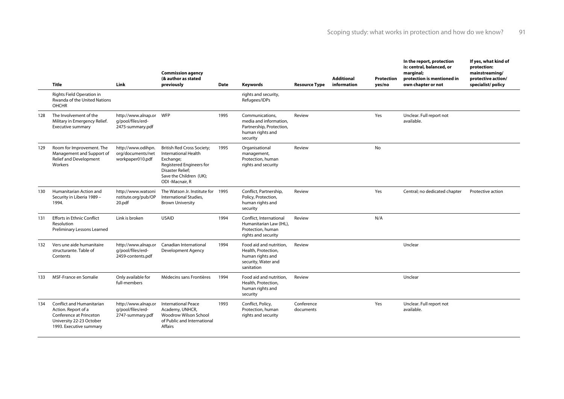|     | Title                                                                                                                              | Link                                                             | <b>Commission agency</b><br>(& author as stated<br>previously                                                                                                              | <b>Date</b> | Keywords                                                                                                | <b>Resource Type</b>    | <b>Additional</b><br>information | <b>Protection</b><br>yes/no | In the report, protection<br>is: central, balanced, or<br>marginal;<br>protection is mentioned in<br>own chapter or not | If yes, what kind of<br>protection:<br>mainstreaming/<br>protective action/<br>specialist/policy |
|-----|------------------------------------------------------------------------------------------------------------------------------------|------------------------------------------------------------------|----------------------------------------------------------------------------------------------------------------------------------------------------------------------------|-------------|---------------------------------------------------------------------------------------------------------|-------------------------|----------------------------------|-----------------------------|-------------------------------------------------------------------------------------------------------------------------|--------------------------------------------------------------------------------------------------|
|     | Rights Field Operation in<br>Rwanda of the United Nations<br><b>OHCHR</b>                                                          |                                                                  |                                                                                                                                                                            |             | rights and security,<br>Refugees/IDPs                                                                   |                         |                                  |                             |                                                                                                                         |                                                                                                  |
| 128 | The Involvement of the<br>Military in Emergency Relief.<br><b>Executive summary</b>                                                | http://www.alnap.or WFP<br>q/pool/files/erd-<br>2475-summary.pdf |                                                                                                                                                                            | 1995        | Communications.<br>media and information.<br>Partnership, Protection,<br>human rights and<br>security   | Review                  |                                  | Yes                         | Unclear. Full report not<br>available.                                                                                  |                                                                                                  |
| 129 | Room for Improvement. The<br>Management and Support of<br>Relief and Development<br>Workers                                        | http://www.odihpn.<br>org/documents/net<br>workpaper010.pdf      | <b>British Red Cross Society;</b><br>International Health<br>Exchange;<br>Registered Engineers for<br><b>Disaster Relief;</b><br>Save the Children (UK);<br>ODI-Macnair, R | 1995        | Organisational<br>management,<br>Protection, human<br>rights and security                               | Review                  |                                  | <b>No</b>                   |                                                                                                                         |                                                                                                  |
| 130 | Humanitarian Action and<br>Security in Liberia 1989 -<br>1994.                                                                     | http://www.watsoni<br>nstitute.org/pub/OP<br>20.pdf              | The Watson Jr. Institute for 1995<br>International Studies,<br><b>Brown University</b>                                                                                     |             | Conflict, Partnership,<br>Policy, Protection,<br>human rights and<br>security                           | Review                  |                                  | Yes                         | Central; no dedicated chapter                                                                                           | Protective action                                                                                |
| 131 | <b>Efforts in Ethnic Conflict</b><br>Resolution<br>Preliminary Lessons Learned                                                     | Link is broken                                                   | <b>USAID</b>                                                                                                                                                               | 1994        | Conflict, International<br>Humanitarian Law (IHL),<br>Protection, human<br>rights and security          | Review                  |                                  | N/A                         |                                                                                                                         |                                                                                                  |
| 132 | Vers une aide humanitaire<br>structurante. Table of<br>Contents                                                                    | http://www.alnap.or<br>q/pool/files/erd-<br>2459-contents.pdf    | Canadian International<br>Development Agency                                                                                                                               | 1994        | Food aid and nutrition,<br>Health, Protection,<br>human rights and<br>security, Water and<br>sanitation | Review                  |                                  |                             | Unclear                                                                                                                 |                                                                                                  |
| 133 | MSF-France en Somalie                                                                                                              | Only available for<br>full-members                               | Médecins sans Frontières                                                                                                                                                   | 1994        | Food aid and nutrition.<br>Health, Protection,<br>human rights and<br>security                          | Review                  |                                  |                             | Unclear                                                                                                                 |                                                                                                  |
| 134 | Conflict and Humanitarian<br>Action. Report of a<br>Conference at Princeton<br>University 22-23 October<br>1993. Executive summary | http://www.alnap.or<br>q/pool/files/erd-<br>2747-summary.pdf     | <b>International Peace</b><br>Academy, UNHCR,<br>Woodrow Wilson School<br>of Public and International<br><b>Affairs</b>                                                    | 1993        | Conflict, Policy,<br>Protection, human<br>rights and security                                           | Conference<br>documents |                                  | Yes                         | Unclear. Full report not<br>available.                                                                                  |                                                                                                  |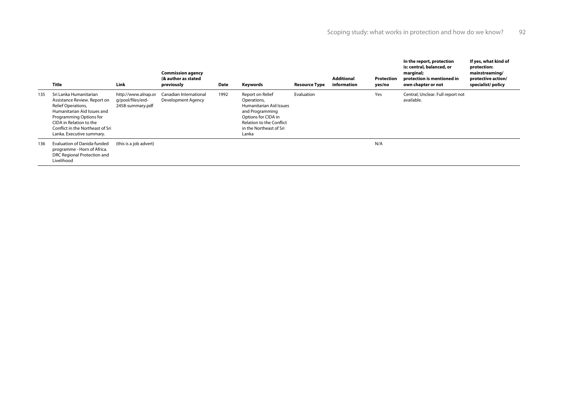|     | <b>Title</b>                                                                                                                                                                                                                       | Link                                                         | <b>Commission agency</b><br>(& author as stated<br>previously | Date | Keywords                                                                                                                                                             | <b>Resource Type</b> | <b>Additional</b><br>information | <b>Protection</b><br>yes/no | In the report, protection<br>is: central, balanced, or<br>marginal;<br>protection is mentioned in<br>own chapter or not | If yes, what kind of<br>protection:<br>mainstreaming/<br>protective action/<br>specialist/policy |
|-----|------------------------------------------------------------------------------------------------------------------------------------------------------------------------------------------------------------------------------------|--------------------------------------------------------------|---------------------------------------------------------------|------|----------------------------------------------------------------------------------------------------------------------------------------------------------------------|----------------------|----------------------------------|-----------------------------|-------------------------------------------------------------------------------------------------------------------------|--------------------------------------------------------------------------------------------------|
| 135 | Sri Lanka Humanitarian<br>Assistance Review. Report on<br>Relief Operations,<br>Humanitarian Aid Issues and<br>Programming Options for<br>CIDA in Relation to the<br>Conflict in the Northeast of Sri<br>Lanka. Executive summary. | http://www.alnap.or<br>q/pool/files/erd-<br>2458-summary.pdf | Canadian International<br>Development Agency                  | 1992 | Report on Relief<br>Operations,<br>Humanitarian Aid Issues<br>and Programming<br>Options for CIDA in<br>Relation to the Conflict<br>in the Northeast of Sri<br>Lanka | Evaluation           |                                  | Yes                         | Central; Unclear. Full report not<br>available.                                                                         |                                                                                                  |
| 136 | <b>Evaluation of Danida-funded</b><br>programme - Horn of Africa.<br>DRC Regional Protection and<br>Livelihood                                                                                                                     | (this is a job advert)                                       |                                                               |      |                                                                                                                                                                      |                      |                                  | N/A                         |                                                                                                                         |                                                                                                  |